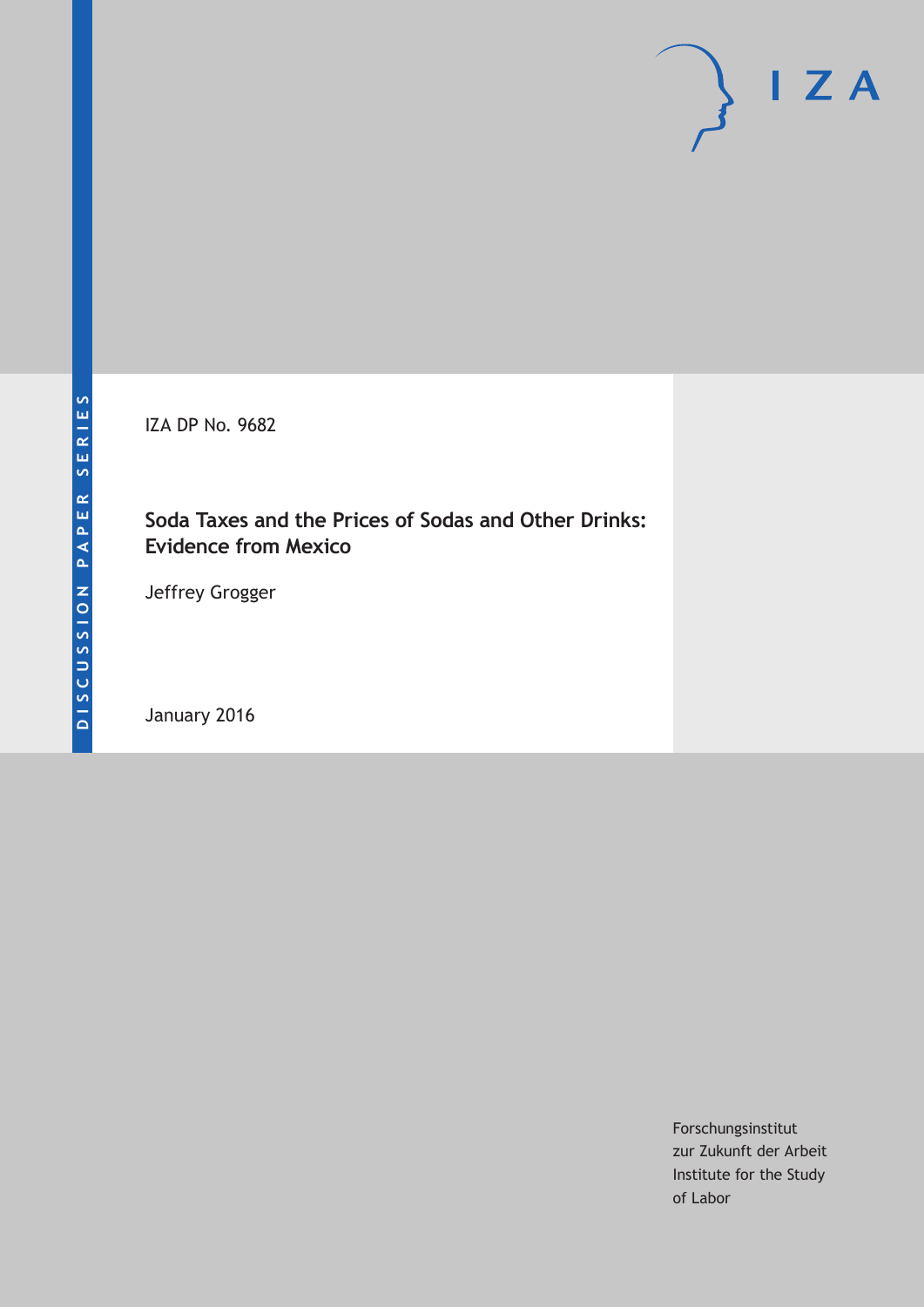IZA DP No. 9682

# **Soda Taxes and the Prices of Sodas and Other Drinks: Evidence from Mexico**

Jeffrey Grogger

January 2016

Forschungsinstitut zur Zukunft der Arbeit Institute for the Study of Labor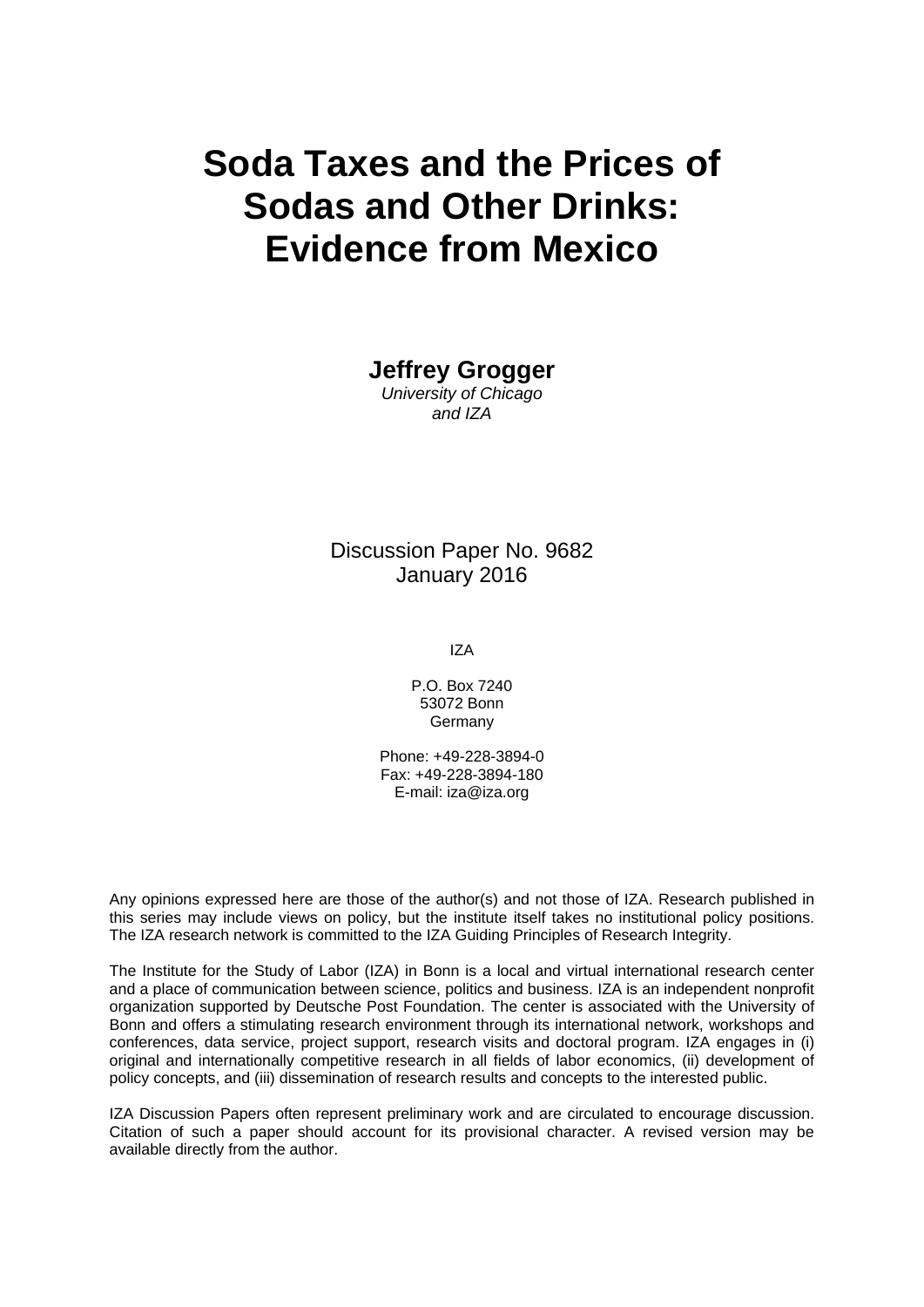# **Soda Taxes and the Prices of Sodas and Other Drinks: Evidence from Mexico**

**Jeffrey Grogger** 

*University of Chicago and IZA* 

Discussion Paper No. 9682 January 2016

IZA

P.O. Box 7240 53072 Bonn Germany

Phone: +49-228-3894-0 Fax: +49-228-3894-180 E-mail: iza@iza.org

Any opinions expressed here are those of the author(s) and not those of IZA. Research published in this series may include views on policy, but the institute itself takes no institutional policy positions. The IZA research network is committed to the IZA Guiding Principles of Research Integrity.

The Institute for the Study of Labor (IZA) in Bonn is a local and virtual international research center and a place of communication between science, politics and business. IZA is an independent nonprofit organization supported by Deutsche Post Foundation. The center is associated with the University of Bonn and offers a stimulating research environment through its international network, workshops and conferences, data service, project support, research visits and doctoral program. IZA engages in (i) original and internationally competitive research in all fields of labor economics, (ii) development of policy concepts, and (iii) dissemination of research results and concepts to the interested public.

IZA Discussion Papers often represent preliminary work and are circulated to encourage discussion. Citation of such a paper should account for its provisional character. A revised version may be available directly from the author.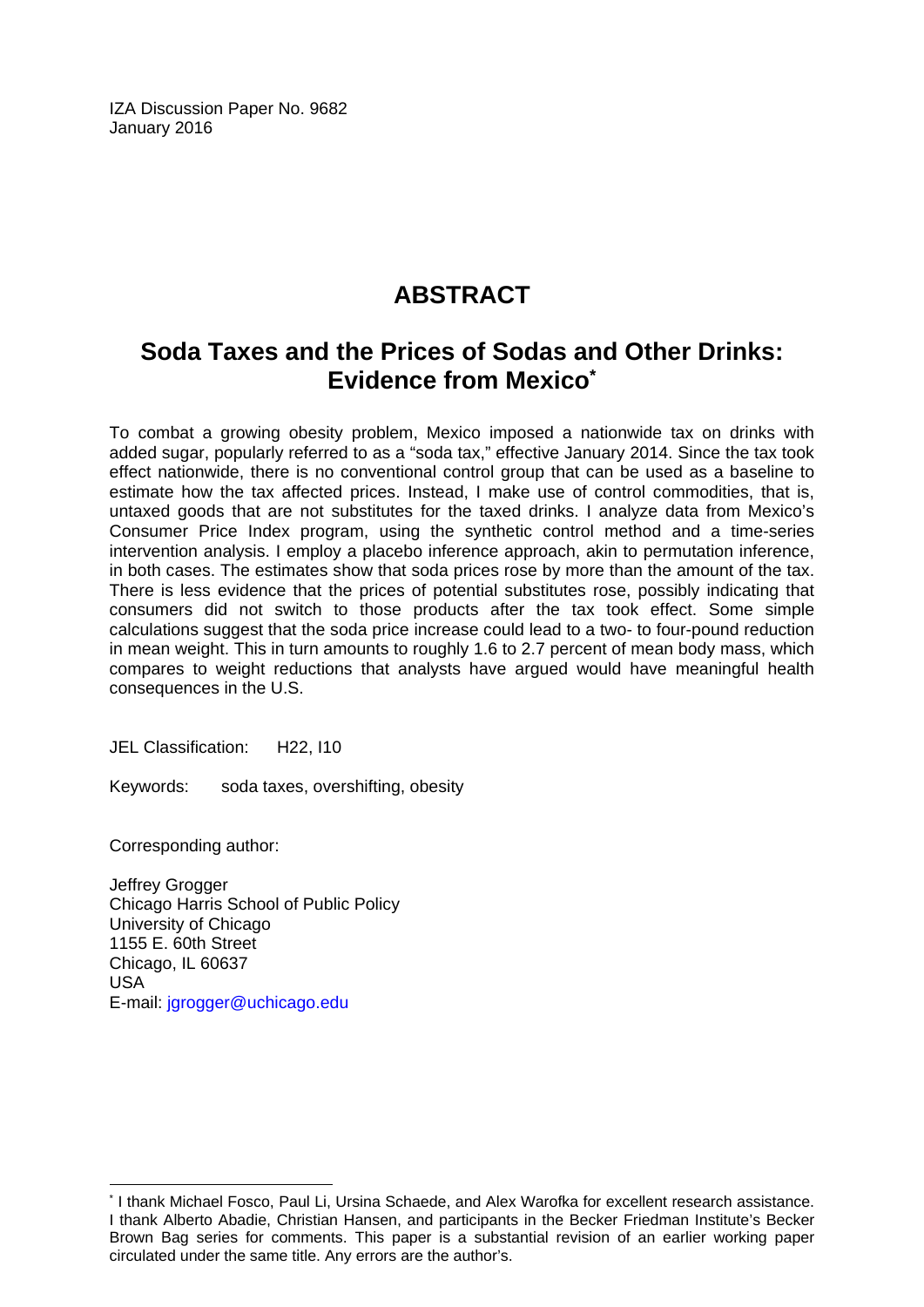IZA Discussion Paper No. 9682 January 2016

# **ABSTRACT**

# **Soda Taxes and the Prices of Sodas and Other Drinks: Evidence from Mexico\***

To combat a growing obesity problem, Mexico imposed a nationwide tax on drinks with added sugar, popularly referred to as a "soda tax," effective January 2014. Since the tax took effect nationwide, there is no conventional control group that can be used as a baseline to estimate how the tax affected prices. Instead, I make use of control commodities, that is, untaxed goods that are not substitutes for the taxed drinks. I analyze data from Mexico's Consumer Price Index program, using the synthetic control method and a time-series intervention analysis. I employ a placebo inference approach, akin to permutation inference, in both cases. The estimates show that soda prices rose by more than the amount of the tax. There is less evidence that the prices of potential substitutes rose, possibly indicating that consumers did not switch to those products after the tax took effect. Some simple calculations suggest that the soda price increase could lead to a two- to four-pound reduction in mean weight. This in turn amounts to roughly 1.6 to 2.7 percent of mean body mass, which compares to weight reductions that analysts have argued would have meaningful health consequences in the U.S.

JEL Classification: H22, I10

Keywords: soda taxes, overshifting, obesity

Corresponding author:

 $\overline{\phantom{a}}$ 

Jeffrey Grogger Chicago Harris School of Public Policy University of Chicago 1155 E. 60th Street Chicago, IL 60637 USA E-mail: jgrogger@uchicago.edu

<sup>\*</sup> I thank Michael Fosco, Paul Li, Ursina Schaede, and Alex Warofka for excellent research assistance. I thank Alberto Abadie, Christian Hansen, and participants in the Becker Friedman Institute's Becker Brown Bag series for comments. This paper is a substantial revision of an earlier working paper circulated under the same title. Any errors are the author's.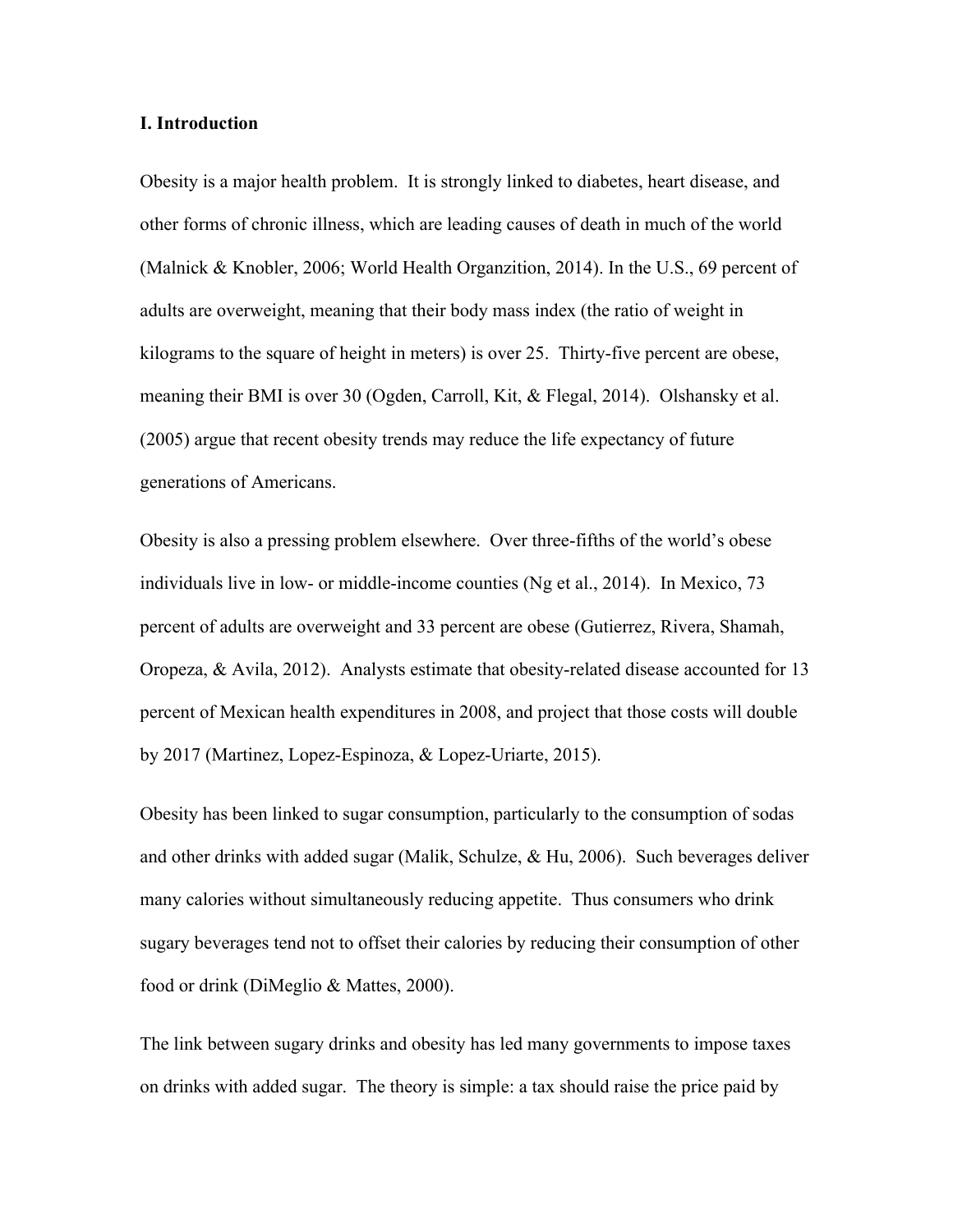### **I. Introduction**

Obesity is a major health problem. It is strongly linked to diabetes, heart disease, and other forms of chronic illness, which are leading causes of death in much of the world (Malnick & Knobler, 2006; World Health Organzition, 2014). In the U.S., 69 percent of adults are overweight, meaning that their body mass index (the ratio of weight in kilograms to the square of height in meters) is over 25. Thirty-five percent are obese, meaning their BMI is over 30 (Ogden, Carroll, Kit, & Flegal, 2014). Olshansky et al. (2005) argue that recent obesity trends may reduce the life expectancy of future generations of Americans.

Obesity is also a pressing problem elsewhere. Over three-fifths of the world's obese individuals live in low- or middle-income counties (Ng et al., 2014). In Mexico, 73 percent of adults are overweight and 33 percent are obese (Gutierrez, Rivera, Shamah, Oropeza, & Avila, 2012). Analysts estimate that obesity-related disease accounted for 13 percent of Mexican health expenditures in 2008, and project that those costs will double by 2017 (Martinez, Lopez-Espinoza, & Lopez-Uriarte, 2015).

Obesity has been linked to sugar consumption, particularly to the consumption of sodas and other drinks with added sugar (Malik, Schulze, & Hu, 2006). Such beverages deliver many calories without simultaneously reducing appetite. Thus consumers who drink sugary beverages tend not to offset their calories by reducing their consumption of other food or drink (DiMeglio & Mattes, 2000).

The link between sugary drinks and obesity has led many governments to impose taxes on drinks with added sugar. The theory is simple: a tax should raise the price paid by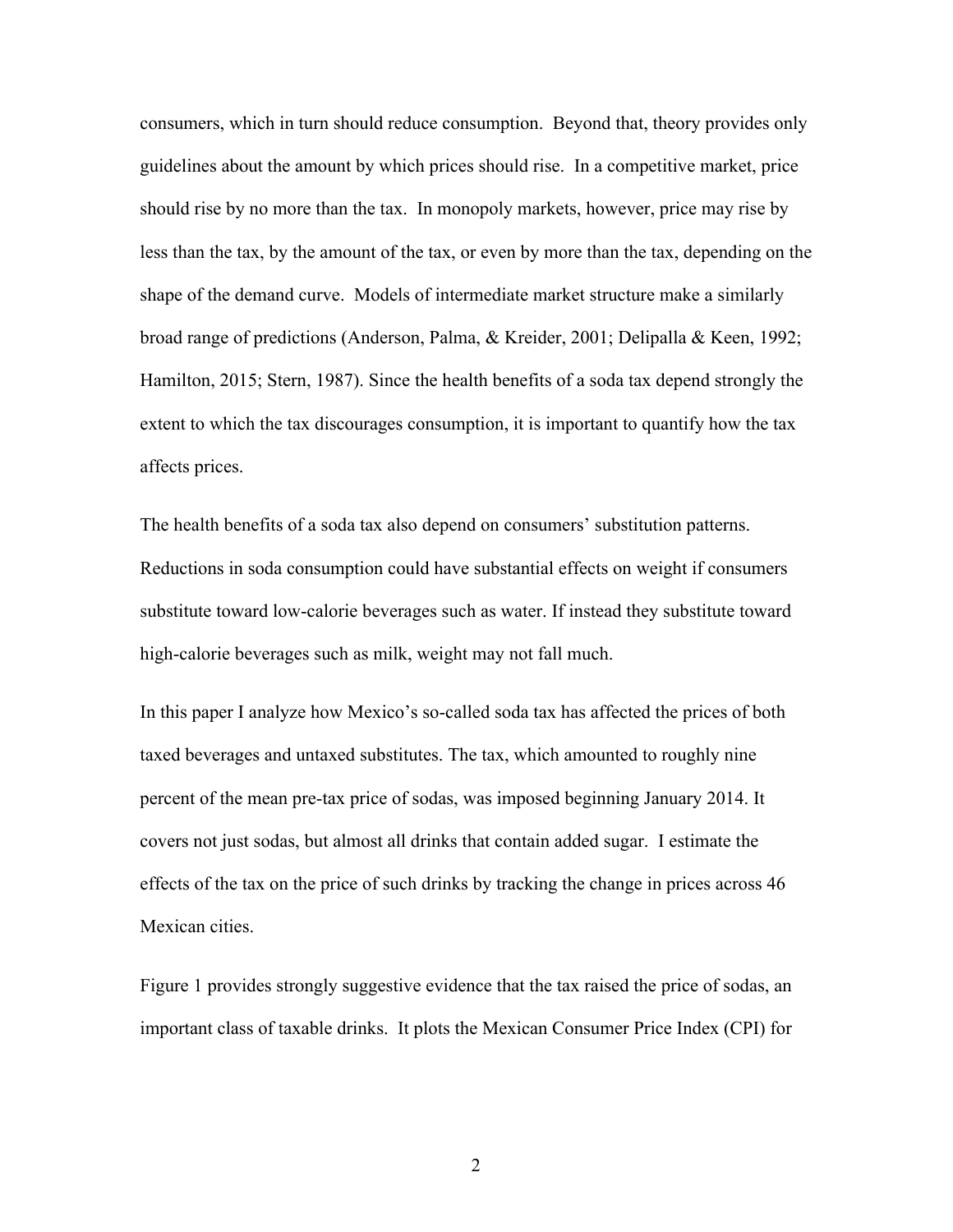consumers, which in turn should reduce consumption. Beyond that, theory provides only guidelines about the amount by which prices should rise. In a competitive market, price should rise by no more than the tax. In monopoly markets, however, price may rise by less than the tax, by the amount of the tax, or even by more than the tax, depending on the shape of the demand curve. Models of intermediate market structure make a similarly broad range of predictions (Anderson, Palma, & Kreider, 2001; Delipalla & Keen, 1992; Hamilton, 2015; Stern, 1987). Since the health benefits of a soda tax depend strongly the extent to which the tax discourages consumption, it is important to quantify how the tax affects prices.

The health benefits of a soda tax also depend on consumers' substitution patterns. Reductions in soda consumption could have substantial effects on weight if consumers substitute toward low-calorie beverages such as water. If instead they substitute toward high-calorie beverages such as milk, weight may not fall much.

In this paper I analyze how Mexico's so-called soda tax has affected the prices of both taxed beverages and untaxed substitutes. The tax, which amounted to roughly nine percent of the mean pre-tax price of sodas, was imposed beginning January 2014. It covers not just sodas, but almost all drinks that contain added sugar. I estimate the effects of the tax on the price of such drinks by tracking the change in prices across 46 Mexican cities.

Figure 1 provides strongly suggestive evidence that the tax raised the price of sodas, an important class of taxable drinks. It plots the Mexican Consumer Price Index (CPI) for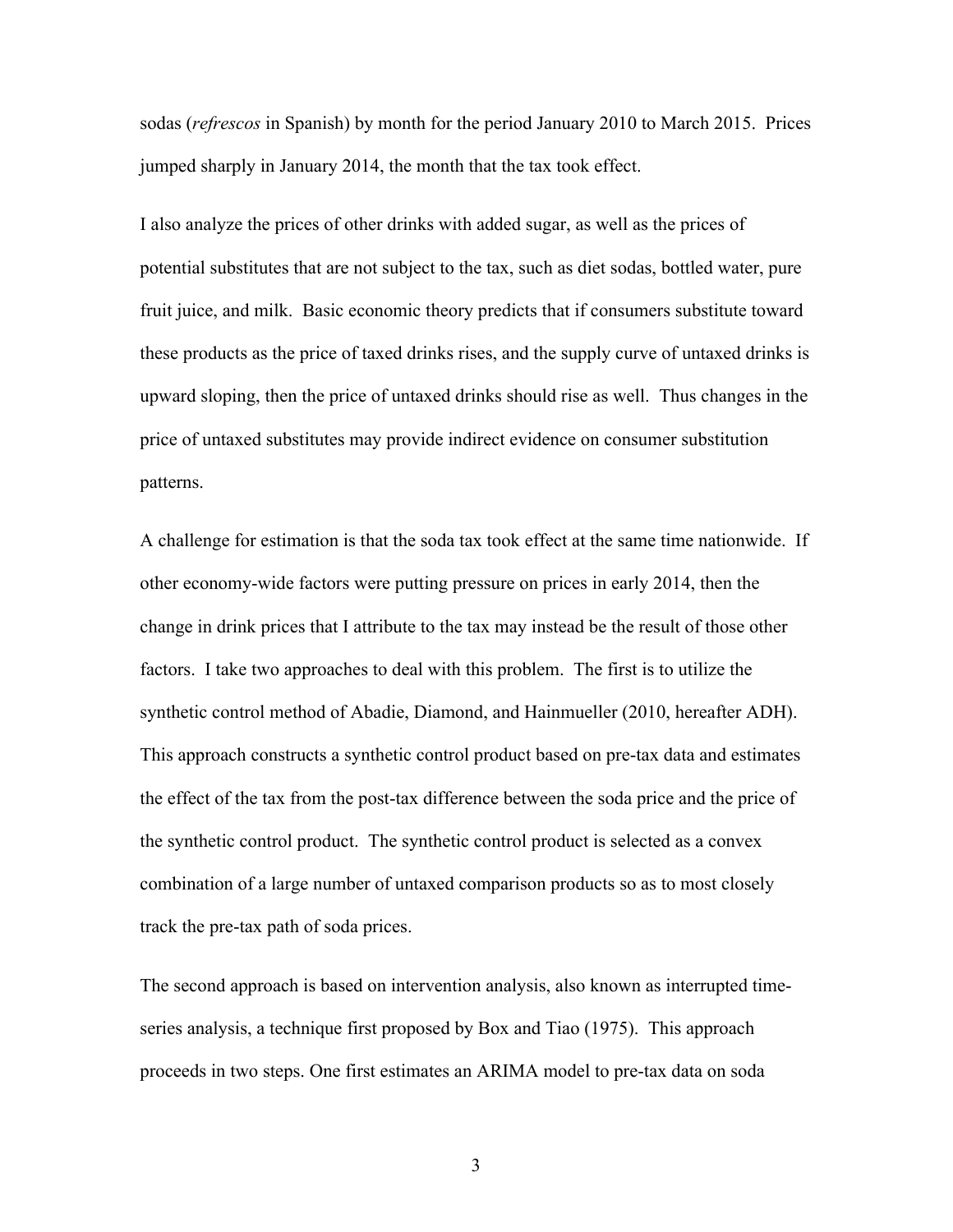sodas (*refrescos* in Spanish) by month for the period January 2010 to March 2015. Prices jumped sharply in January 2014, the month that the tax took effect.

I also analyze the prices of other drinks with added sugar, as well as the prices of potential substitutes that are not subject to the tax, such as diet sodas, bottled water, pure fruit juice, and milk. Basic economic theory predicts that if consumers substitute toward these products as the price of taxed drinks rises, and the supply curve of untaxed drinks is upward sloping, then the price of untaxed drinks should rise as well. Thus changes in the price of untaxed substitutes may provide indirect evidence on consumer substitution patterns.

A challenge for estimation is that the soda tax took effect at the same time nationwide. If other economy-wide factors were putting pressure on prices in early 2014, then the change in drink prices that I attribute to the tax may instead be the result of those other factors. I take two approaches to deal with this problem. The first is to utilize the synthetic control method of Abadie, Diamond, and Hainmueller (2010, hereafter ADH). This approach constructs a synthetic control product based on pre-tax data and estimates the effect of the tax from the post-tax difference between the soda price and the price of the synthetic control product. The synthetic control product is selected as a convex combination of a large number of untaxed comparison products so as to most closely track the pre-tax path of soda prices.

The second approach is based on intervention analysis, also known as interrupted timeseries analysis, a technique first proposed by Box and Tiao (1975). This approach proceeds in two steps. One first estimates an ARIMA model to pre-tax data on soda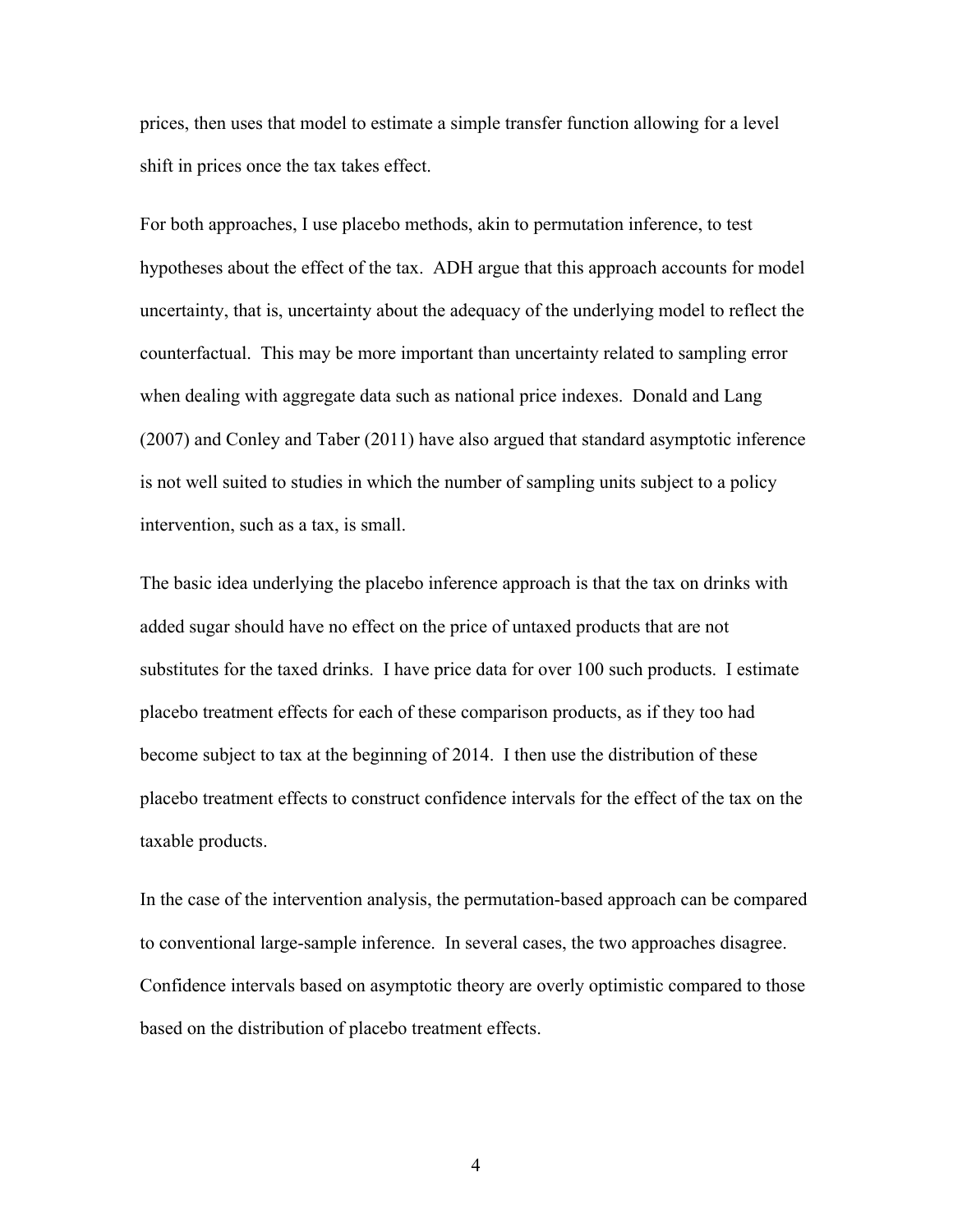prices, then uses that model to estimate a simple transfer function allowing for a level shift in prices once the tax takes effect.

For both approaches, I use placebo methods, akin to permutation inference, to test hypotheses about the effect of the tax. ADH argue that this approach accounts for model uncertainty, that is, uncertainty about the adequacy of the underlying model to reflect the counterfactual. This may be more important than uncertainty related to sampling error when dealing with aggregate data such as national price indexes. Donald and Lang (2007) and Conley and Taber (2011) have also argued that standard asymptotic inference is not well suited to studies in which the number of sampling units subject to a policy intervention, such as a tax, is small.

The basic idea underlying the placebo inference approach is that the tax on drinks with added sugar should have no effect on the price of untaxed products that are not substitutes for the taxed drinks. I have price data for over 100 such products. I estimate placebo treatment effects for each of these comparison products, as if they too had become subject to tax at the beginning of 2014. I then use the distribution of these placebo treatment effects to construct confidence intervals for the effect of the tax on the taxable products.

In the case of the intervention analysis, the permutation-based approach can be compared to conventional large-sample inference. In several cases, the two approaches disagree. Confidence intervals based on asymptotic theory are overly optimistic compared to those based on the distribution of placebo treatment effects.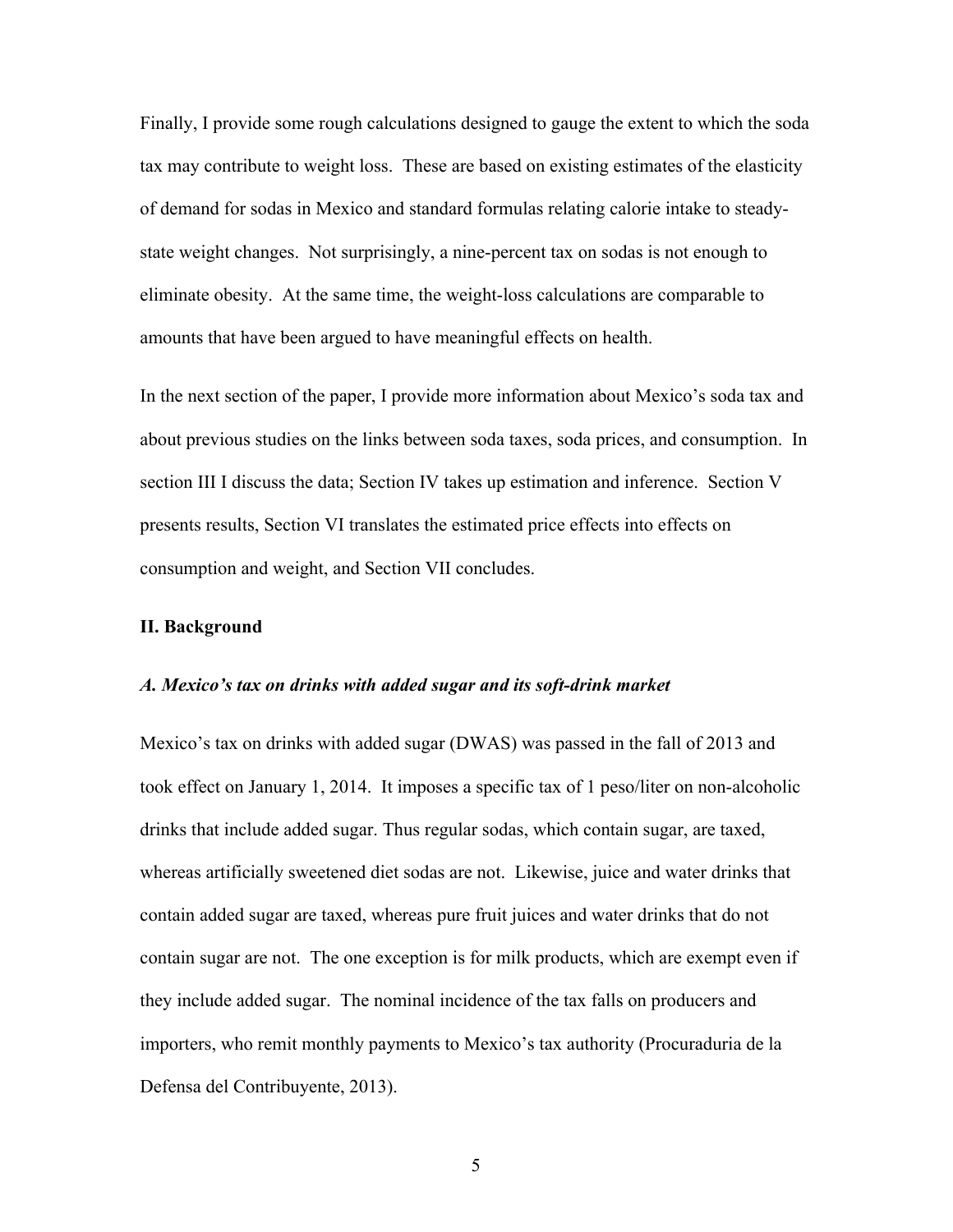Finally, I provide some rough calculations designed to gauge the extent to which the soda tax may contribute to weight loss. These are based on existing estimates of the elasticity of demand for sodas in Mexico and standard formulas relating calorie intake to steadystate weight changes. Not surprisingly, a nine-percent tax on sodas is not enough to eliminate obesity. At the same time, the weight-loss calculations are comparable to amounts that have been argued to have meaningful effects on health.

In the next section of the paper, I provide more information about Mexico's soda tax and about previous studies on the links between soda taxes, soda prices, and consumption. In section III I discuss the data; Section IV takes up estimation and inference. Section V presents results, Section VI translates the estimated price effects into effects on consumption and weight, and Section VII concludes.

# **II. Background**

#### *A. Mexico's tax on drinks with added sugar and its soft-drink market*

Mexico's tax on drinks with added sugar (DWAS) was passed in the fall of 2013 and took effect on January 1, 2014. It imposes a specific tax of 1 peso/liter on non-alcoholic drinks that include added sugar. Thus regular sodas, which contain sugar, are taxed, whereas artificially sweetened diet sodas are not. Likewise, juice and water drinks that contain added sugar are taxed, whereas pure fruit juices and water drinks that do not contain sugar are not. The one exception is for milk products, which are exempt even if they include added sugar. The nominal incidence of the tax falls on producers and importers, who remit monthly payments to Mexico's tax authority (Procuraduria de la Defensa del Contribuyente, 2013).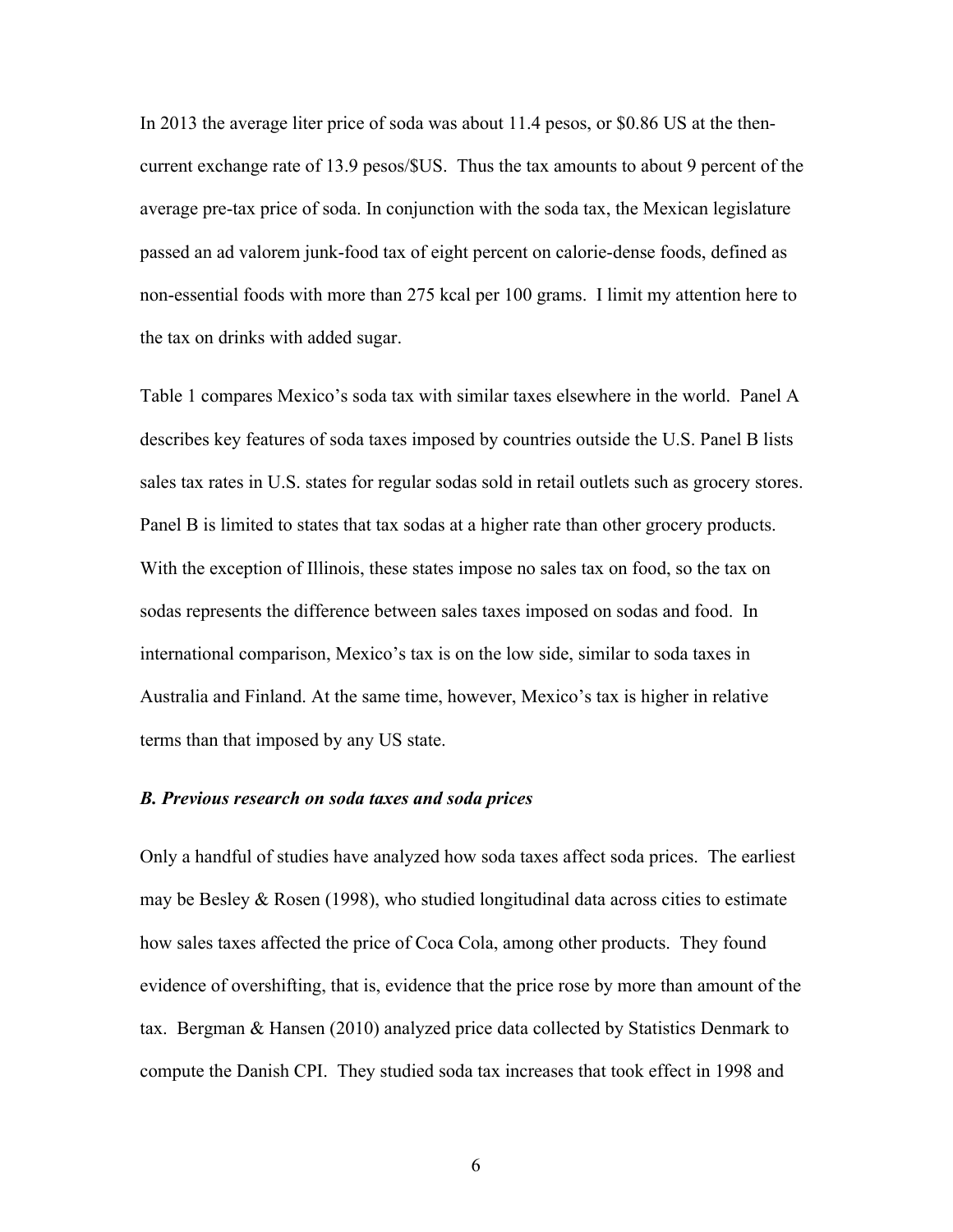In 2013 the average liter price of soda was about 11.4 pesos, or \$0.86 US at the thencurrent exchange rate of 13.9 pesos/\$US. Thus the tax amounts to about 9 percent of the average pre-tax price of soda. In conjunction with the soda tax, the Mexican legislature passed an ad valorem junk-food tax of eight percent on calorie-dense foods, defined as non-essential foods with more than 275 kcal per 100 grams. I limit my attention here to the tax on drinks with added sugar.

Table 1 compares Mexico's soda tax with similar taxes elsewhere in the world. Panel A describes key features of soda taxes imposed by countries outside the U.S. Panel B lists sales tax rates in U.S. states for regular sodas sold in retail outlets such as grocery stores. Panel B is limited to states that tax sodas at a higher rate than other grocery products. With the exception of Illinois, these states impose no sales tax on food, so the tax on sodas represents the difference between sales taxes imposed on sodas and food. In international comparison, Mexico's tax is on the low side, similar to soda taxes in Australia and Finland. At the same time, however, Mexico's tax is higher in relative terms than that imposed by any US state.

# *B. Previous research on soda taxes and soda prices*

Only a handful of studies have analyzed how soda taxes affect soda prices. The earliest may be Besley  $&$  Rosen (1998), who studied longitudinal data across cities to estimate how sales taxes affected the price of Coca Cola, among other products. They found evidence of overshifting, that is, evidence that the price rose by more than amount of the tax. Bergman & Hansen (2010) analyzed price data collected by Statistics Denmark to compute the Danish CPI. They studied soda tax increases that took effect in 1998 and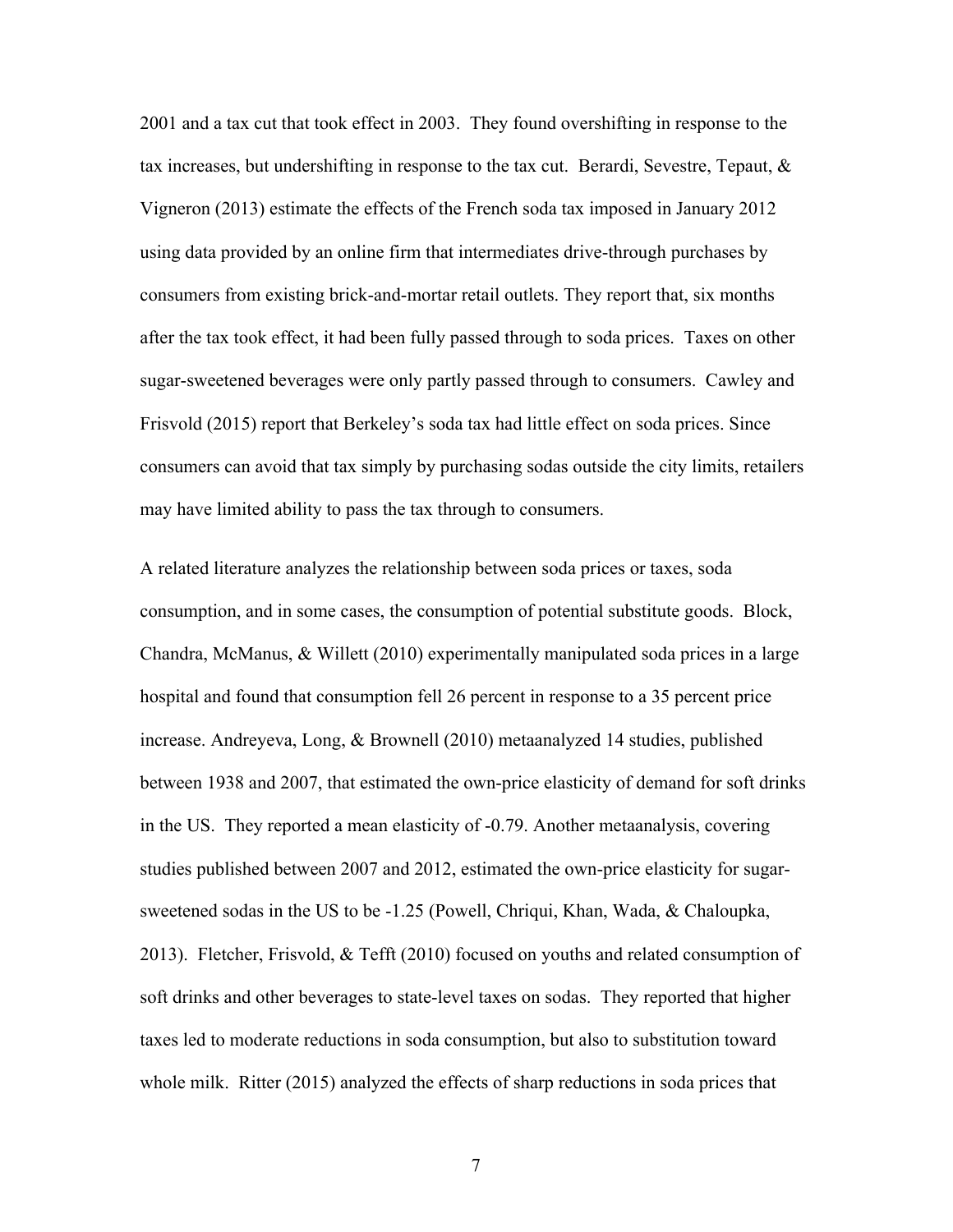2001 and a tax cut that took effect in 2003. They found overshifting in response to the tax increases, but undershifting in response to the tax cut. Berardi, Sevestre, Tepaut, & Vigneron (2013) estimate the effects of the French soda tax imposed in January 2012 using data provided by an online firm that intermediates drive-through purchases by consumers from existing brick-and-mortar retail outlets. They report that, six months after the tax took effect, it had been fully passed through to soda prices. Taxes on other sugar-sweetened beverages were only partly passed through to consumers. Cawley and Frisvold (2015) report that Berkeley's soda tax had little effect on soda prices. Since consumers can avoid that tax simply by purchasing sodas outside the city limits, retailers may have limited ability to pass the tax through to consumers.

A related literature analyzes the relationship between soda prices or taxes, soda consumption, and in some cases, the consumption of potential substitute goods. Block, Chandra, McManus,  $\&$  Willett (2010) experimentally manipulated soda prices in a large hospital and found that consumption fell 26 percent in response to a 35 percent price increase. Andreyeva, Long, & Brownell (2010) metaanalyzed 14 studies, published between 1938 and 2007, that estimated the own-price elasticity of demand for soft drinks in the US. They reported a mean elasticity of -0.79. Another metaanalysis, covering studies published between 2007 and 2012, estimated the own-price elasticity for sugarsweetened sodas in the US to be -1.25 (Powell, Chriqui, Khan, Wada, & Chaloupka, 2013). Fletcher, Frisvold, & Tefft (2010) focused on youths and related consumption of soft drinks and other beverages to state-level taxes on sodas. They reported that higher taxes led to moderate reductions in soda consumption, but also to substitution toward whole milk. Ritter (2015) analyzed the effects of sharp reductions in soda prices that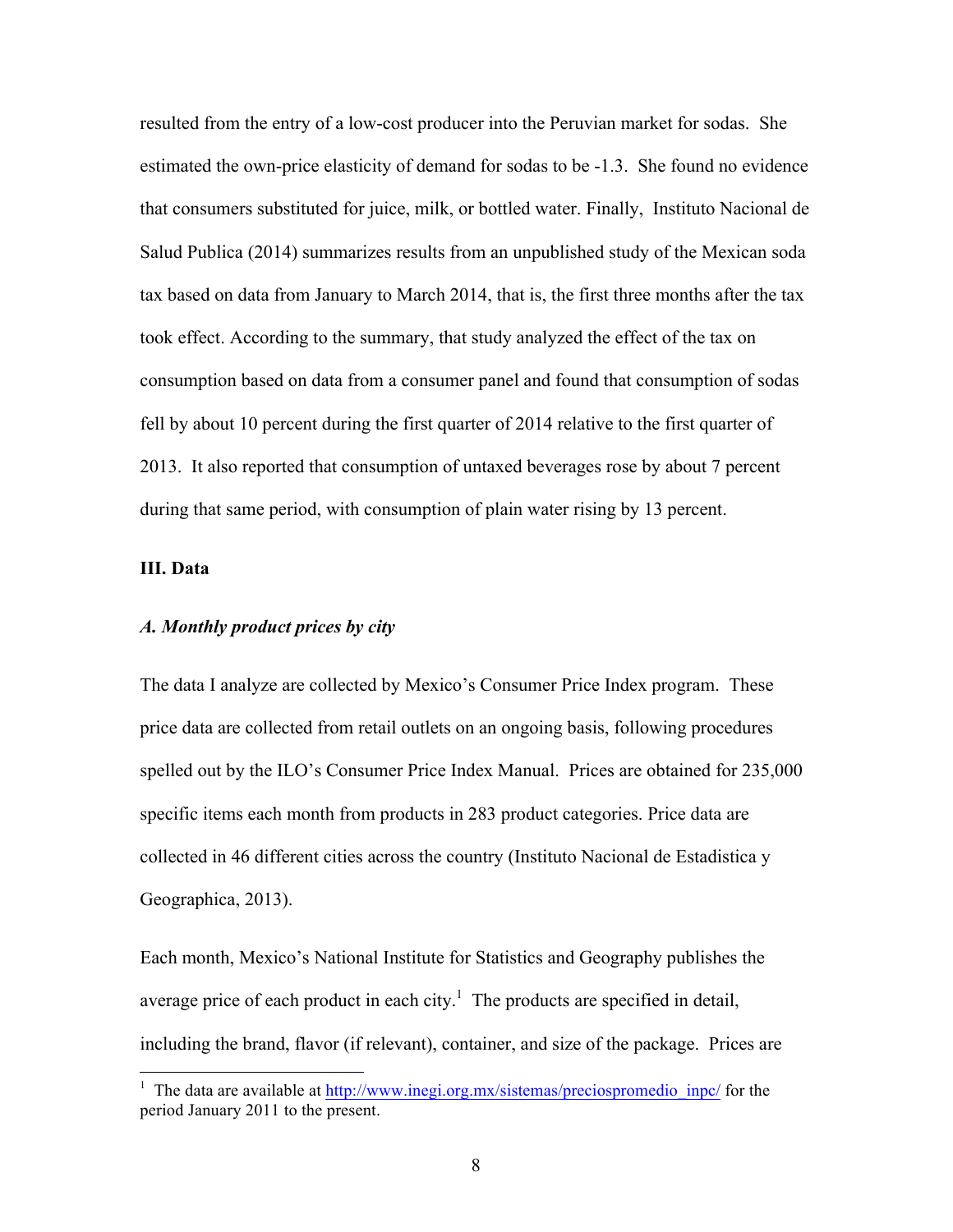resulted from the entry of a low-cost producer into the Peruvian market for sodas. She estimated the own-price elasticity of demand for sodas to be -1.3. She found no evidence that consumers substituted for juice, milk, or bottled water. Finally, Instituto Nacional de Salud Publica (2014) summarizes results from an unpublished study of the Mexican soda tax based on data from January to March 2014, that is, the first three months after the tax took effect. According to the summary, that study analyzed the effect of the tax on consumption based on data from a consumer panel and found that consumption of sodas fell by about 10 percent during the first quarter of 2014 relative to the first quarter of 2013. It also reported that consumption of untaxed beverages rose by about 7 percent during that same period, with consumption of plain water rising by 13 percent.

# **III. Data**

# *A. Monthly product prices by city*

The data I analyze are collected by Mexico's Consumer Price Index program. These price data are collected from retail outlets on an ongoing basis, following procedures spelled out by the ILO's Consumer Price Index Manual. Prices are obtained for 235,000 specific items each month from products in 283 product categories. Price data are collected in 46 different cities across the country (Instituto Nacional de Estadistica y Geographica, 2013).

Each month, Mexico's National Institute for Statistics and Geography publishes the average price of each product in each city.<sup>1</sup> The products are specified in detail, including the brand, flavor (if relevant), container, and size of the package. Prices are

 $\frac{1}{1}$ <sup>1</sup> The data are available at http://www.inegi.org.mx/sistemas/preciospromedio inpc/ for the period January 2011 to the present.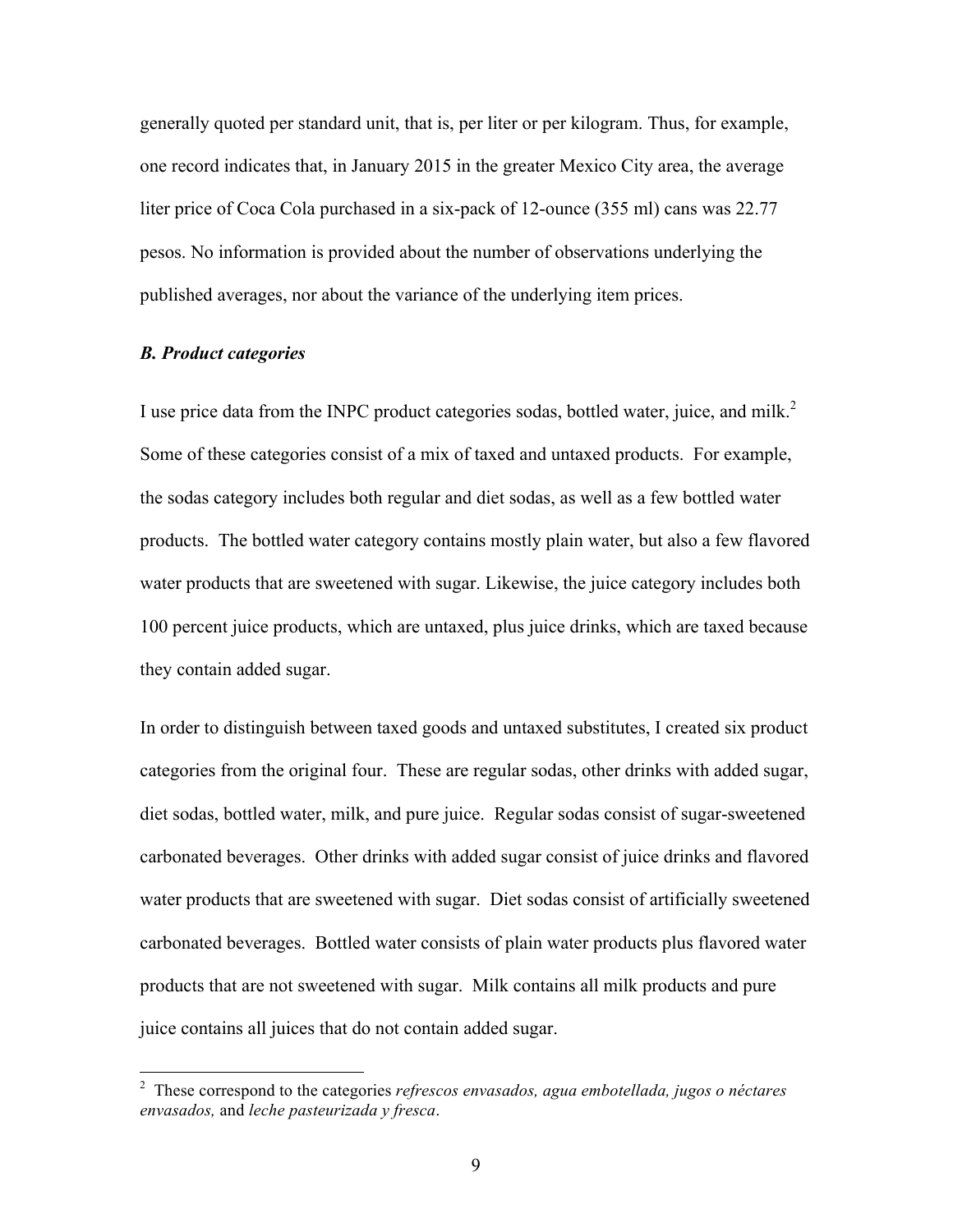generally quoted per standard unit, that is, per liter or per kilogram. Thus, for example, one record indicates that, in January 2015 in the greater Mexico City area, the average liter price of Coca Cola purchased in a six-pack of 12-ounce (355 ml) cans was 22.77 pesos. No information is provided about the number of observations underlying the published averages, nor about the variance of the underlying item prices.

# *B. Product categories*

I use price data from the INPC product categories sodas, bottled water, juice, and milk.<sup>2</sup> Some of these categories consist of a mix of taxed and untaxed products. For example, the sodas category includes both regular and diet sodas, as well as a few bottled water products. The bottled water category contains mostly plain water, but also a few flavored water products that are sweetened with sugar. Likewise, the juice category includes both 100 percent juice products, which are untaxed, plus juice drinks, which are taxed because they contain added sugar.

In order to distinguish between taxed goods and untaxed substitutes, I created six product categories from the original four. These are regular sodas, other drinks with added sugar, diet sodas, bottled water, milk, and pure juice. Regular sodas consist of sugar-sweetened carbonated beverages. Other drinks with added sugar consist of juice drinks and flavored water products that are sweetened with sugar. Diet sodas consist of artificially sweetened carbonated beverages. Bottled water consists of plain water products plus flavored water products that are not sweetened with sugar. Milk contains all milk products and pure juice contains all juices that do not contain added sugar.

 $\frac{1}{2}$  These correspond to the categories *refrescos envasados, agua embotellada, jugos o néctares envasados,* and *leche pasteurizada y fresca*.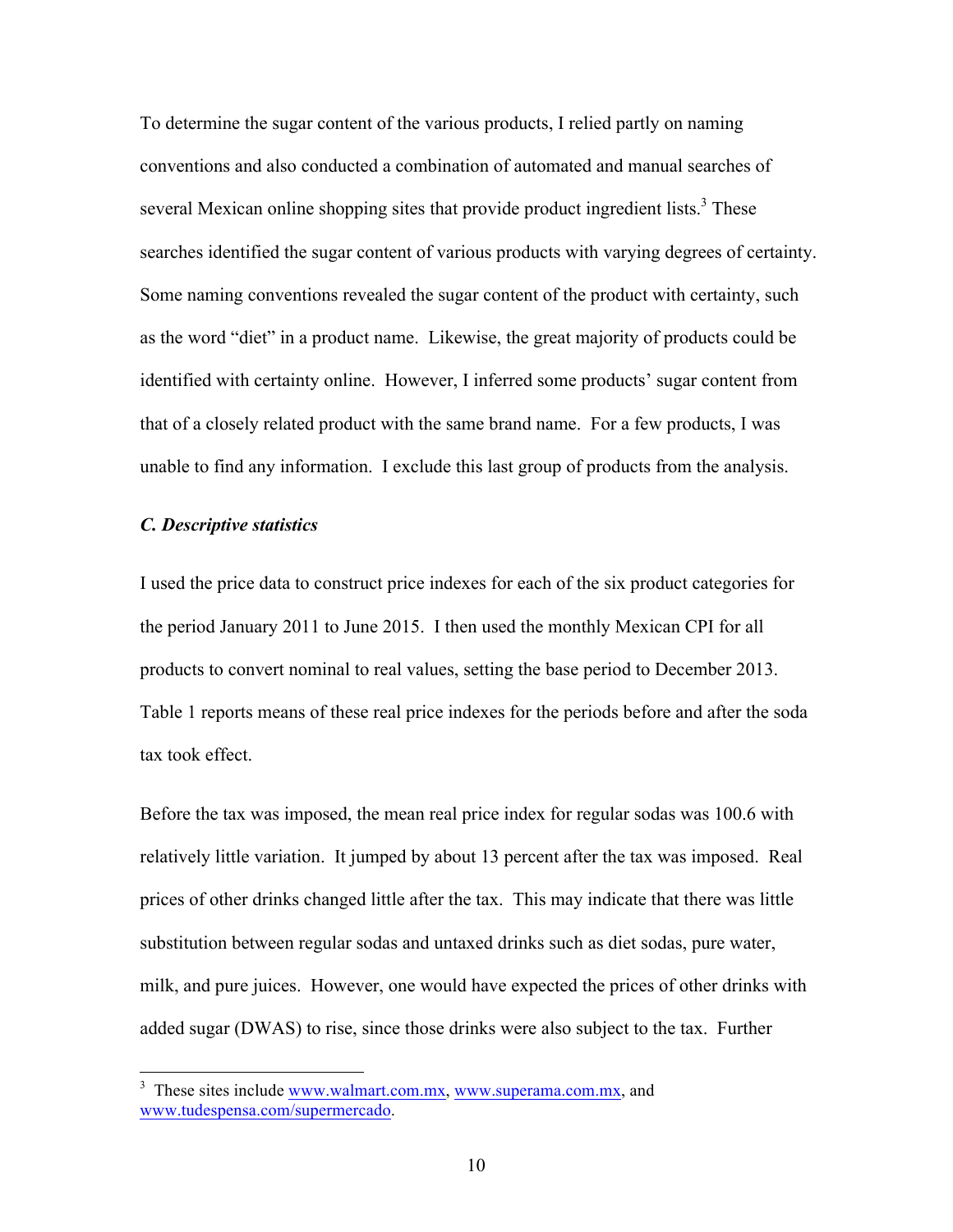To determine the sugar content of the various products, I relied partly on naming conventions and also conducted a combination of automated and manual searches of several Mexican online shopping sites that provide product ingredient lists.<sup>3</sup> These searches identified the sugar content of various products with varying degrees of certainty. Some naming conventions revealed the sugar content of the product with certainty, such as the word "diet" in a product name. Likewise, the great majority of products could be identified with certainty online. However, I inferred some products' sugar content from that of a closely related product with the same brand name. For a few products, I was unable to find any information. I exclude this last group of products from the analysis.

# *C. Descriptive statistics*

I used the price data to construct price indexes for each of the six product categories for the period January 2011 to June 2015. I then used the monthly Mexican CPI for all products to convert nominal to real values, setting the base period to December 2013. Table 1 reports means of these real price indexes for the periods before and after the soda tax took effect.

Before the tax was imposed, the mean real price index for regular sodas was 100.6 with relatively little variation. It jumped by about 13 percent after the tax was imposed. Real prices of other drinks changed little after the tax. This may indicate that there was little substitution between regular sodas and untaxed drinks such as diet sodas, pure water, milk, and pure juices. However, one would have expected the prices of other drinks with added sugar (DWAS) to rise, since those drinks were also subject to the tax. Further

<sup>&</sup>lt;sup>3</sup> <sup>3</sup> These sites include www.walmart.com.mx, www.superama.com.mx, and www.tudespensa.com/supermercado.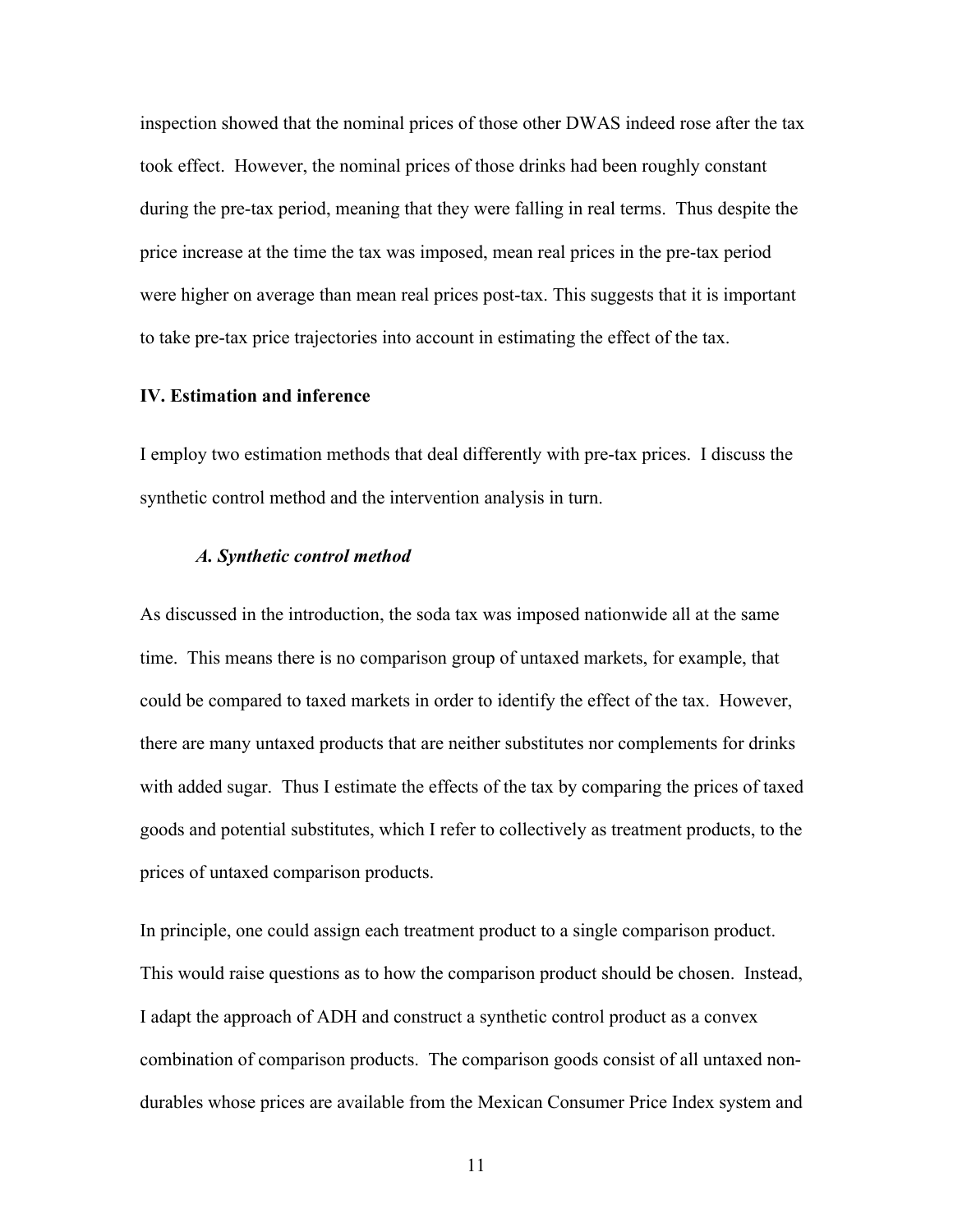inspection showed that the nominal prices of those other DWAS indeed rose after the tax took effect. However, the nominal prices of those drinks had been roughly constant during the pre-tax period, meaning that they were falling in real terms. Thus despite the price increase at the time the tax was imposed, mean real prices in the pre-tax period were higher on average than mean real prices post-tax. This suggests that it is important to take pre-tax price trajectories into account in estimating the effect of the tax.

# **IV. Estimation and inference**

I employ two estimation methods that deal differently with pre-tax prices. I discuss the synthetic control method and the intervention analysis in turn.

### *A. Synthetic control method*

As discussed in the introduction, the soda tax was imposed nationwide all at the same time. This means there is no comparison group of untaxed markets, for example, that could be compared to taxed markets in order to identify the effect of the tax. However, there are many untaxed products that are neither substitutes nor complements for drinks with added sugar. Thus I estimate the effects of the tax by comparing the prices of taxed goods and potential substitutes, which I refer to collectively as treatment products, to the prices of untaxed comparison products.

In principle, one could assign each treatment product to a single comparison product. This would raise questions as to how the comparison product should be chosen. Instead, I adapt the approach of ADH and construct a synthetic control product as a convex combination of comparison products. The comparison goods consist of all untaxed nondurables whose prices are available from the Mexican Consumer Price Index system and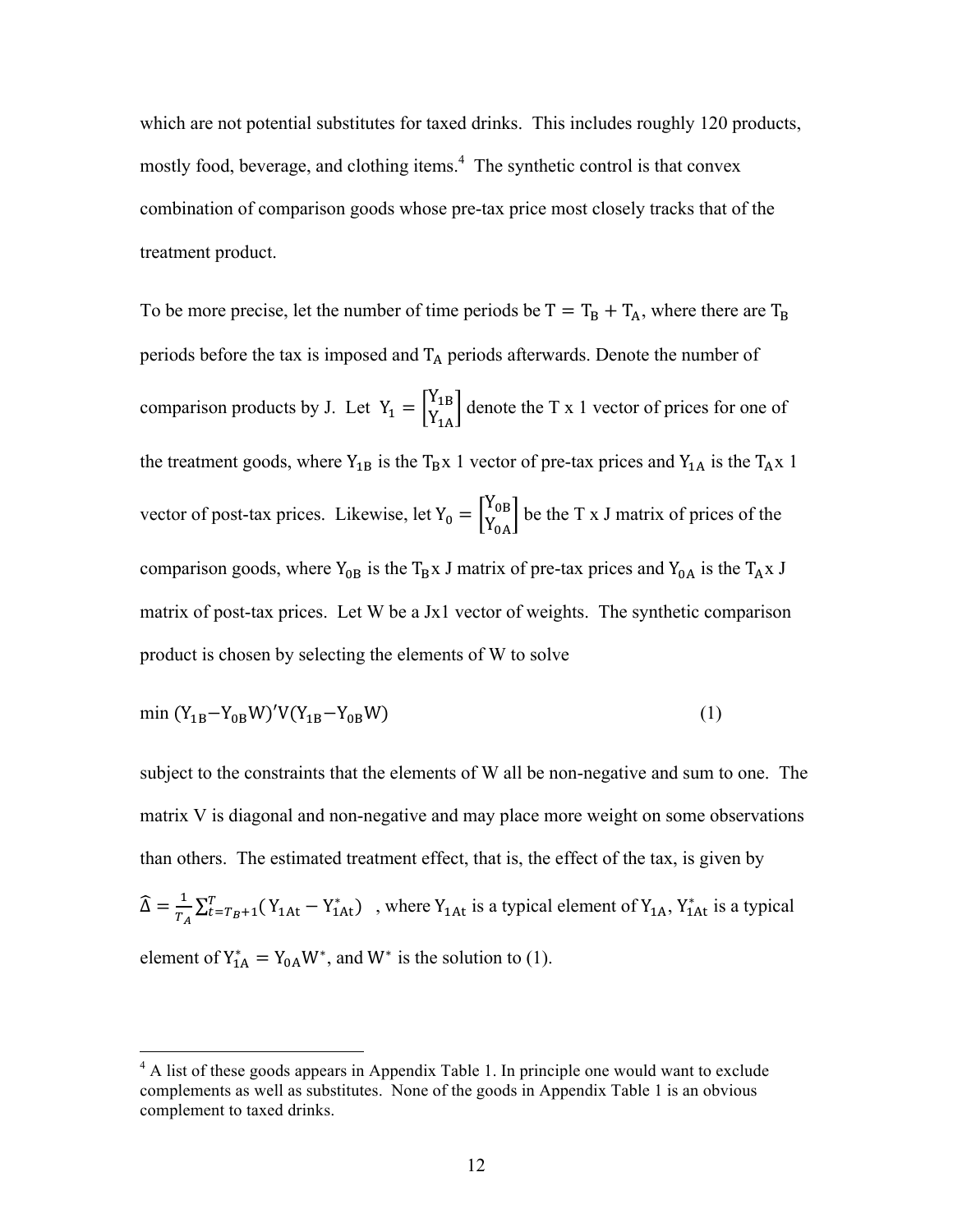which are not potential substitutes for taxed drinks. This includes roughly 120 products, mostly food, beverage, and clothing items. 4 The synthetic control is that convex combination of comparison goods whose pre-tax price most closely tracks that of the treatment product.

To be more precise, let the number of time periods be  $T = T_B + T_A$ , where there are  $T_B$ periods before the tax is imposed and  $T_A$  periods afterwards. Denote the number of comparison products by J. Let  $Y_1 = \begin{bmatrix} Y_{1B} \\ Y_{1A} \end{bmatrix}$  denote the T x 1 vector of prices for one of the treatment goods, where  $Y_{1B}$  is the T<sub>B</sub>x 1 vector of pre-tax prices and  $Y_{1A}$  is the T<sub>A</sub>x 1 vector of post-tax prices. Likewise, let  $Y_0 = \begin{bmatrix} Y_{0B} \\ Y_{0A} \end{bmatrix}$  be the T x J matrix of prices of the comparison goods, where  $Y_{0B}$  is the T<sub>B</sub>x J matrix of pre-tax prices and  $Y_{0A}$  is the T<sub>A</sub>x J matrix of post-tax prices. Let W be a Jx1 vector of weights. The synthetic comparison product is chosen by selecting the elements of W to solve

$$
\min (Y_{1B} - Y_{0B} W)' V (Y_{1B} - Y_{0B} W) \tag{1}
$$

subject to the constraints that the elements of W all be non-negative and sum to one. The matrix V is diagonal and non-negative and may place more weight on some observations than others. The estimated treatment effect, that is, the effect of the tax, is given by  $\widehat{\Delta} = \frac{1}{T_A} \sum_{t=T_B+1}^{T} (Y_{1At} - Y_{1At}^*)$ , where  $Y_{1At}$  is a typical element of  $Y_{1A}$ ,  $Y_{1At}^*$  is a typical element of  $Y_{1A}^* = Y_{0A}W^*$ , and  $W^*$  is the solution to (1).

 $4$  A list of these goods appears in Appendix Table 1. In principle one would want to exclude complements as well as substitutes. None of the goods in Appendix Table 1 is an obvious complement to taxed drinks.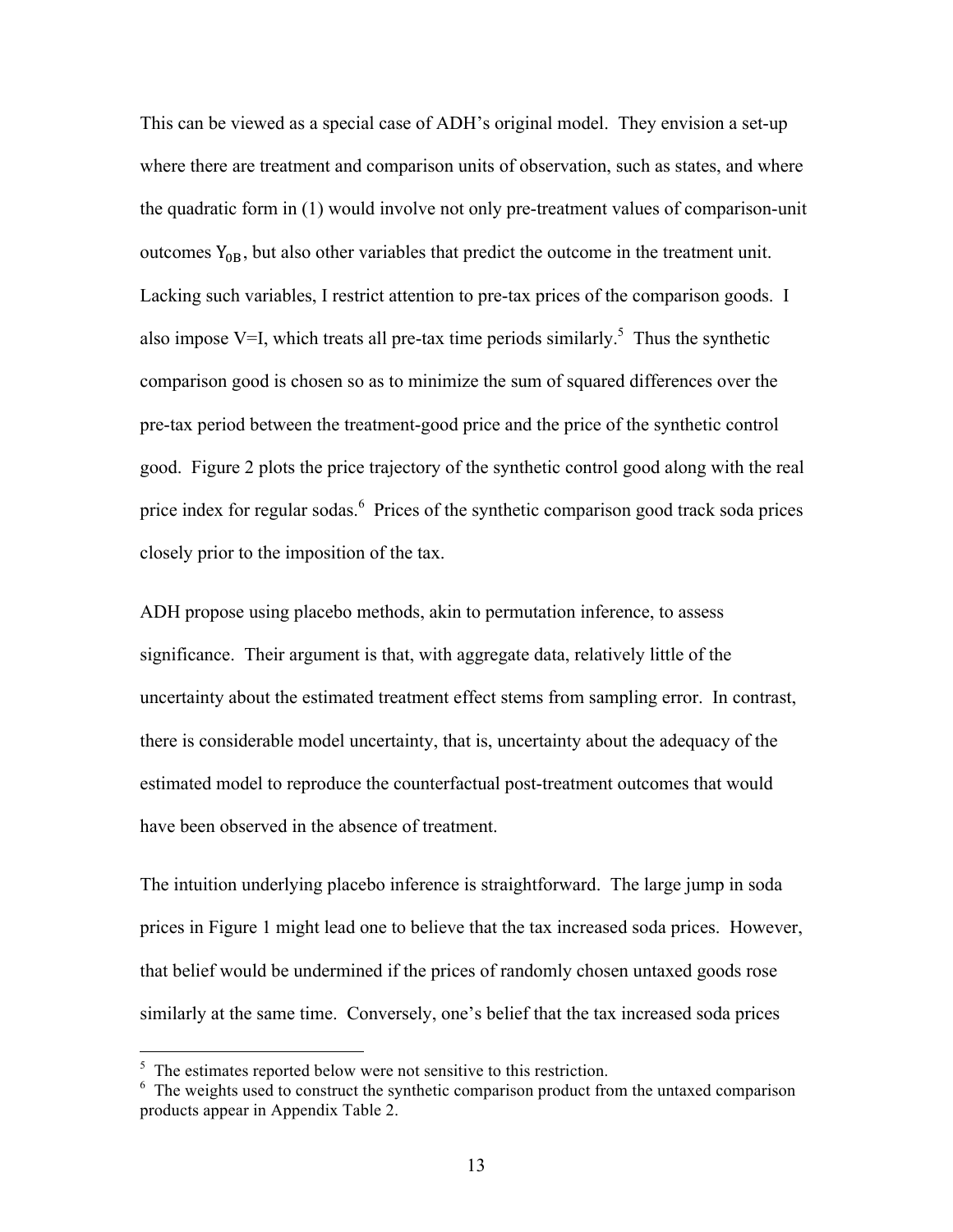This can be viewed as a special case of ADH's original model. They envision a set-up where there are treatment and comparison units of observation, such as states, and where the quadratic form in (1) would involve not only pre-treatment values of comparison-unit outcomes  $Y_{\text{OR}}$ , but also other variables that predict the outcome in the treatment unit. Lacking such variables, I restrict attention to pre-tax prices of the comparison goods. I also impose V=I, which treats all pre-tax time periods similarly.<sup>5</sup> Thus the synthetic comparison good is chosen so as to minimize the sum of squared differences over the pre-tax period between the treatment-good price and the price of the synthetic control good. Figure 2 plots the price trajectory of the synthetic control good along with the real price index for regular sodas.<sup>6</sup> Prices of the synthetic comparison good track soda prices closely prior to the imposition of the tax.

ADH propose using placebo methods, akin to permutation inference, to assess significance. Their argument is that, with aggregate data, relatively little of the uncertainty about the estimated treatment effect stems from sampling error. In contrast, there is considerable model uncertainty, that is, uncertainty about the adequacy of the estimated model to reproduce the counterfactual post-treatment outcomes that would have been observed in the absence of treatment.

The intuition underlying placebo inference is straightforward. The large jump in soda prices in Figure 1 might lead one to believe that the tax increased soda prices. However, that belief would be undermined if the prices of randomly chosen untaxed goods rose similarly at the same time. Conversely, one's belief that the tax increased soda prices

 <sup>5</sup>  $5<sup>5</sup>$  The estimates reported below were not sensitive to this restriction.

 $6\text{ The weights used to construct the synthetic comparison product from the untaxed comparison}$ products appear in Appendix Table 2.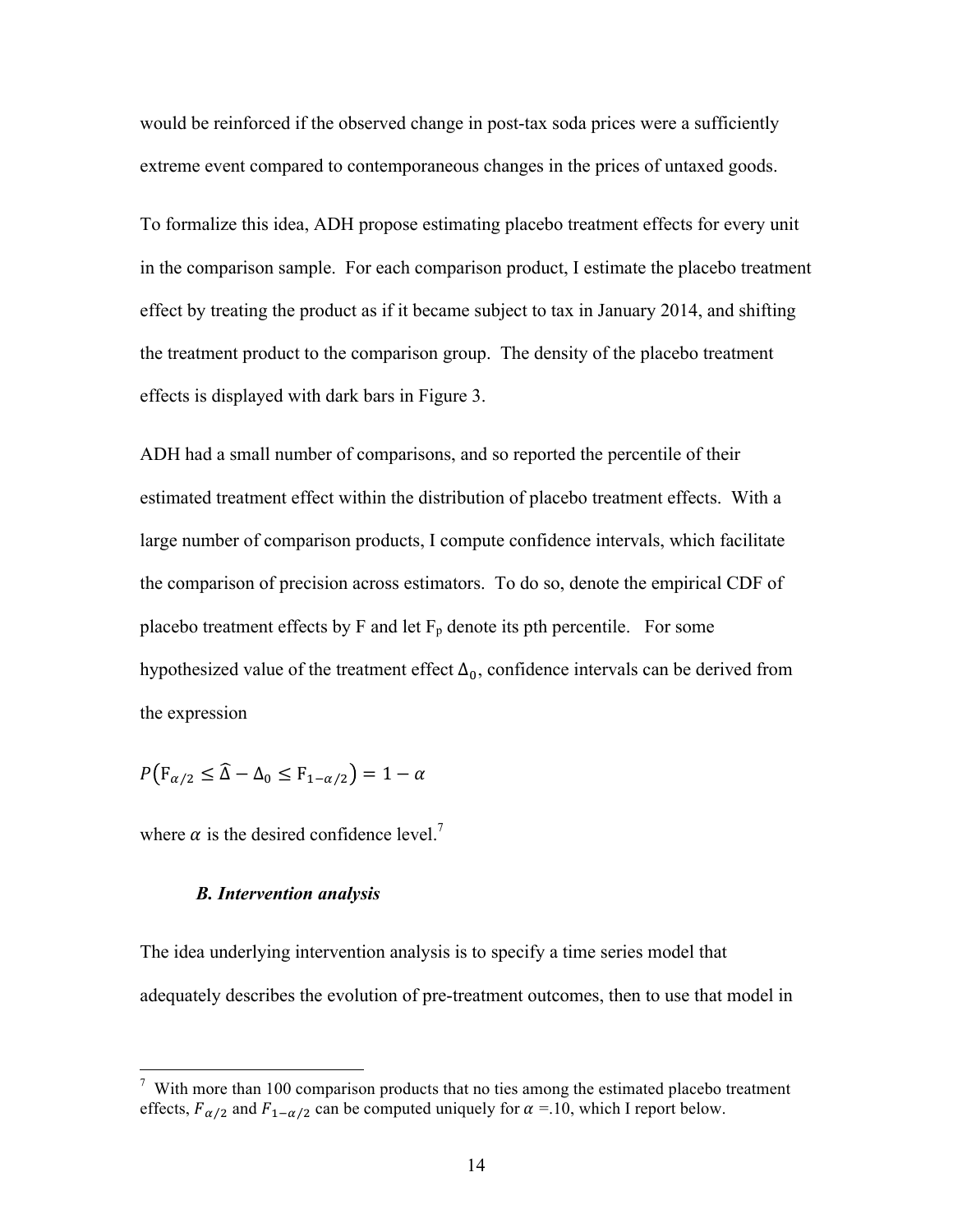would be reinforced if the observed change in post-tax soda prices were a sufficiently extreme event compared to contemporaneous changes in the prices of untaxed goods.

To formalize this idea, ADH propose estimating placebo treatment effects for every unit in the comparison sample. For each comparison product, I estimate the placebo treatment effect by treating the product as if it became subject to tax in January 2014, and shifting the treatment product to the comparison group. The density of the placebo treatment effects is displayed with dark bars in Figure 3.

ADH had a small number of comparisons, and so reported the percentile of their estimated treatment effect within the distribution of placebo treatment effects. With a large number of comparison products, I compute confidence intervals, which facilitate the comparison of precision across estimators. To do so, denote the empirical CDF of placebo treatment effects by F and let  $F<sub>p</sub>$  denote its pth percentile. For some hypothesized value of the treatment effect  $\Delta_0$ , confidence intervals can be derived from the expression

 $P(F_{\alpha/2} \leq \hat{\Delta} - \Delta_0 \leq F_{1-\alpha/2}) = 1 - \alpha$ 

where  $\alpha$  is the desired confidence level.<sup>7</sup>

# *B. Intervention analysis*

The idea underlying intervention analysis is to specify a time series model that adequately describes the evolution of pre-treatment outcomes, then to use that model in

<sup>&</sup>lt;sup>-</sup>7  $\frac{7}{1}$  With more than 100 comparison products that no ties among the estimated placebo treatment effects,  $F_{\alpha/2}$  and  $F_{1-\alpha/2}$  can be computed uniquely for  $\alpha = 10$ , which I report below.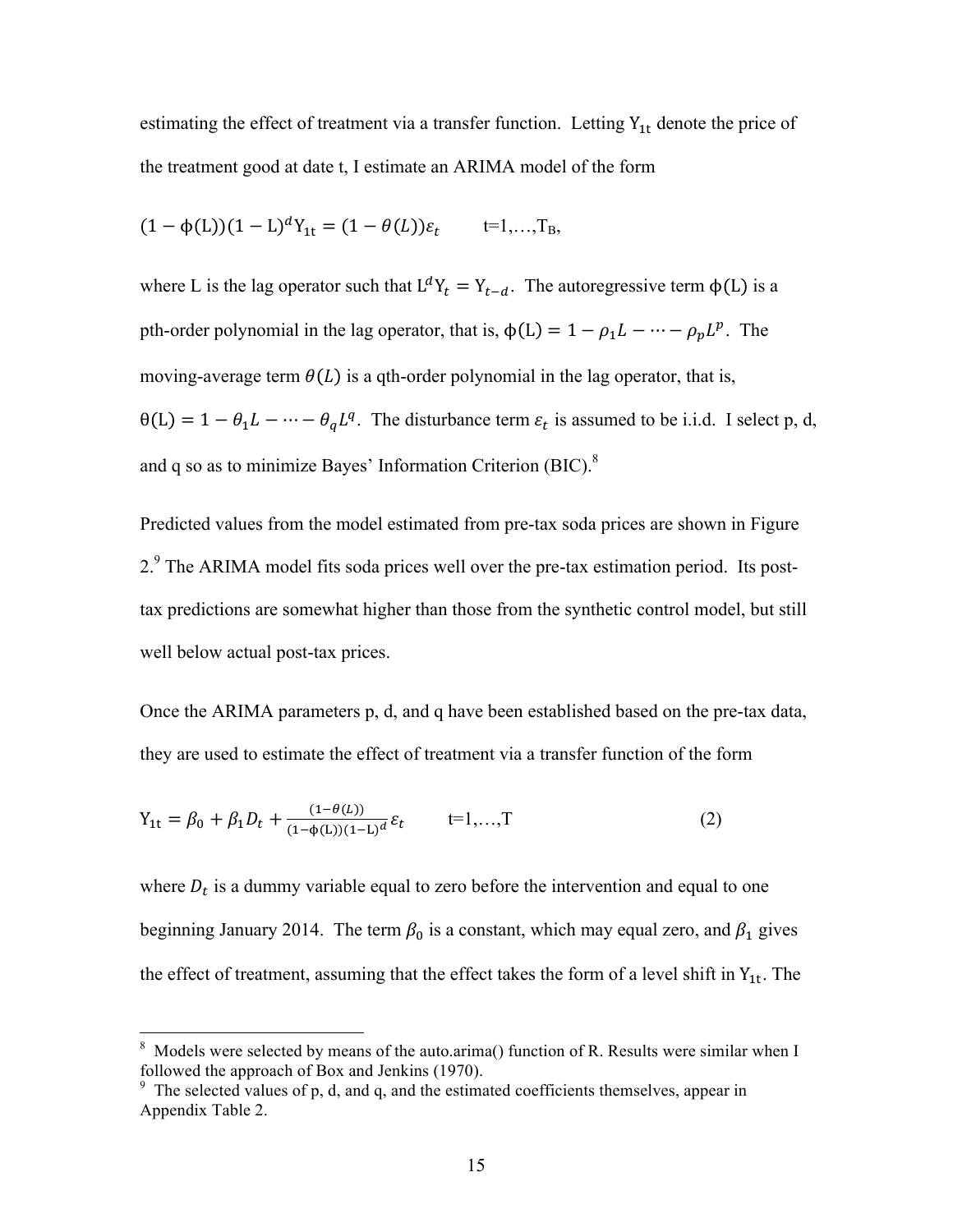estimating the effect of treatment via a transfer function. Letting  $Y_{1t}$  denote the price of the treatment good at date t, I estimate an ARIMA model of the form

$$
(1 - \phi(L))(1 - L)^d Y_{1t} = (1 - \theta(L)) \varepsilon_t
$$
 t=1,...,T<sub>B</sub>,

where L is the lag operator such that  $L^d Y_t = Y_{t-d}$ . The autoregressive term  $\phi(L)$  is a pth-order polynomial in the lag operator, that is,  $\phi(L) = 1 - \rho_1 L - \cdots - \rho_p L^p$ . The moving-average term  $\theta(L)$  is a qth-order polynomial in the lag operator, that is,  $\theta(L) = 1 - \theta_1 L - \cdots - \theta_q L^q$ . The disturbance term  $\varepsilon_t$  is assumed to be i.i.d. I select p, d, and q so as to minimize Bayes' Information Criterion (BIC).<sup>8</sup>

Predicted values from the model estimated from pre-tax soda prices are shown in Figure 2.<sup>9</sup> The ARIMA model fits soda prices well over the pre-tax estimation period. Its posttax predictions are somewhat higher than those from the synthetic control model, but still well below actual post-tax prices.

Once the ARIMA parameters p, d, and q have been established based on the pre-tax data, they are used to estimate the effect of treatment via a transfer function of the form

$$
Y_{1t} = \beta_0 + \beta_1 D_t + \frac{(1 - \theta(L))}{(1 - \phi(L))(1 - L)^d} \varepsilon_t \qquad t = 1, ..., T
$$
 (2)

where  $D_t$  is a dummy variable equal to zero before the intervention and equal to one beginning January 2014. The term  $\beta_0$  is a constant, which may equal zero, and  $\beta_1$  gives the effect of treatment, assuming that the effect takes the form of a level shift in  $Y_{1t}$ . The

 <sup>8</sup> Models were selected by means of the auto.arima() function of R. Results were similar when I followed the approach of Box and Jenkins (1970).

 $9<sup>9</sup>$  The selected values of p, d, and q, and the estimated coefficients themselves, appear in Appendix Table 2.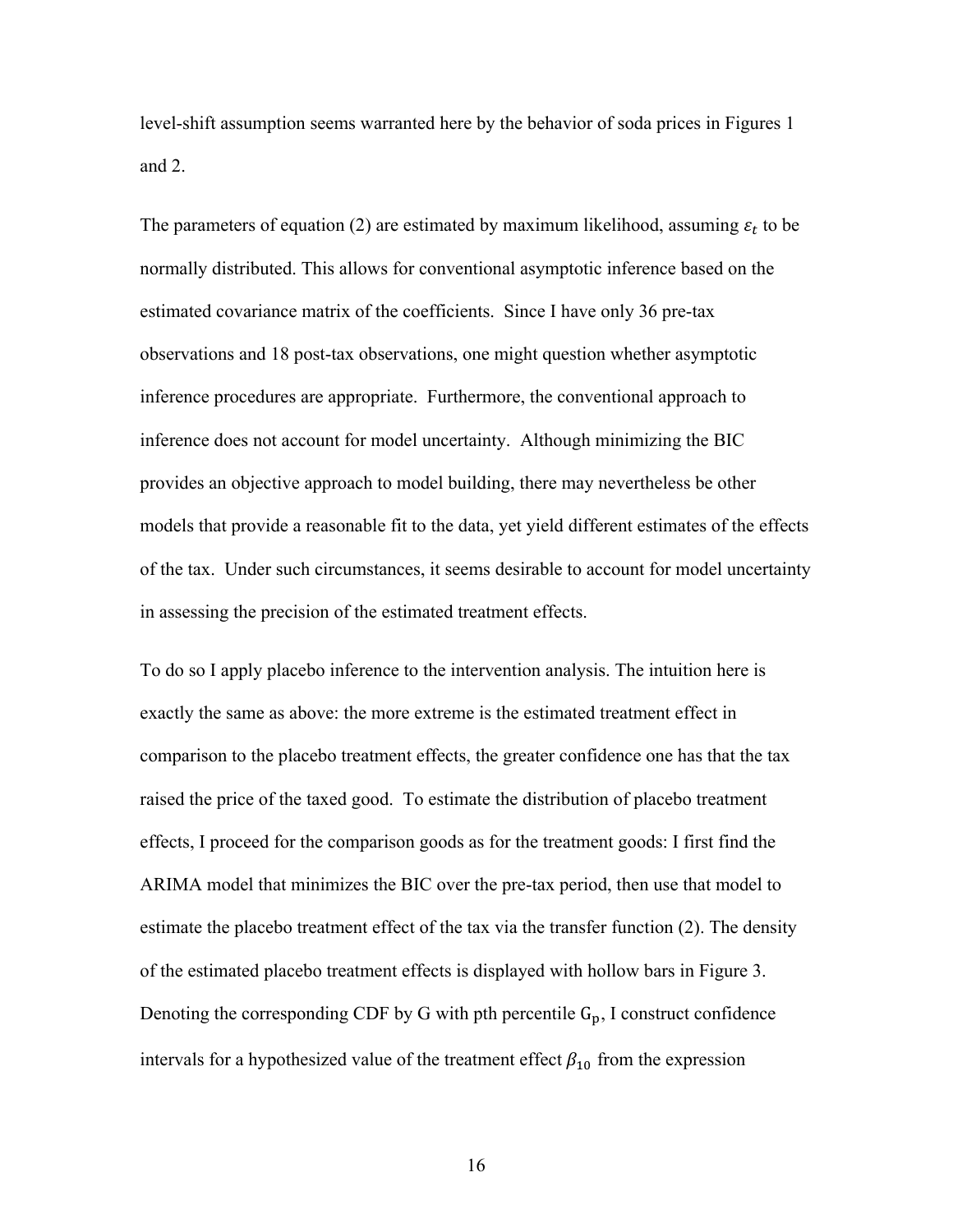level-shift assumption seems warranted here by the behavior of soda prices in Figures 1 and 2.

The parameters of equation (2) are estimated by maximum likelihood, assuming  $\varepsilon_t$  to be normally distributed. This allows for conventional asymptotic inference based on the estimated covariance matrix of the coefficients. Since I have only 36 pre-tax observations and 18 post-tax observations, one might question whether asymptotic inference procedures are appropriate. Furthermore, the conventional approach to inference does not account for model uncertainty. Although minimizing the BIC provides an objective approach to model building, there may nevertheless be other models that provide a reasonable fit to the data, yet yield different estimates of the effects of the tax. Under such circumstances, it seems desirable to account for model uncertainty in assessing the precision of the estimated treatment effects.

To do so I apply placebo inference to the intervention analysis. The intuition here is exactly the same as above: the more extreme is the estimated treatment effect in comparison to the placebo treatment effects, the greater confidence one has that the tax raised the price of the taxed good. To estimate the distribution of placebo treatment effects, I proceed for the comparison goods as for the treatment goods: I first find the ARIMA model that minimizes the BIC over the pre-tax period, then use that model to estimate the placebo treatment effect of the tax via the transfer function (2). The density of the estimated placebo treatment effects is displayed with hollow bars in Figure 3. Denoting the corresponding CDF by G with pth percentile  $G_p$ , I construct confidence intervals for a hypothesized value of the treatment effect  $\beta_{10}$  from the expression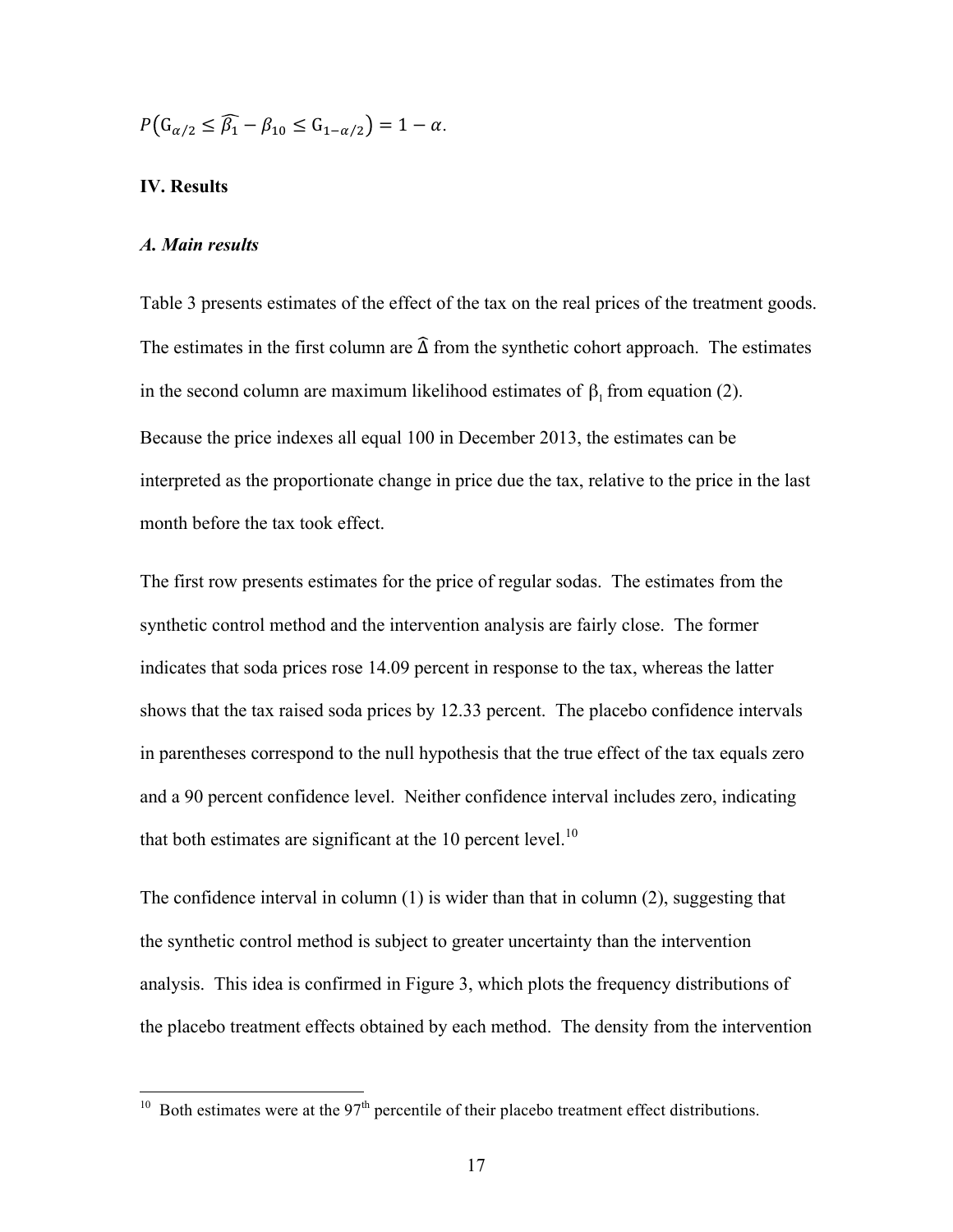$$
P\big(\mathbf{G}_{\alpha/2}\leq \widehat{\beta_1}-\beta_{10}\leq \mathbf{G}_{1-\alpha/2}\big)=1-\alpha.
$$

#### **IV. Results**

#### *A. Main results*

Table 3 presents estimates of the effect of the tax on the real prices of the treatment goods. The estimates in the first column are  $\widehat{\Delta}$  from the synthetic cohort approach. The estimates in the second column are maximum likelihood estimates of  $\beta_1$  from equation (2). Because the price indexes all equal 100 in December 2013, the estimates can be interpreted as the proportionate change in price due the tax, relative to the price in the last month before the tax took effect.

The first row presents estimates for the price of regular sodas. The estimates from the synthetic control method and the intervention analysis are fairly close. The former indicates that soda prices rose 14.09 percent in response to the tax, whereas the latter shows that the tax raised soda prices by 12.33 percent. The placebo confidence intervals in parentheses correspond to the null hypothesis that the true effect of the tax equals zero and a 90 percent confidence level. Neither confidence interval includes zero, indicating that both estimates are significant at the 10 percent level.<sup>10</sup>

The confidence interval in column (1) is wider than that in column (2), suggesting that the synthetic control method is subject to greater uncertainty than the intervention analysis. This idea is confirmed in Figure 3, which plots the frequency distributions of the placebo treatment effects obtained by each method. The density from the intervention

<sup>&</sup>lt;sup>10</sup> Both estimates were at the  $97<sup>th</sup>$  percentile of their placebo treatment effect distributions.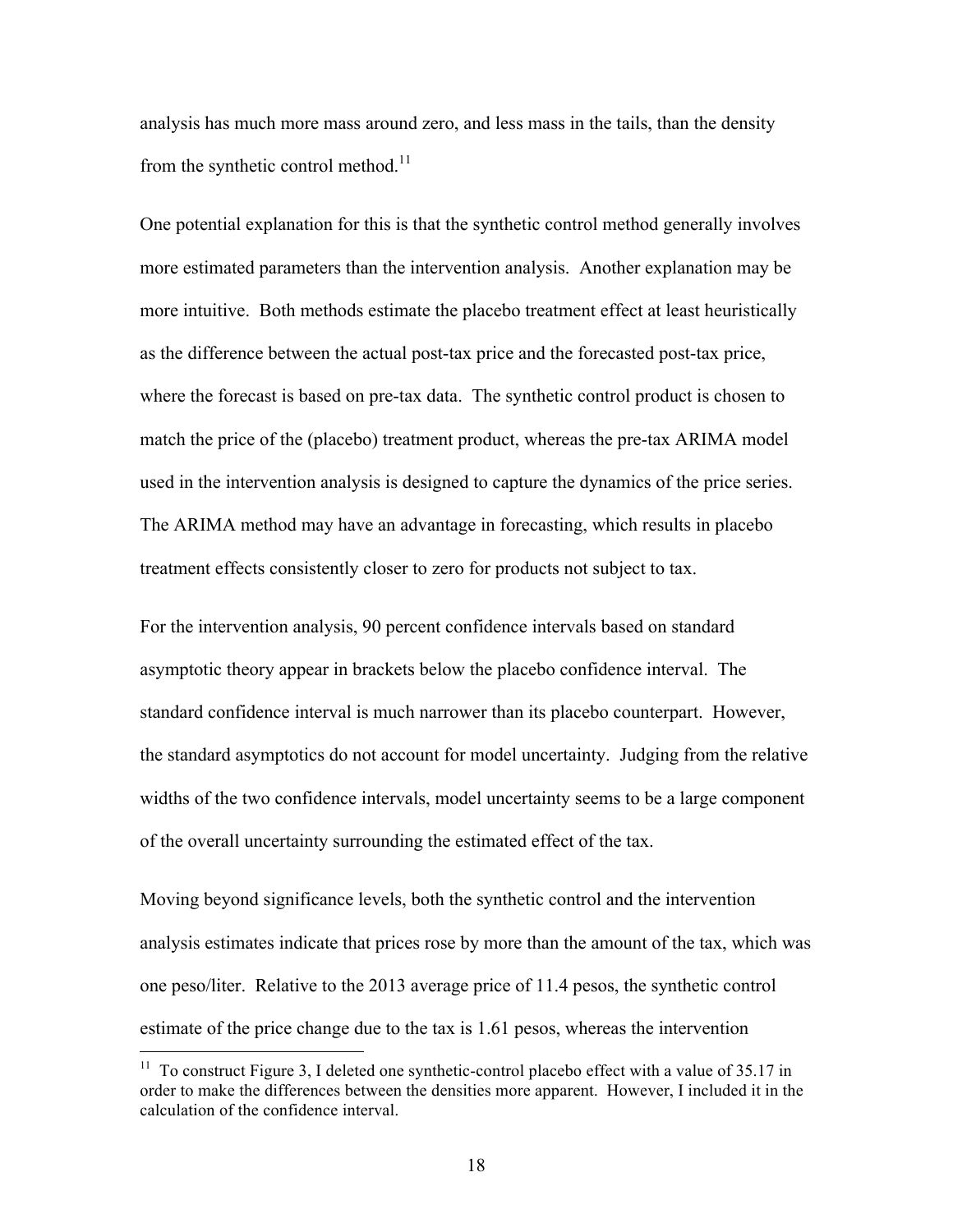analysis has much more mass around zero, and less mass in the tails, than the density from the synthetic control method.<sup>11</sup>

One potential explanation for this is that the synthetic control method generally involves more estimated parameters than the intervention analysis. Another explanation may be more intuitive. Both methods estimate the placebo treatment effect at least heuristically as the difference between the actual post-tax price and the forecasted post-tax price, where the forecast is based on pre-tax data. The synthetic control product is chosen to match the price of the (placebo) treatment product, whereas the pre-tax ARIMA model used in the intervention analysis is designed to capture the dynamics of the price series. The ARIMA method may have an advantage in forecasting, which results in placebo treatment effects consistently closer to zero for products not subject to tax.

For the intervention analysis, 90 percent confidence intervals based on standard asymptotic theory appear in brackets below the placebo confidence interval. The standard confidence interval is much narrower than its placebo counterpart. However, the standard asymptotics do not account for model uncertainty. Judging from the relative widths of the two confidence intervals, model uncertainty seems to be a large component of the overall uncertainty surrounding the estimated effect of the tax.

Moving beyond significance levels, both the synthetic control and the intervention analysis estimates indicate that prices rose by more than the amount of the tax, which was one peso/liter. Relative to the 2013 average price of 11.4 pesos, the synthetic control estimate of the price change due to the tax is 1.61 pesos, whereas the intervention

 $11$  To construct Figure 3, I deleted one synthetic-control placebo effect with a value of 35.17 in order to make the differences between the densities more apparent. However, I included it in the calculation of the confidence interval.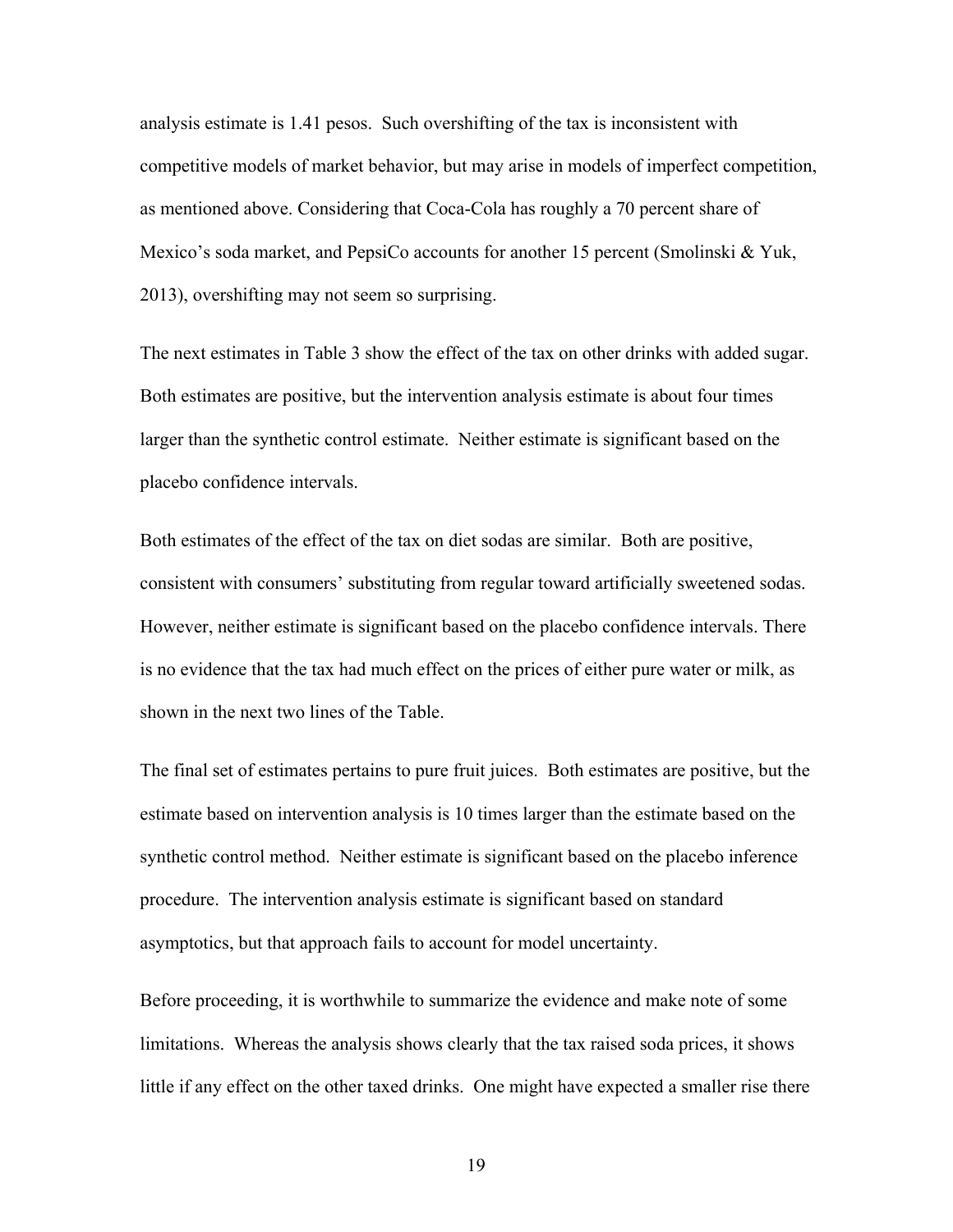analysis estimate is 1.41 pesos. Such overshifting of the tax is inconsistent with competitive models of market behavior, but may arise in models of imperfect competition, as mentioned above. Considering that Coca-Cola has roughly a 70 percent share of Mexico's soda market, and PepsiCo accounts for another 15 percent (Smolinski & Yuk, 2013), overshifting may not seem so surprising.

The next estimates in Table 3 show the effect of the tax on other drinks with added sugar. Both estimates are positive, but the intervention analysis estimate is about four times larger than the synthetic control estimate. Neither estimate is significant based on the placebo confidence intervals.

Both estimates of the effect of the tax on diet sodas are similar. Both are positive, consistent with consumers' substituting from regular toward artificially sweetened sodas. However, neither estimate is significant based on the placebo confidence intervals. There is no evidence that the tax had much effect on the prices of either pure water or milk, as shown in the next two lines of the Table.

The final set of estimates pertains to pure fruit juices. Both estimates are positive, but the estimate based on intervention analysis is 10 times larger than the estimate based on the synthetic control method. Neither estimate is significant based on the placebo inference procedure. The intervention analysis estimate is significant based on standard asymptotics, but that approach fails to account for model uncertainty.

Before proceeding, it is worthwhile to summarize the evidence and make note of some limitations. Whereas the analysis shows clearly that the tax raised soda prices, it shows little if any effect on the other taxed drinks. One might have expected a smaller rise there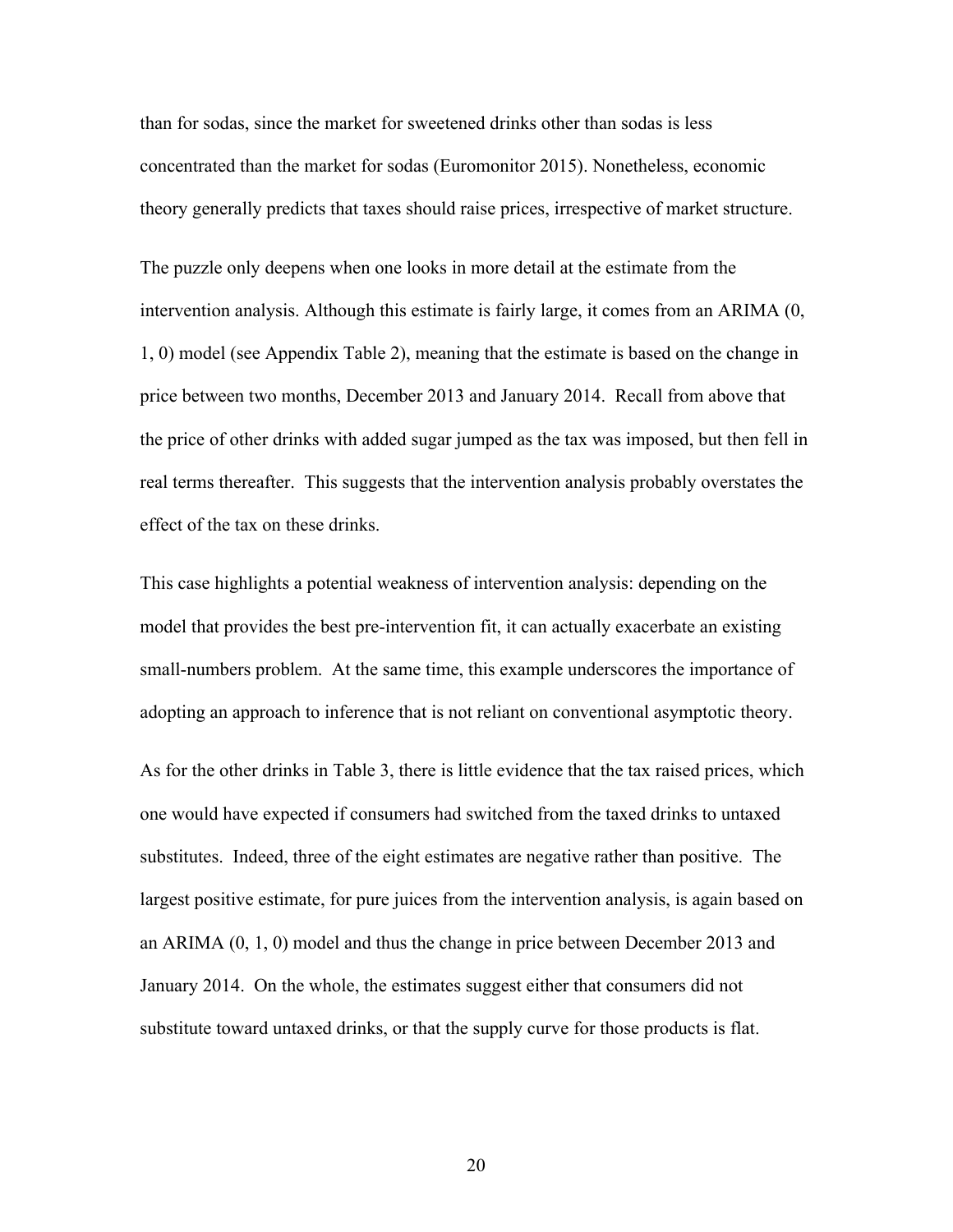than for sodas, since the market for sweetened drinks other than sodas is less concentrated than the market for sodas (Euromonitor 2015). Nonetheless, economic theory generally predicts that taxes should raise prices, irrespective of market structure.

The puzzle only deepens when one looks in more detail at the estimate from the intervention analysis. Although this estimate is fairly large, it comes from an ARIMA (0, 1, 0) model (see Appendix Table 2), meaning that the estimate is based on the change in price between two months, December 2013 and January 2014. Recall from above that the price of other drinks with added sugar jumped as the tax was imposed, but then fell in real terms thereafter. This suggests that the intervention analysis probably overstates the effect of the tax on these drinks.

This case highlights a potential weakness of intervention analysis: depending on the model that provides the best pre-intervention fit, it can actually exacerbate an existing small-numbers problem. At the same time, this example underscores the importance of adopting an approach to inference that is not reliant on conventional asymptotic theory.

As for the other drinks in Table 3, there is little evidence that the tax raised prices, which one would have expected if consumers had switched from the taxed drinks to untaxed substitutes. Indeed, three of the eight estimates are negative rather than positive. The largest positive estimate, for pure juices from the intervention analysis, is again based on an ARIMA (0, 1, 0) model and thus the change in price between December 2013 and January 2014. On the whole, the estimates suggest either that consumers did not substitute toward untaxed drinks, or that the supply curve for those products is flat.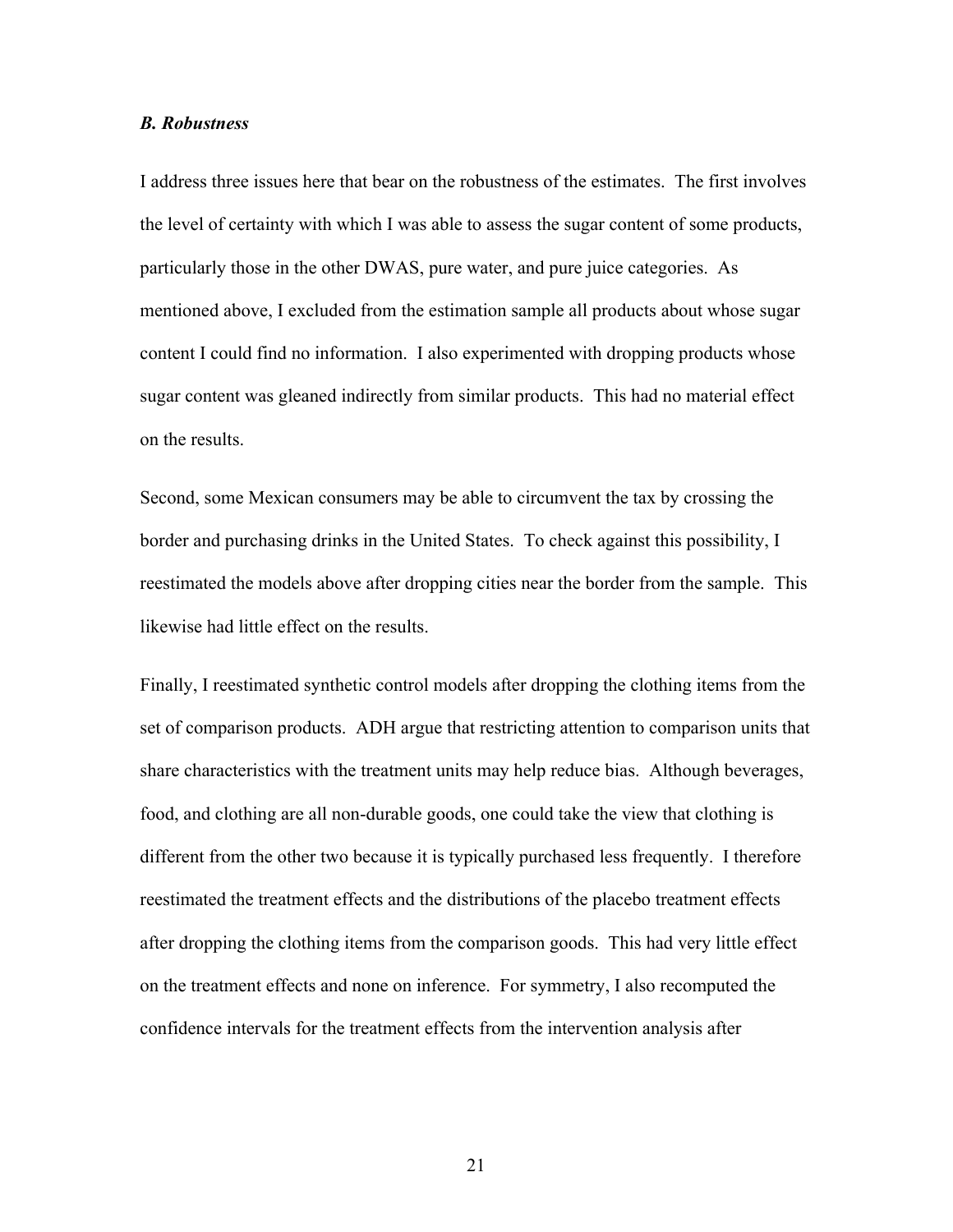# *B. Robustness*

I address three issues here that bear on the robustness of the estimates. The first involves the level of certainty with which I was able to assess the sugar content of some products, particularly those in the other DWAS, pure water, and pure juice categories. As mentioned above, I excluded from the estimation sample all products about whose sugar content I could find no information. I also experimented with dropping products whose sugar content was gleaned indirectly from similar products. This had no material effect on the results.

Second, some Mexican consumers may be able to circumvent the tax by crossing the border and purchasing drinks in the United States. To check against this possibility, I reestimated the models above after dropping cities near the border from the sample. This likewise had little effect on the results.

Finally, I reestimated synthetic control models after dropping the clothing items from the set of comparison products. ADH argue that restricting attention to comparison units that share characteristics with the treatment units may help reduce bias. Although beverages, food, and clothing are all non-durable goods, one could take the view that clothing is different from the other two because it is typically purchased less frequently. I therefore reestimated the treatment effects and the distributions of the placebo treatment effects after dropping the clothing items from the comparison goods. This had very little effect on the treatment effects and none on inference. For symmetry, I also recomputed the confidence intervals for the treatment effects from the intervention analysis after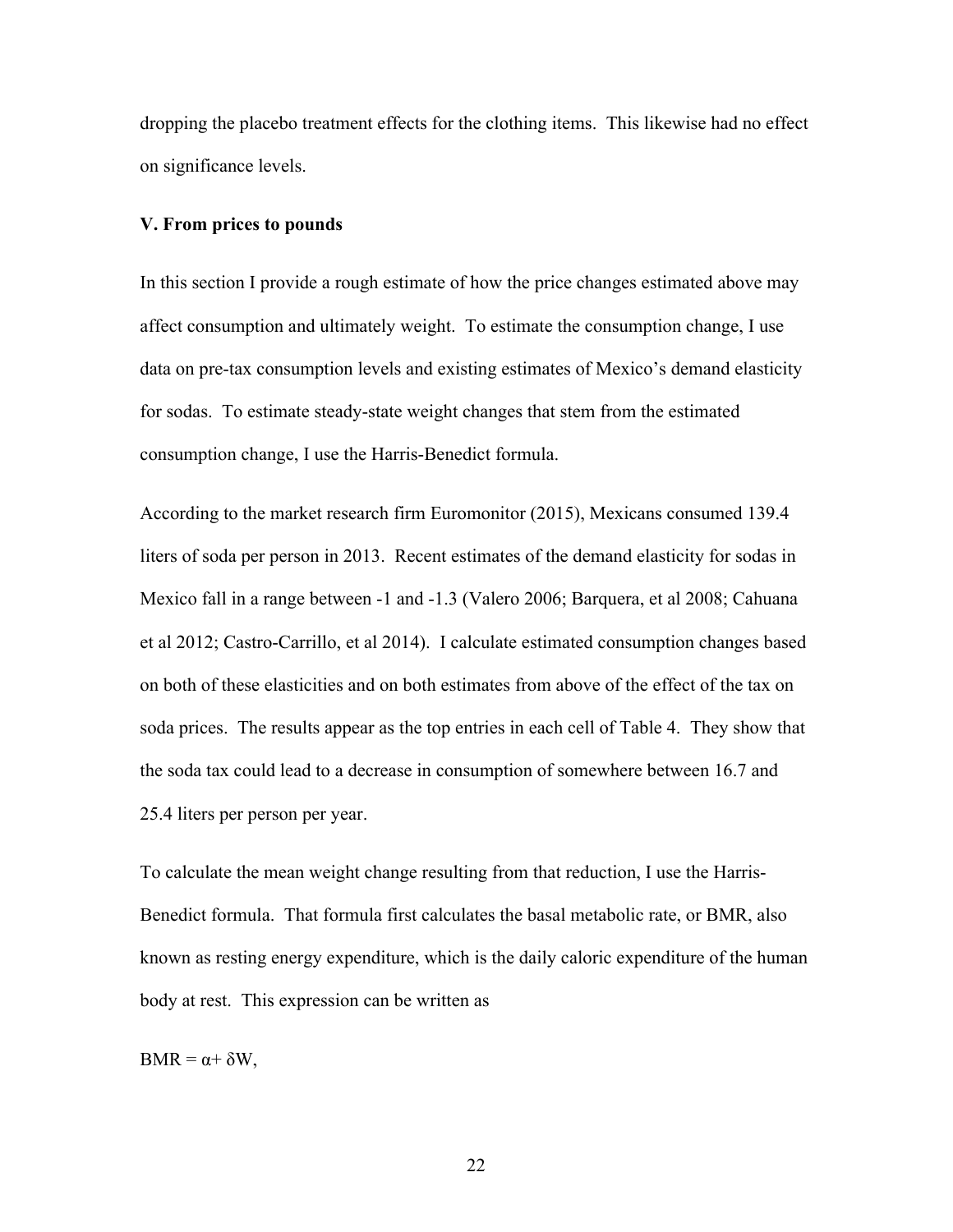dropping the placebo treatment effects for the clothing items. This likewise had no effect on significance levels.

### **V. From prices to pounds**

In this section I provide a rough estimate of how the price changes estimated above may affect consumption and ultimately weight. To estimate the consumption change, I use data on pre-tax consumption levels and existing estimates of Mexico's demand elasticity for sodas. To estimate steady-state weight changes that stem from the estimated consumption change, I use the Harris-Benedict formula.

According to the market research firm Euromonitor (2015), Mexicans consumed 139.4 liters of soda per person in 2013. Recent estimates of the demand elasticity for sodas in Mexico fall in a range between -1 and -1.3 (Valero 2006; Barquera, et al 2008; Cahuana et al 2012; Castro-Carrillo, et al 2014). I calculate estimated consumption changes based on both of these elasticities and on both estimates from above of the effect of the tax on soda prices. The results appear as the top entries in each cell of Table 4. They show that the soda tax could lead to a decrease in consumption of somewhere between 16.7 and 25.4 liters per person per year.

To calculate the mean weight change resulting from that reduction, I use the Harris-Benedict formula. That formula first calculates the basal metabolic rate, or BMR, also known as resting energy expenditure, which is the daily caloric expenditure of the human body at rest. This expression can be written as

 $BMR = \alpha + \delta W$ ,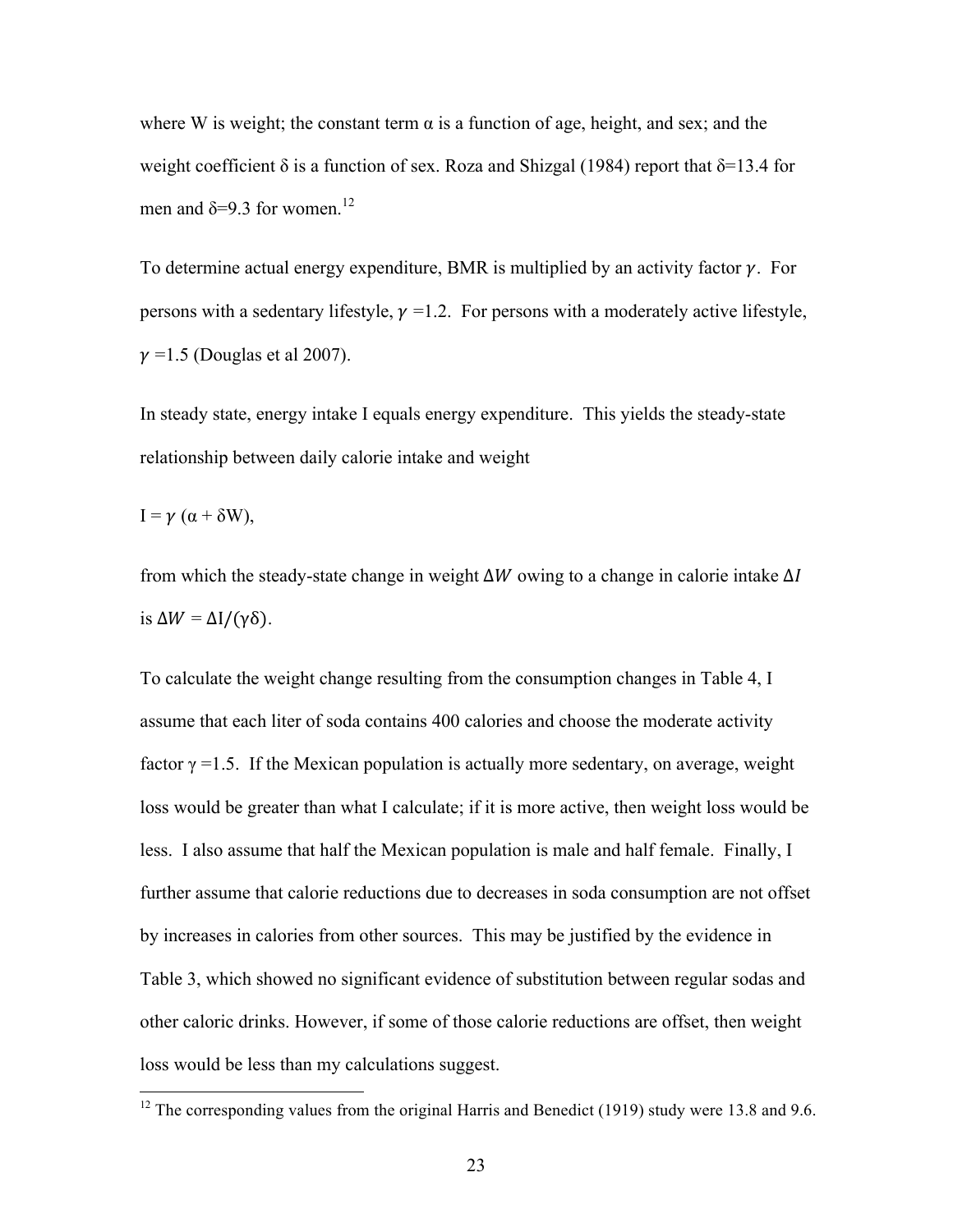where W is weight; the constant term  $\alpha$  is a function of age, height, and sex; and the weight coefficient  $\delta$  is a function of sex. Roza and Shizgal (1984) report that  $\delta$ =13.4 for men and  $\delta = 9.3$  for women.<sup>12</sup>

To determine actual energy expenditure, BMR is multiplied by an activity factor  $\gamma$ . For persons with a sedentary lifestyle,  $\nu = 1.2$ . For persons with a moderately active lifestyle,  $\nu$  =1.5 (Douglas et al 2007).

In steady state, energy intake I equals energy expenditure. This yields the steady-state relationship between daily calorie intake and weight

 $I = \gamma (\alpha + \delta W)$ ,

from which the steady-state change in weight  $\Delta W$  owing to a change in calorie intake  $\Delta I$ is  $\Delta W = \Delta I/(\gamma \delta)$ .

To calculate the weight change resulting from the consumption changes in Table 4, I assume that each liter of soda contains 400 calories and choose the moderate activity factor  $\gamma$  =1.5. If the Mexican population is actually more sedentary, on average, weight loss would be greater than what I calculate; if it is more active, then weight loss would be less. I also assume that half the Mexican population is male and half female. Finally, I further assume that calorie reductions due to decreases in soda consumption are not offset by increases in calories from other sources. This may be justified by the evidence in Table 3, which showed no significant evidence of substitution between regular sodas and other caloric drinks. However, if some of those calorie reductions are offset, then weight loss would be less than my calculations suggest.

<sup>&</sup>lt;sup>12</sup> The corresponding values from the original Harris and Benedict (1919) study were 13.8 and 9.6.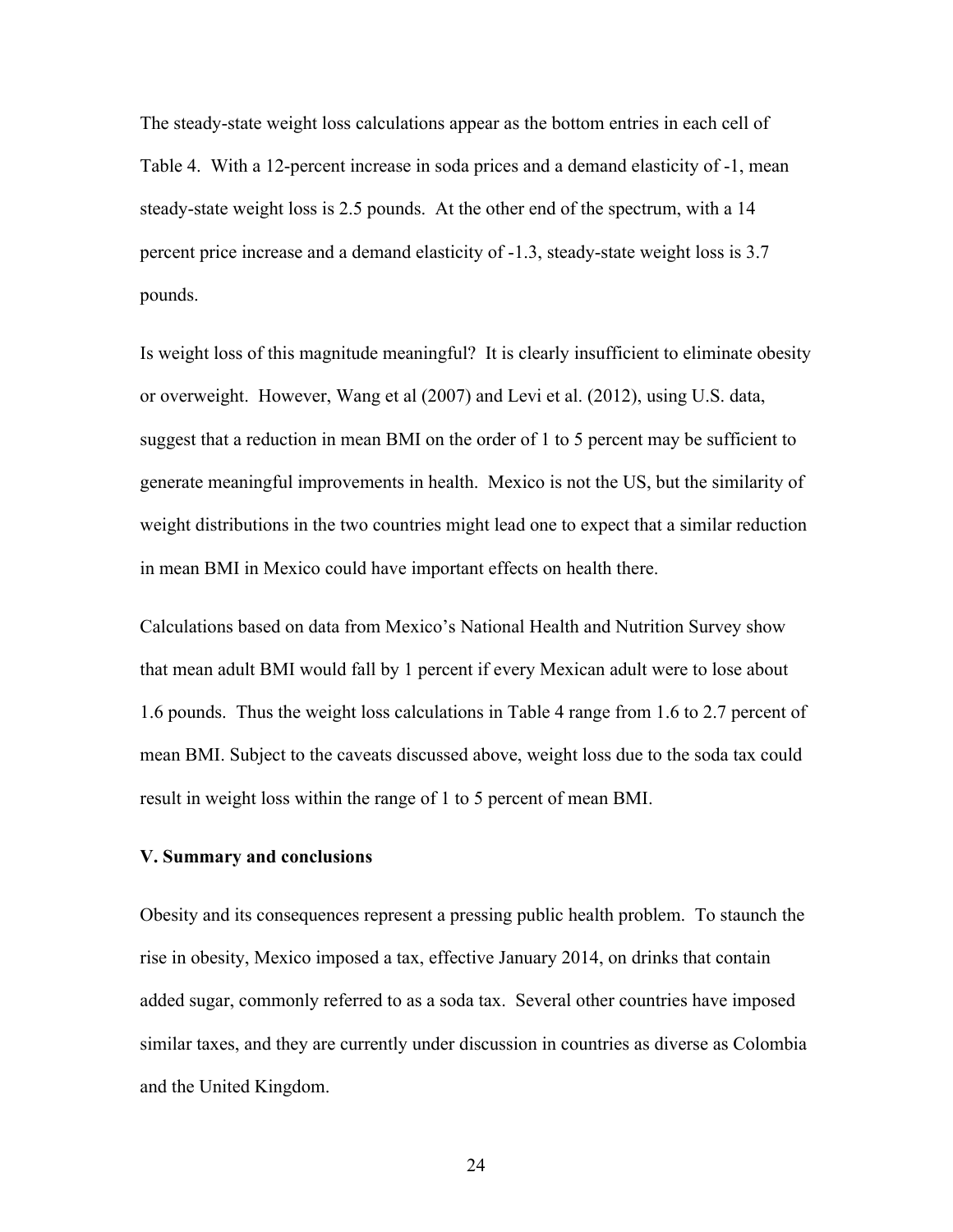The steady-state weight loss calculations appear as the bottom entries in each cell of Table 4. With a 12-percent increase in soda prices and a demand elasticity of -1, mean steady-state weight loss is 2.5 pounds. At the other end of the spectrum, with a 14 percent price increase and a demand elasticity of -1.3, steady-state weight loss is 3.7 pounds.

Is weight loss of this magnitude meaningful? It is clearly insufficient to eliminate obesity or overweight. However, Wang et al (2007) and Levi et al. (2012), using U.S. data, suggest that a reduction in mean BMI on the order of 1 to 5 percent may be sufficient to generate meaningful improvements in health. Mexico is not the US, but the similarity of weight distributions in the two countries might lead one to expect that a similar reduction in mean BMI in Mexico could have important effects on health there.

Calculations based on data from Mexico's National Health and Nutrition Survey show that mean adult BMI would fall by 1 percent if every Mexican adult were to lose about 1.6 pounds. Thus the weight loss calculations in Table 4 range from 1.6 to 2.7 percent of mean BMI. Subject to the caveats discussed above, weight loss due to the soda tax could result in weight loss within the range of 1 to 5 percent of mean BMI.

# **V. Summary and conclusions**

Obesity and its consequences represent a pressing public health problem. To staunch the rise in obesity, Mexico imposed a tax, effective January 2014, on drinks that contain added sugar, commonly referred to as a soda tax. Several other countries have imposed similar taxes, and they are currently under discussion in countries as diverse as Colombia and the United Kingdom.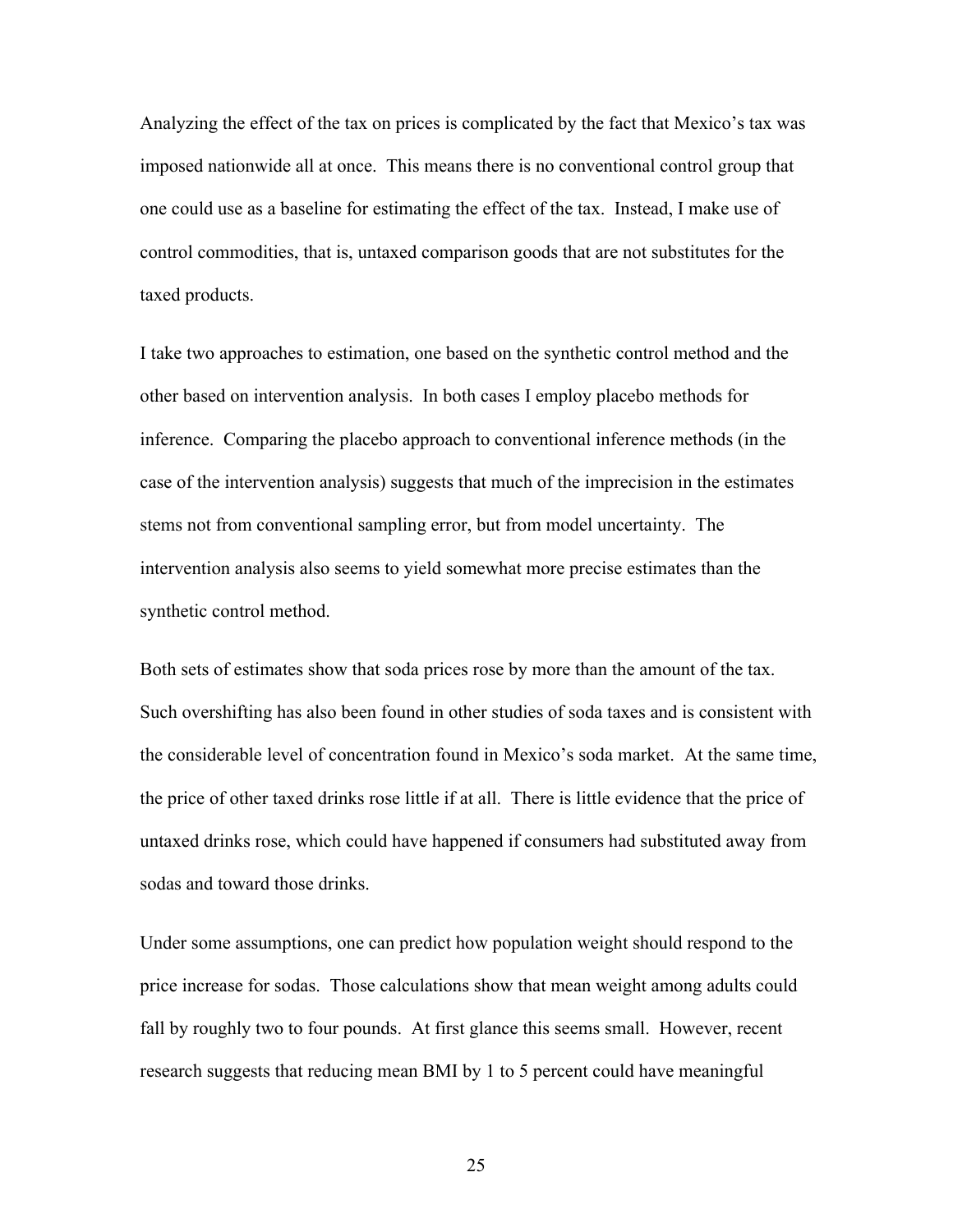Analyzing the effect of the tax on prices is complicated by the fact that Mexico's tax was imposed nationwide all at once. This means there is no conventional control group that one could use as a baseline for estimating the effect of the tax. Instead, I make use of control commodities, that is, untaxed comparison goods that are not substitutes for the taxed products.

I take two approaches to estimation, one based on the synthetic control method and the other based on intervention analysis. In both cases I employ placebo methods for inference. Comparing the placebo approach to conventional inference methods (in the case of the intervention analysis) suggests that much of the imprecision in the estimates stems not from conventional sampling error, but from model uncertainty. The intervention analysis also seems to yield somewhat more precise estimates than the synthetic control method.

Both sets of estimates show that soda prices rose by more than the amount of the tax. Such overshifting has also been found in other studies of soda taxes and is consistent with the considerable level of concentration found in Mexico's soda market. At the same time, the price of other taxed drinks rose little if at all. There is little evidence that the price of untaxed drinks rose, which could have happened if consumers had substituted away from sodas and toward those drinks.

Under some assumptions, one can predict how population weight should respond to the price increase for sodas. Those calculations show that mean weight among adults could fall by roughly two to four pounds. At first glance this seems small. However, recent research suggests that reducing mean BMI by 1 to 5 percent could have meaningful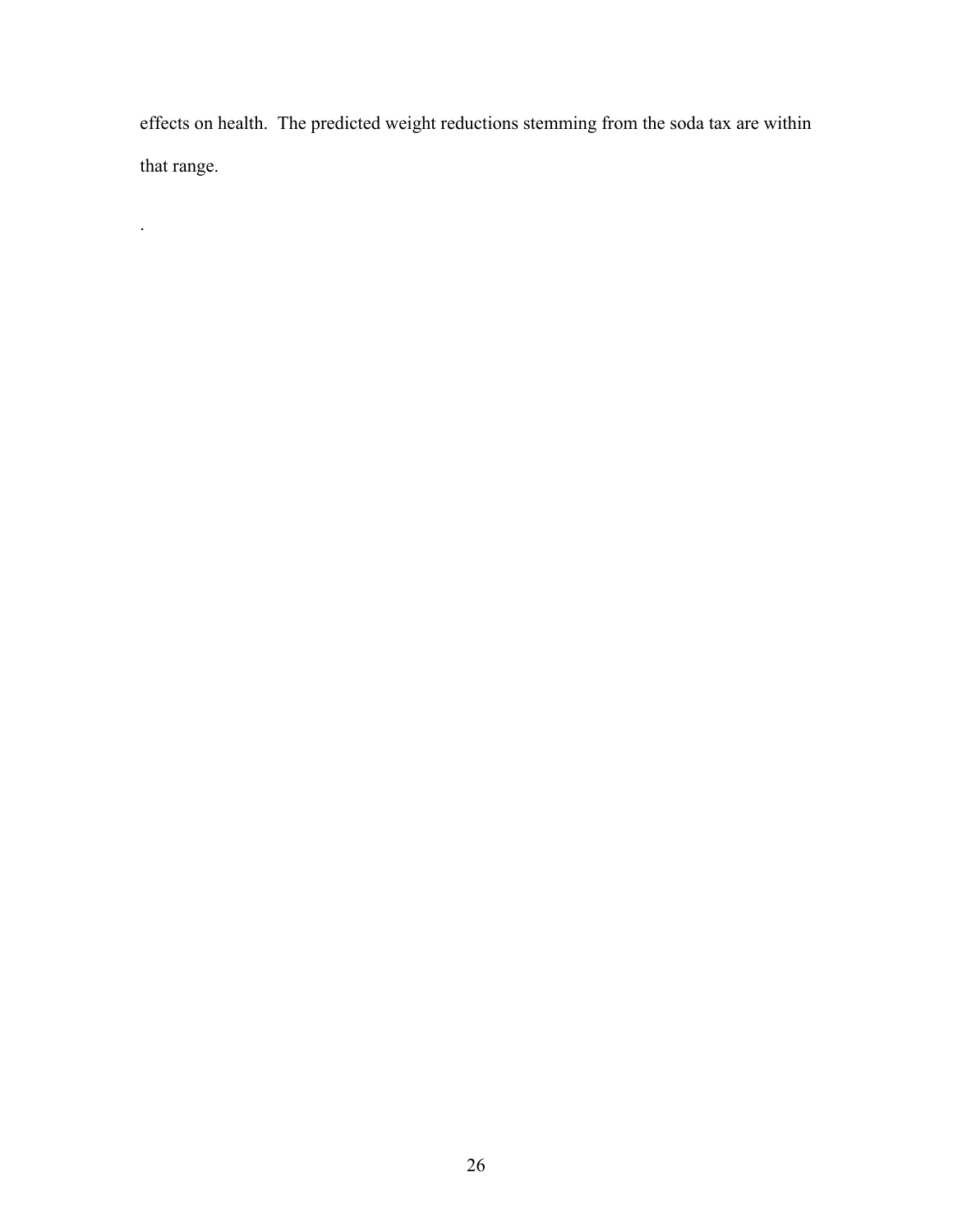effects on health. The predicted weight reductions stemming from the soda tax are within that range.

.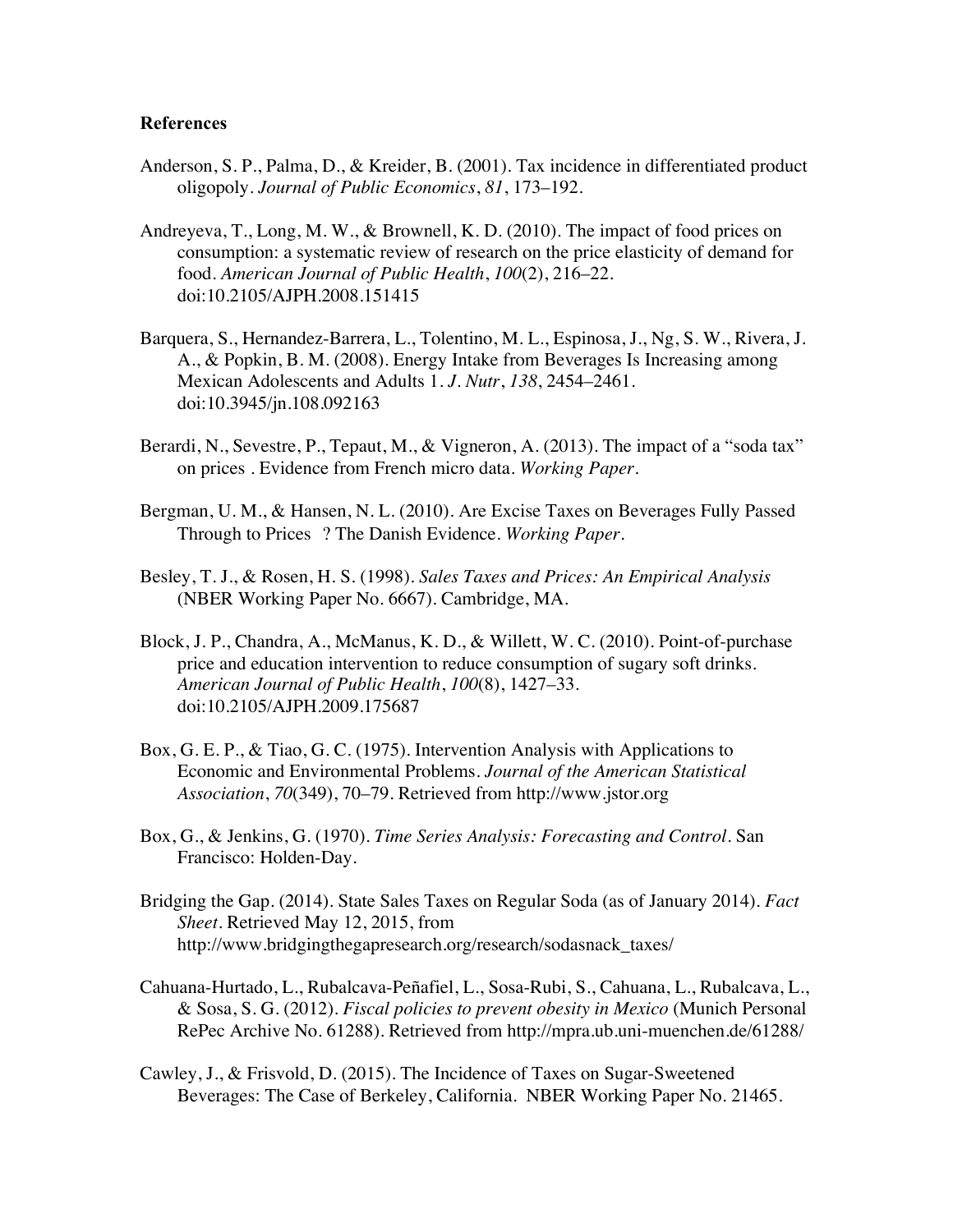# **References**

- Anderson, S. P., Palma, D., & Kreider, B. (2001). Tax incidence in differentiated product oligopoly. *Journal of Public Economics*, *81*, 173–192.
- Andreyeva, T., Long, M. W., & Brownell, K. D. (2010). The impact of food prices on consumption: a systematic review of research on the price elasticity of demand for food. *American Journal of Public Health*, *100*(2), 216–22. doi:10.2105/AJPH.2008.151415
- Barquera, S., Hernandez-Barrera, L., Tolentino, M. L., Espinosa, J., Ng, S. W., Rivera, J. A., & Popkin, B. M. (2008). Energy Intake from Beverages Is Increasing among Mexican Adolescents and Adults 1. *J. Nutr*, *138*, 2454–2461. doi:10.3945/jn.108.092163
- Berardi, N., Sevestre, P., Tepaut, M., & Vigneron, A. (2013). The impact of a "soda tax" on prices . Evidence from French micro data. *Working Paper*.
- Bergman, U. M., & Hansen, N. L. (2010). Are Excise Taxes on Beverages Fully Passed Through to Prices ? The Danish Evidence. *Working Paper*.
- Besley, T. J., & Rosen, H. S. (1998). *Sales Taxes and Prices: An Empirical Analysis* (NBER Working Paper No. 6667). Cambridge, MA.
- Block, J. P., Chandra, A., McManus, K. D., & Willett, W. C. (2010). Point-of-purchase price and education intervention to reduce consumption of sugary soft drinks. *American Journal of Public Health*, *100*(8), 1427–33. doi:10.2105/AJPH.2009.175687
- Box, G. E. P., & Tiao, G. C. (1975). Intervention Analysis with Applications to Economic and Environmental Problems. *Journal of the American Statistical Association*, *70*(349), 70–79. Retrieved from http://www.jstor.org
- Box, G., & Jenkins, G. (1970). *Time Series Analysis: Forecasting and Control*. San Francisco: Holden-Day.
- Bridging the Gap. (2014). State Sales Taxes on Regular Soda (as of January 2014). *Fact Sheet*. Retrieved May 12, 2015, from http://www.bridgingthegapresearch.org/research/sodasnack\_taxes/
- Cahuana-Hurtado, L., Rubalcava-Peñafiel, L., Sosa-Rubi, S., Cahuana, L., Rubalcava, L., & Sosa, S. G. (2012). *Fiscal policies to prevent obesity in Mexico* (Munich Personal RePec Archive No. 61288). Retrieved from http://mpra.ub.uni-muenchen.de/61288/
- Cawley, J., & Frisvold, D. (2015). The Incidence of Taxes on Sugar-Sweetened Beverages: The Case of Berkeley, California. NBER Working Paper No. 21465.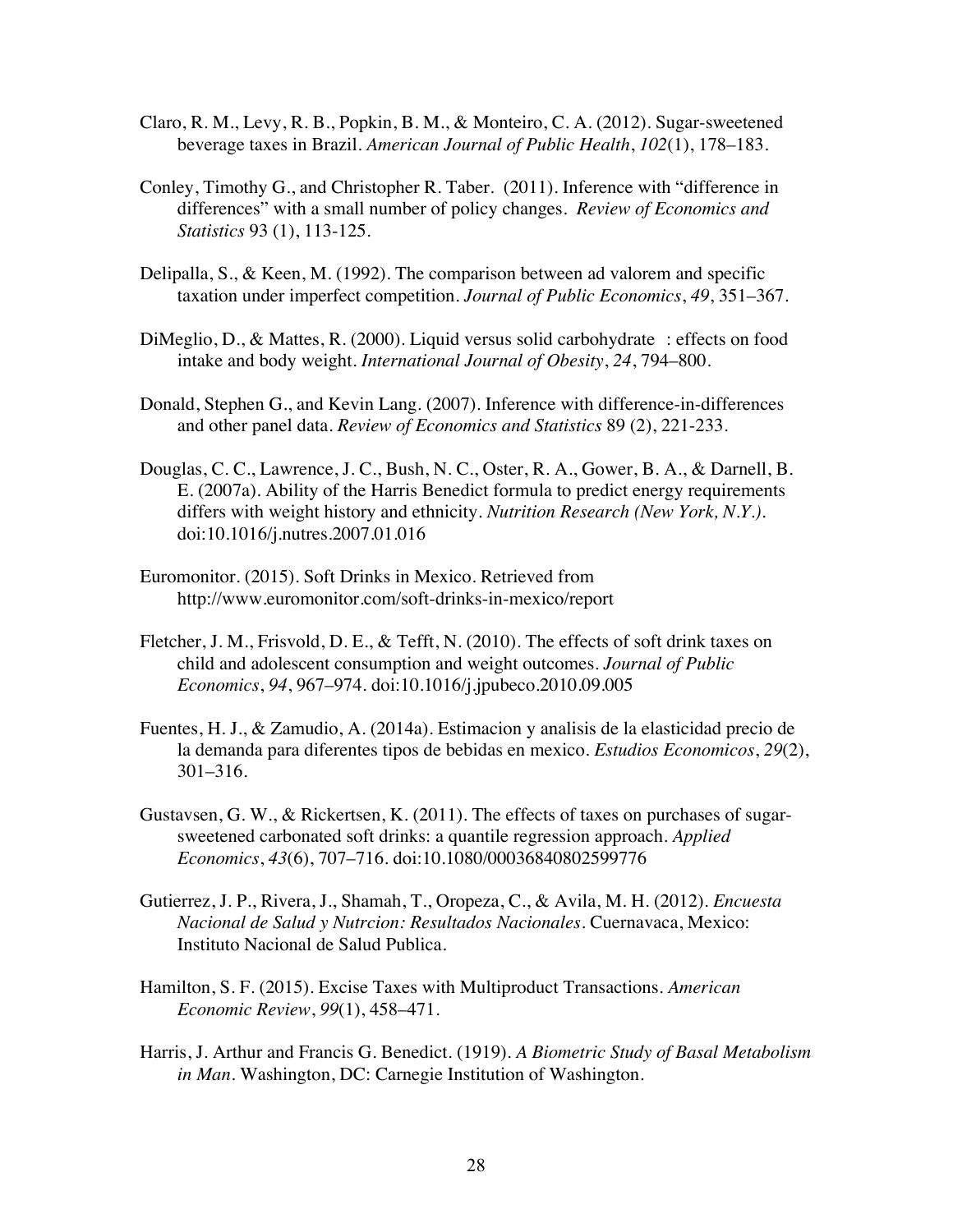- Claro, R. M., Levy, R. B., Popkin, B. M., & Monteiro, C. A. (2012). Sugar-sweetened beverage taxes in Brazil. *American Journal of Public Health*, *102*(1), 178–183.
- Conley, Timothy G., and Christopher R. Taber. (2011). Inference with "difference in differences" with a small number of policy changes. *Review of Economics and Statistics* 93 (1), 113-125.
- Delipalla, S., & Keen, M. (1992). The comparison between ad valorem and specific taxation under imperfect competition. *Journal of Public Economics*, *49*, 351–367.
- DiMeglio, D., & Mattes, R. (2000). Liquid versus solid carbohydrate : effects on food intake and body weight. *International Journal of Obesity*, *24*, 794–800.
- Donald, Stephen G., and Kevin Lang. (2007). Inference with difference-in-differences and other panel data. *Review of Economics and Statistics* 89 (2), 221-233.
- Douglas, C. C., Lawrence, J. C., Bush, N. C., Oster, R. A., Gower, B. A., & Darnell, B. E. (2007a). Ability of the Harris Benedict formula to predict energy requirements differs with weight history and ethnicity. *Nutrition Research (New York, N.Y.)*. doi:10.1016/j.nutres.2007.01.016
- Euromonitor. (2015). Soft Drinks in Mexico. Retrieved from http://www.euromonitor.com/soft-drinks-in-mexico/report
- Fletcher, J. M., Frisvold, D. E., & Tefft, N. (2010). The effects of soft drink taxes on child and adolescent consumption and weight outcomes. *Journal of Public Economics*, *94*, 967–974. doi:10.1016/j.jpubeco.2010.09.005
- Fuentes, H. J., & Zamudio, A. (2014a). Estimacion y analisis de la elasticidad precio de la demanda para diferentes tipos de bebidas en mexico. *Estudios Economicos*, *29*(2), 301–316.
- Gustavsen, G. W., & Rickertsen, K. (2011). The effects of taxes on purchases of sugarsweetened carbonated soft drinks: a quantile regression approach. *Applied Economics*, *43*(6), 707–716. doi:10.1080/00036840802599776
- Gutierrez, J. P., Rivera, J., Shamah, T., Oropeza, C., & Avila, M. H. (2012). *Encuesta Nacional de Salud y Nutrcion: Resultados Nacionales*. Cuernavaca, Mexico: Instituto Nacional de Salud Publica.
- Hamilton, S. F. (2015). Excise Taxes with Multiproduct Transactions. *American Economic Review*, *99*(1), 458–471.
- Harris, J. Arthur and Francis G. Benedict. (1919). *A Biometric Study of Basal Metabolism in Man*. Washington, DC: Carnegie Institution of Washington.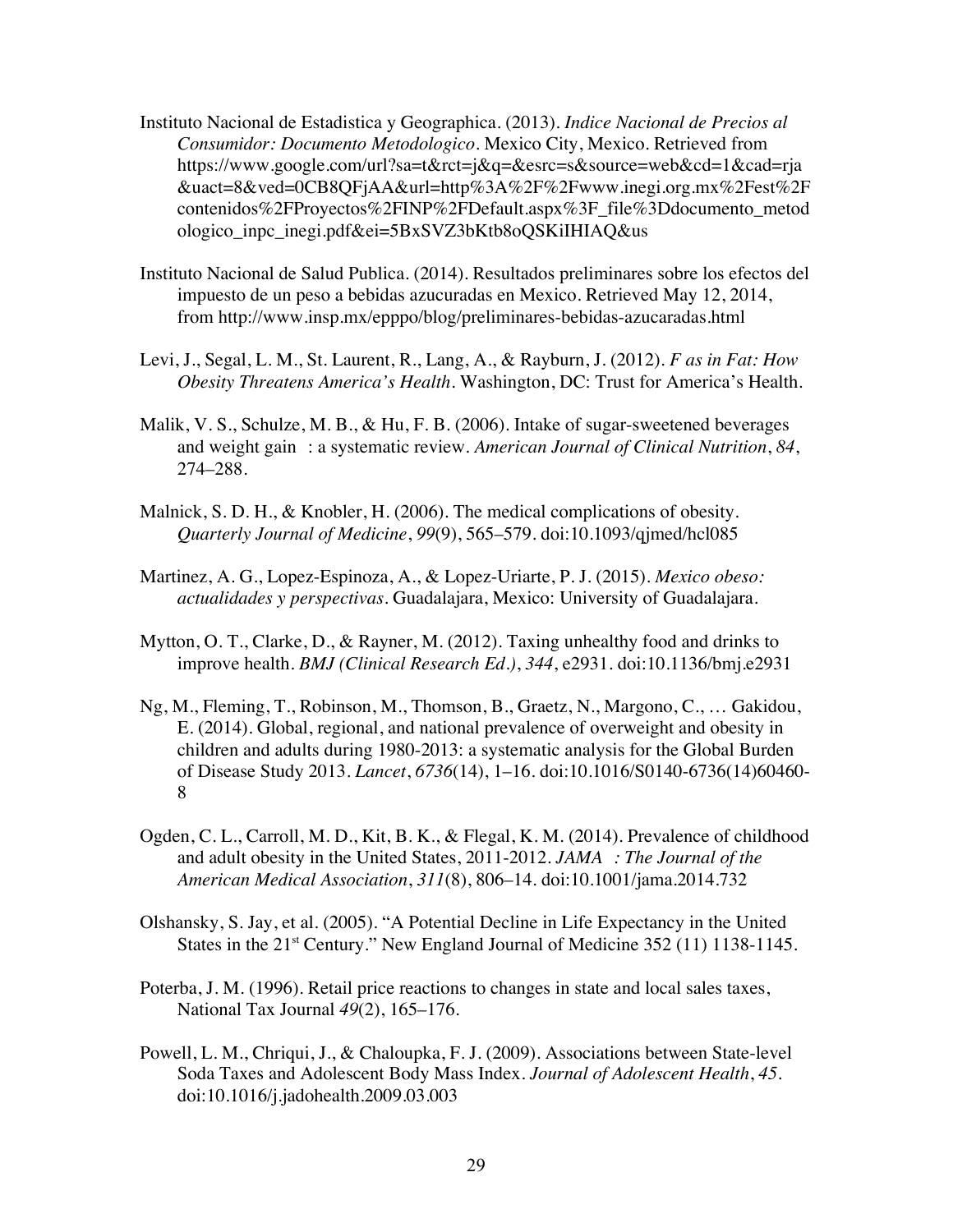- Instituto Nacional de Estadistica y Geographica. (2013). *Indice Nacional de Precios al Consumidor: Documento Metodologico*. Mexico City, Mexico. Retrieved from https://www.google.com/url?sa=t&rct=j&q=&esrc=s&source=web&cd=1&cad=rja &uact=8&ved=0CB8QFjAA&url=http%3A%2F%2Fwww.inegi.org.mx%2Fest%2F contenidos%2FProyectos%2FINP%2FDefault.aspx%3F\_file%3Ddocumento\_metod ologico\_inpc\_inegi.pdf&ei=5BxSVZ3bKtb8oQSKiIHIAQ&us
- Instituto Nacional de Salud Publica. (2014). Resultados preliminares sobre los efectos del impuesto de un peso a bebidas azucuradas en Mexico. Retrieved May 12, 2014, from http://www.insp.mx/epppo/blog/preliminares-bebidas-azucaradas.html
- Levi, J., Segal, L. M., St. Laurent, R., Lang, A., & Rayburn, J. (2012). *F as in Fat: How Obesity Threatens America's Health*. Washington, DC: Trust for America's Health.
- Malik, V. S., Schulze, M. B., & Hu, F. B. (2006). Intake of sugar-sweetened beverages and weight gain : a systematic review. *American Journal of Clinical Nutrition*, *84*, 274–288.
- Malnick, S. D. H., & Knobler, H. (2006). The medical complications of obesity. *Quarterly Journal of Medicine*, *99*(9), 565–579. doi:10.1093/qjmed/hcl085
- Martinez, A. G., Lopez-Espinoza, A., & Lopez-Uriarte, P. J. (2015). *Mexico obeso: actualidades y perspectivas*. Guadalajara, Mexico: University of Guadalajara.
- Mytton, O. T., Clarke, D., & Rayner, M. (2012). Taxing unhealthy food and drinks to improve health. *BMJ (Clinical Research Ed.)*, *344*, e2931. doi:10.1136/bmj.e2931
- Ng, M., Fleming, T., Robinson, M., Thomson, B., Graetz, N., Margono, C., … Gakidou, E. (2014). Global, regional, and national prevalence of overweight and obesity in children and adults during 1980-2013: a systematic analysis for the Global Burden of Disease Study 2013. *Lancet*, *6736*(14), 1–16. doi:10.1016/S0140-6736(14)60460- 8
- Ogden, C. L., Carroll, M. D., Kit, B. K., & Flegal, K. M. (2014). Prevalence of childhood and adult obesity in the United States, 2011-2012. *JAMA : The Journal of the American Medical Association*, *311*(8), 806–14. doi:10.1001/jama.2014.732
- Olshansky, S. Jay, et al. (2005). "A Potential Decline in Life Expectancy in the United States in the 21<sup>st</sup> Century." New England Journal of Medicine 352 (11) 1138-1145.
- Poterba, J. M. (1996). Retail price reactions to changes in state and local sales taxes, National Tax Journal *49*(2), 165–176.
- Powell, L. M., Chriqui, J., & Chaloupka, F. J. (2009). Associations between State-level Soda Taxes and Adolescent Body Mass Index. *Journal of Adolescent Health*, *45*. doi:10.1016/j.jadohealth.2009.03.003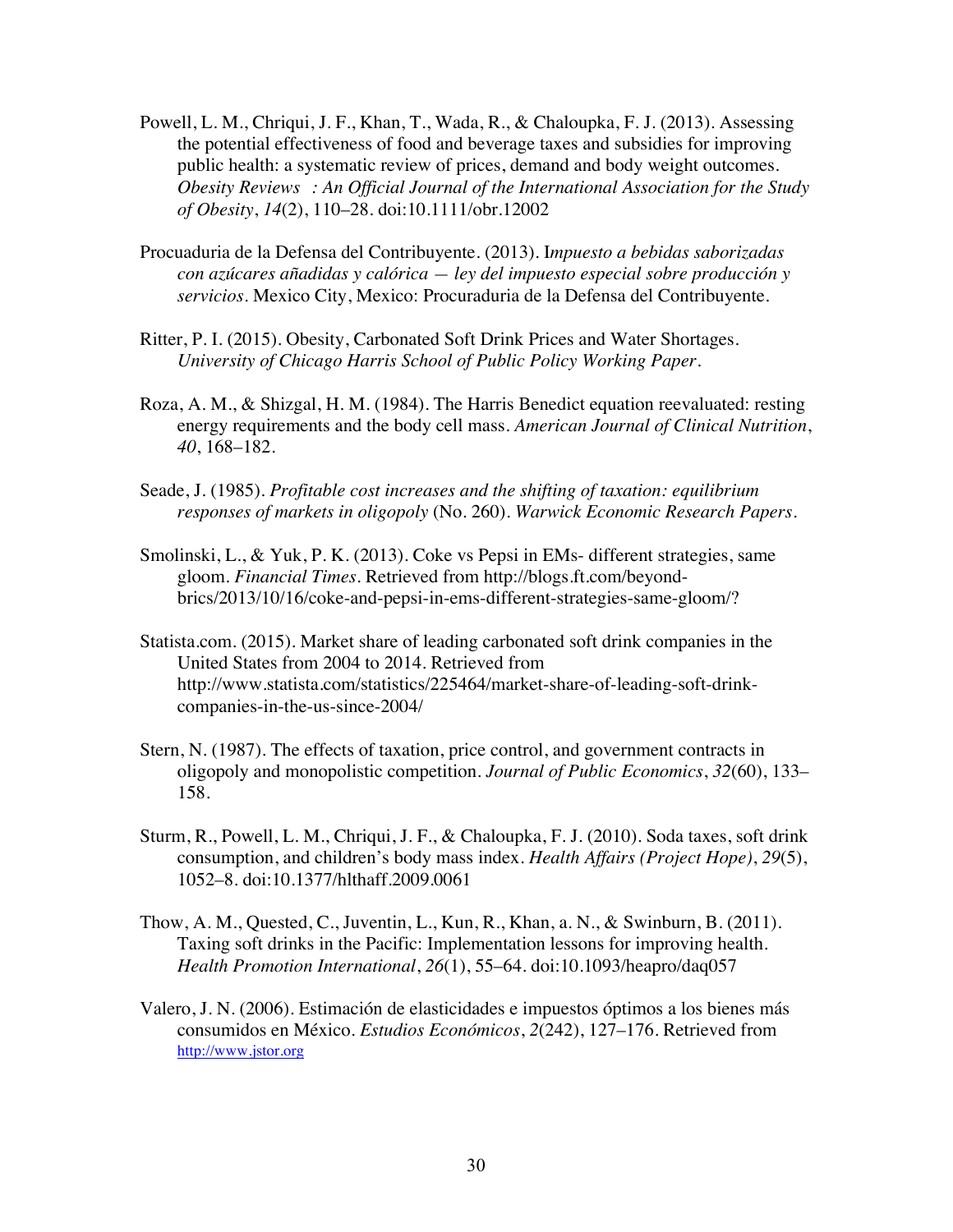- Powell, L. M., Chriqui, J. F., Khan, T., Wada, R., & Chaloupka, F. J. (2013). Assessing the potential effectiveness of food and beverage taxes and subsidies for improving public health: a systematic review of prices, demand and body weight outcomes. *Obesity Reviews : An Official Journal of the International Association for the Study of Obesity*, *14*(2), 110–28. doi:10.1111/obr.12002
- Procuaduria de la Defensa del Contribuyente. (2013). I*mpuesto a bebidas saborizadas con azúcares añadidas y calórica — ley del impuesto especial sobre producción y servicios*. Mexico City, Mexico: Procuraduria de la Defensa del Contribuyente.
- Ritter, P. I. (2015). Obesity, Carbonated Soft Drink Prices and Water Shortages. *University of Chicago Harris School of Public Policy Working Paper*.
- Roza, A. M., & Shizgal, H. M. (1984). The Harris Benedict equation reevaluated: resting energy requirements and the body cell mass. *American Journal of Clinical Nutrition*, *40*, 168–182.
- Seade, J. (1985). *Profitable cost increases and the shifting of taxation: equilibrium responses of markets in oligopoly* (No. 260). *Warwick Economic Research Papers*.
- Smolinski, L., & Yuk, P. K. (2013). Coke vs Pepsi in EMs- different strategies, same gloom. *Financial Times*. Retrieved from http://blogs.ft.com/beyondbrics/2013/10/16/coke-and-pepsi-in-ems-different-strategies-same-gloom/?
- Statista.com. (2015). Market share of leading carbonated soft drink companies in the United States from 2004 to 2014. Retrieved from http://www.statista.com/statistics/225464/market-share-of-leading-soft-drinkcompanies-in-the-us-since-2004/
- Stern, N. (1987). The effects of taxation, price control, and government contracts in oligopoly and monopolistic competition. *Journal of Public Economics*, *32*(60), 133– 158.
- Sturm, R., Powell, L. M., Chriqui, J. F., & Chaloupka, F. J. (2010). Soda taxes, soft drink consumption, and children's body mass index. *Health Affairs (Project Hope)*, *29*(5), 1052–8. doi:10.1377/hlthaff.2009.0061
- Thow, A. M., Quested, C., Juventin, L., Kun, R., Khan, a. N., & Swinburn, B. (2011). Taxing soft drinks in the Pacific: Implementation lessons for improving health. *Health Promotion International*, *26*(1), 55–64. doi:10.1093/heapro/daq057
- Valero, J. N. (2006). Estimación de elasticidades e impuestos óptimos a los bienes más consumidos en México. *Estudios Económicos*, *2*(242), 127–176. Retrieved from http://www.jstor.org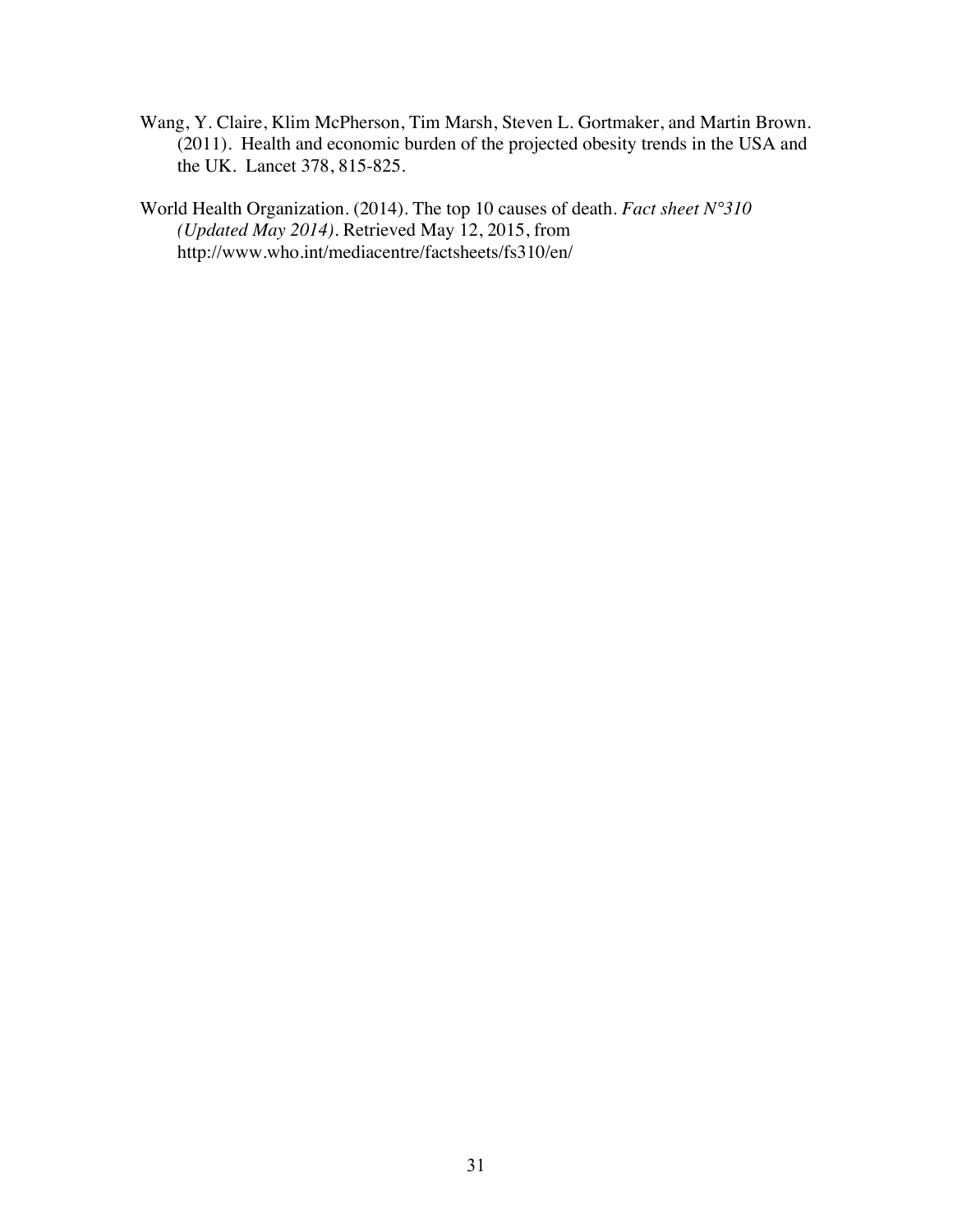Wang, Y. Claire, Klim McPherson, Tim Marsh, Steven L. Gortmaker, and Martin Brown. (2011). Health and economic burden of the projected obesity trends in the USA and the UK. Lancet 378, 815-825.

World Health Organization. (2014). The top 10 causes of death. *Fact sheet N°310 (Updated May 2014)*. Retrieved May 12, 2015, from http://www.who.int/mediacentre/factsheets/fs310/en/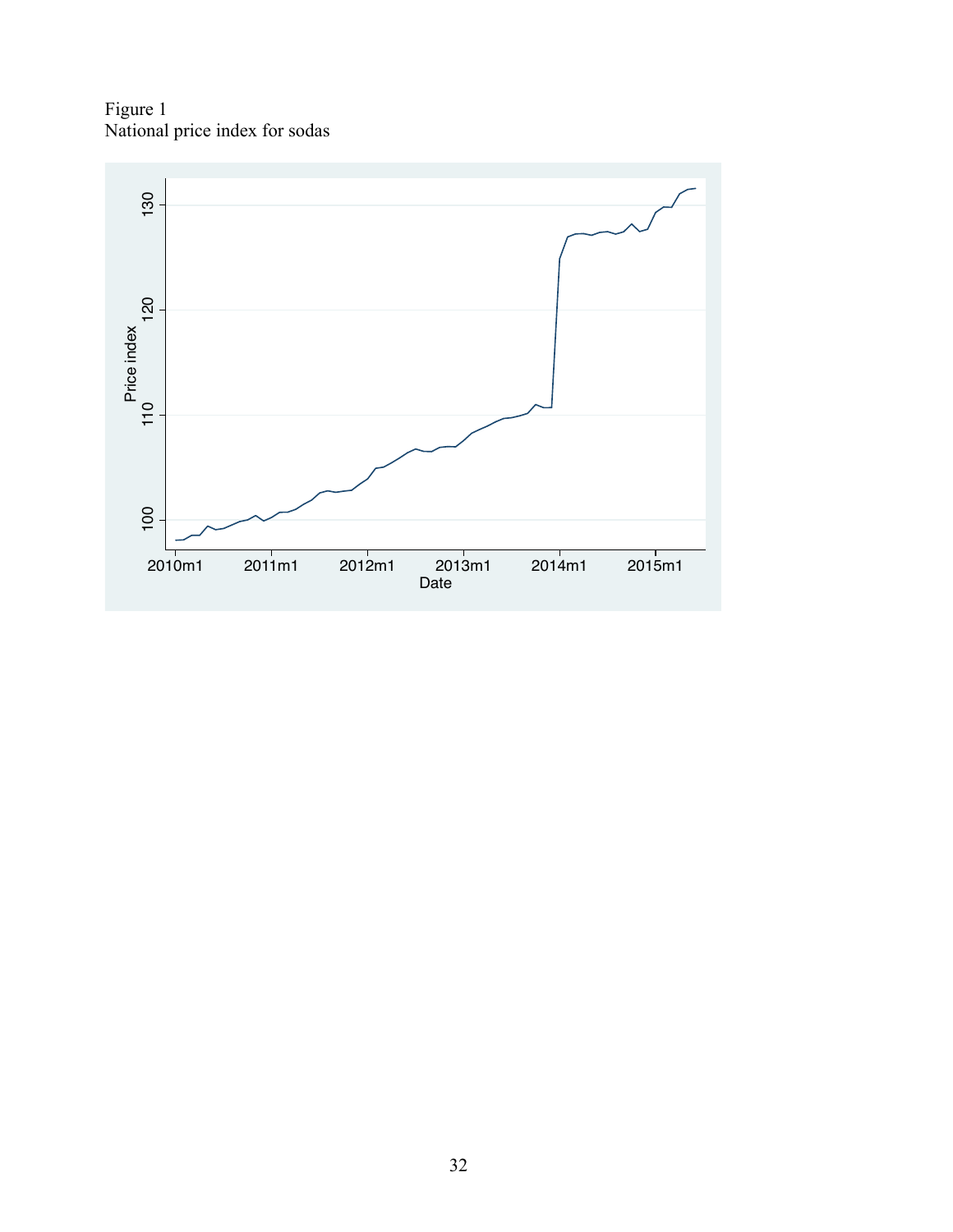Figure 1 National price index for sodas

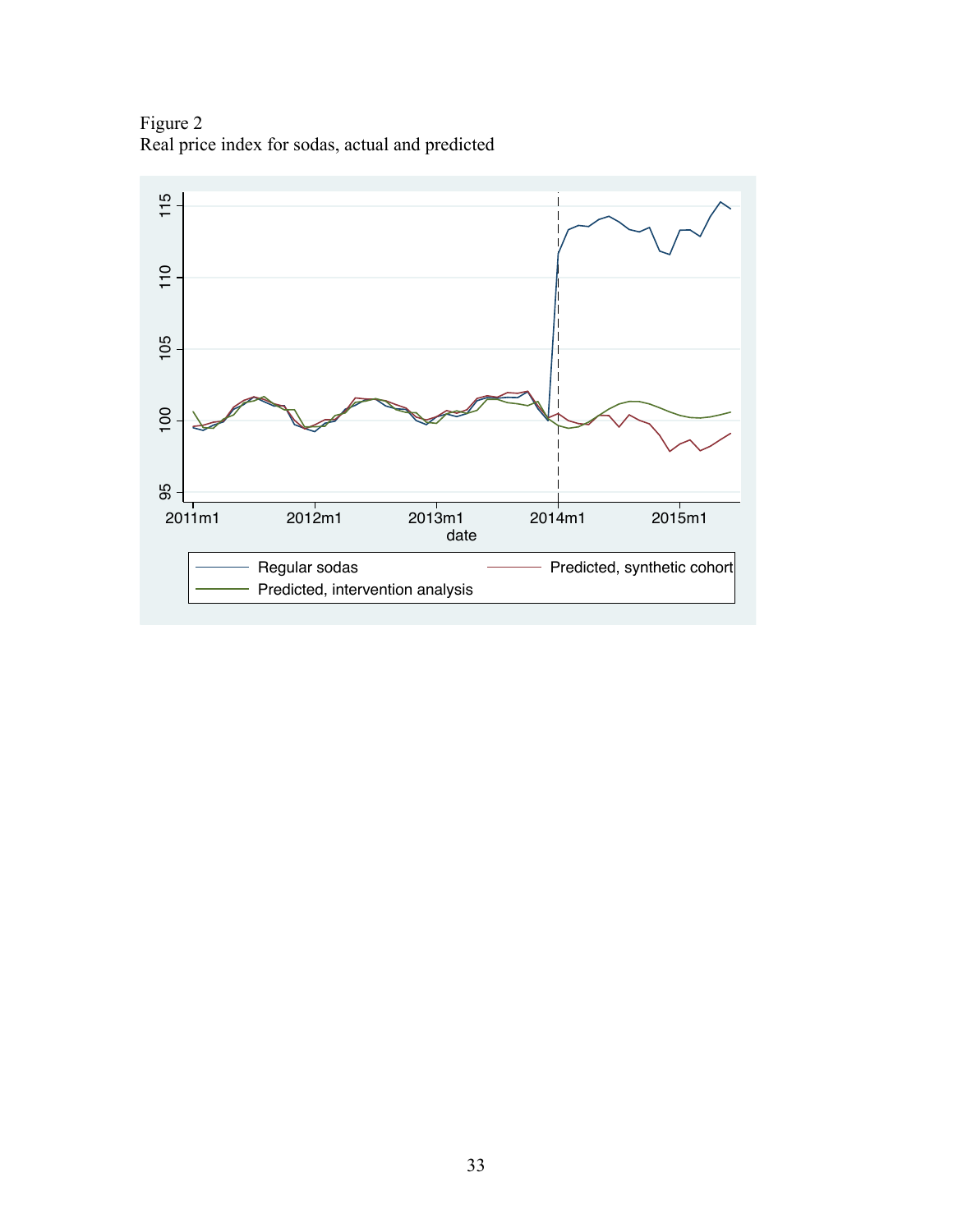Figure 2 Real price index for sodas, actual and predicted

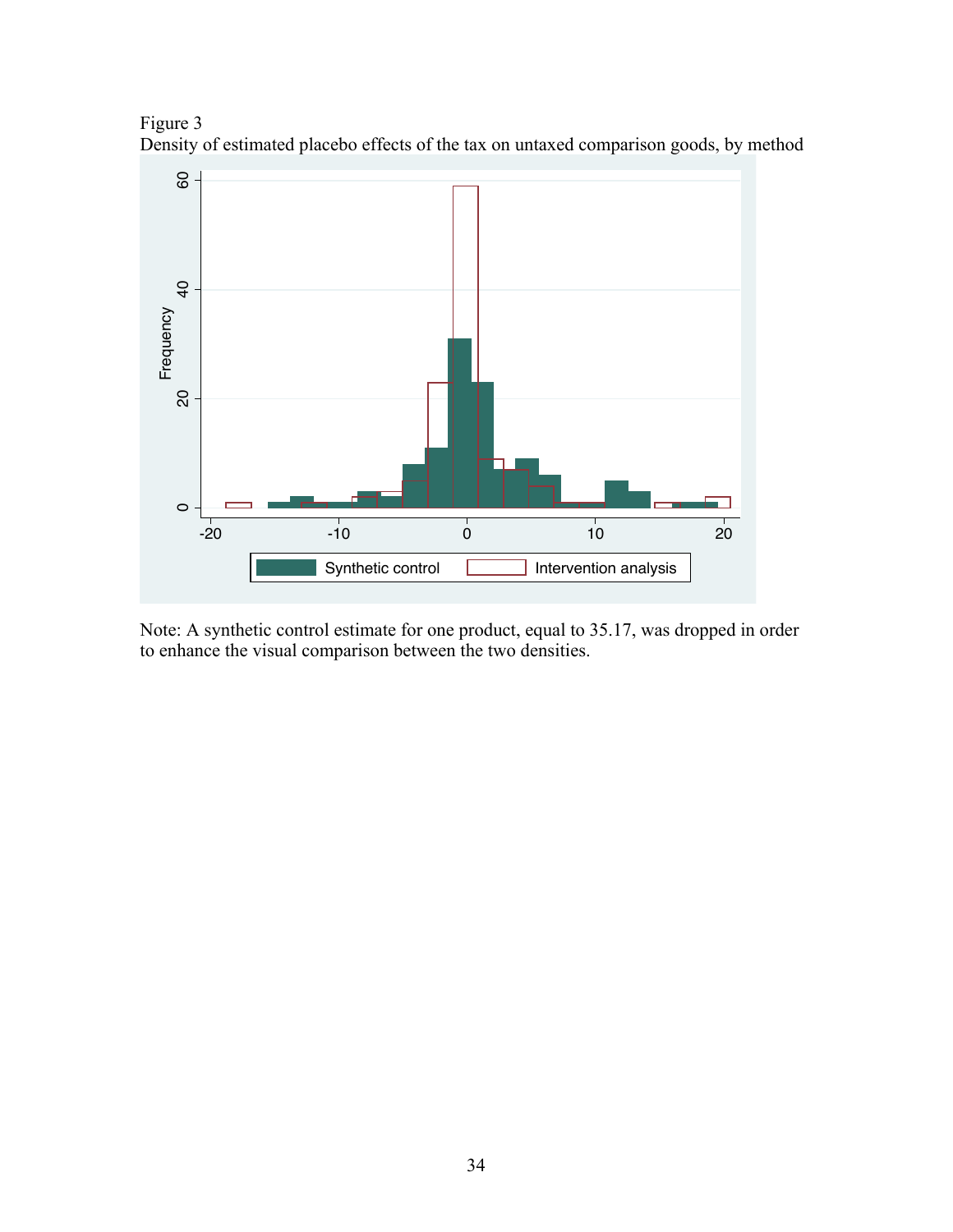Figure 3 Density of estimated placebo effects of the tax on untaxed comparison goods, by method



Note: A synthetic control estimate for one product, equal to 35.17, was dropped in order to enhance the visual comparison between the two densities.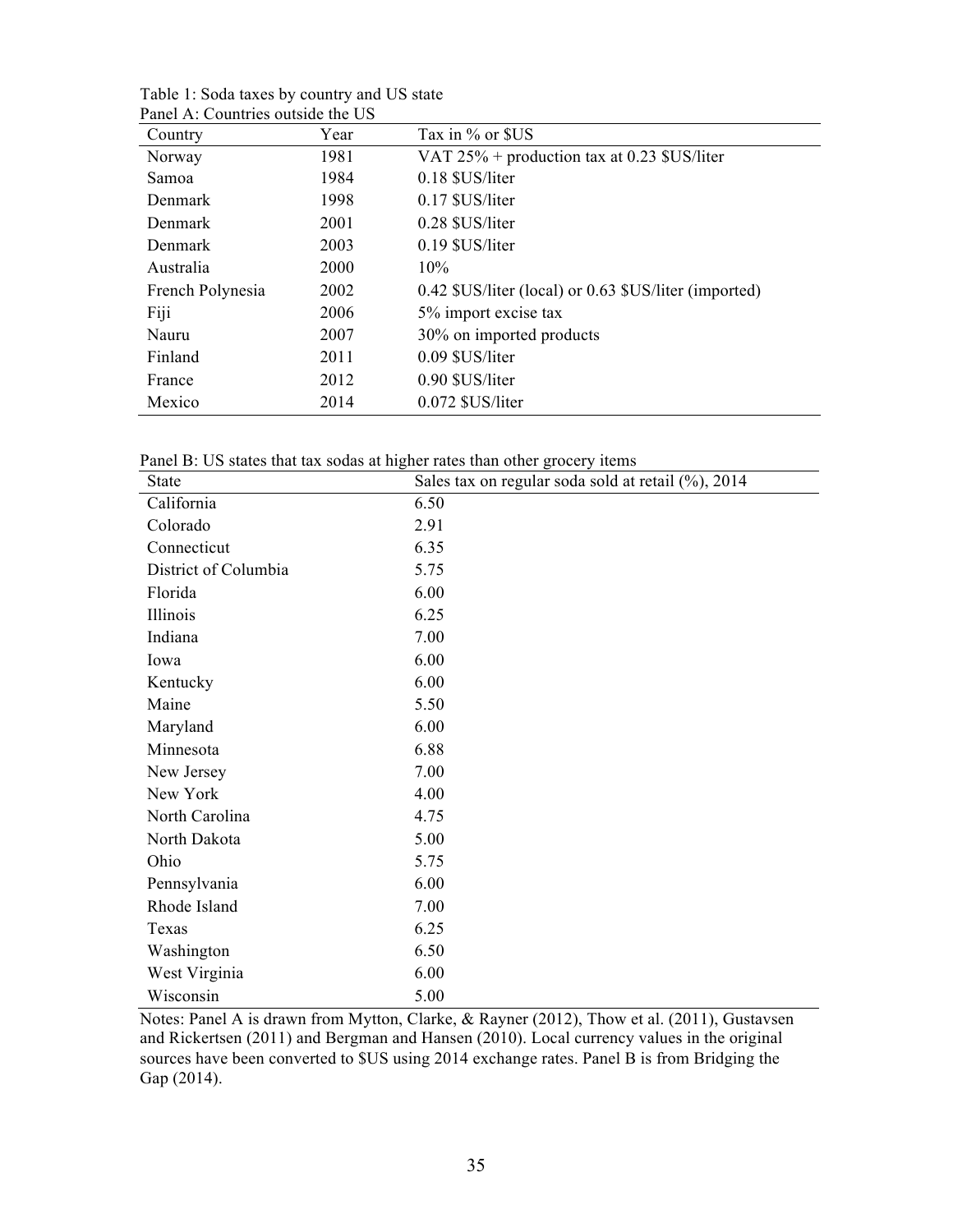| Country          | Year | Tax in % or \$US                                      |
|------------------|------|-------------------------------------------------------|
| Norway           | 1981 | VAT 25% + production tax at 0.23 \$US/liter           |
| Samoa            | 1984 | 0.18 \$US/liter                                       |
| Denmark          | 1998 | $0.17$ \$US/liter                                     |
| Denmark          | 2001 | 0.28 \$US/liter                                       |
| Denmark          | 2003 | 0.19 \$US/liter                                       |
| Australia        | 2000 | 10%                                                   |
| French Polynesia | 2002 | 0.42 \$US/liter (local) or 0.63 \$US/liter (imported) |
| Fiji             | 2006 | 5% import excise tax                                  |
| Nauru            | 2007 | 30% on imported products                              |
| Finland          | 2011 | 0.09 \$US/liter                                       |
| France           | 2012 | 0.90 \$US/liter                                       |
| Mexico           | 2014 | 0.072 \$US/liter                                      |

Table 1: Soda taxes by country and US state Panel A: Countries outside the US

Panel B: US states that tax sodas at higher rates than other grocery items

| <b>State</b>         | Sales tax on regular soda sold at retail (%), 2014 |
|----------------------|----------------------------------------------------|
| California           | 6.50                                               |
| Colorado             | 2.91                                               |
| Connecticut          | 6.35                                               |
| District of Columbia | 5.75                                               |
| Florida              | 6.00                                               |
| Illinois             | 6.25                                               |
| Indiana              | 7.00                                               |
| Iowa                 | 6.00                                               |
| Kentucky             | 6.00                                               |
| Maine                | 5.50                                               |
| Maryland             | 6.00                                               |
| Minnesota            | 6.88                                               |
| New Jersey           | 7.00                                               |
| New York             | 4.00                                               |
| North Carolina       | 4.75                                               |
| North Dakota         | 5.00                                               |
| Ohio                 | 5.75                                               |
| Pennsylvania         | 6.00                                               |
| Rhode Island         | 7.00                                               |
| Texas                | 6.25                                               |
| Washington           | 6.50                                               |
| West Virginia        | 6.00                                               |
| Wisconsin            | 5.00                                               |

Notes: Panel A is drawn from Mytton, Clarke, & Rayner (2012), Thow et al. (2011), Gustavsen and Rickertsen (2011) and Bergman and Hansen (2010). Local currency values in the original sources have been converted to \$US using 2014 exchange rates. Panel B is from Bridging the Gap (2014).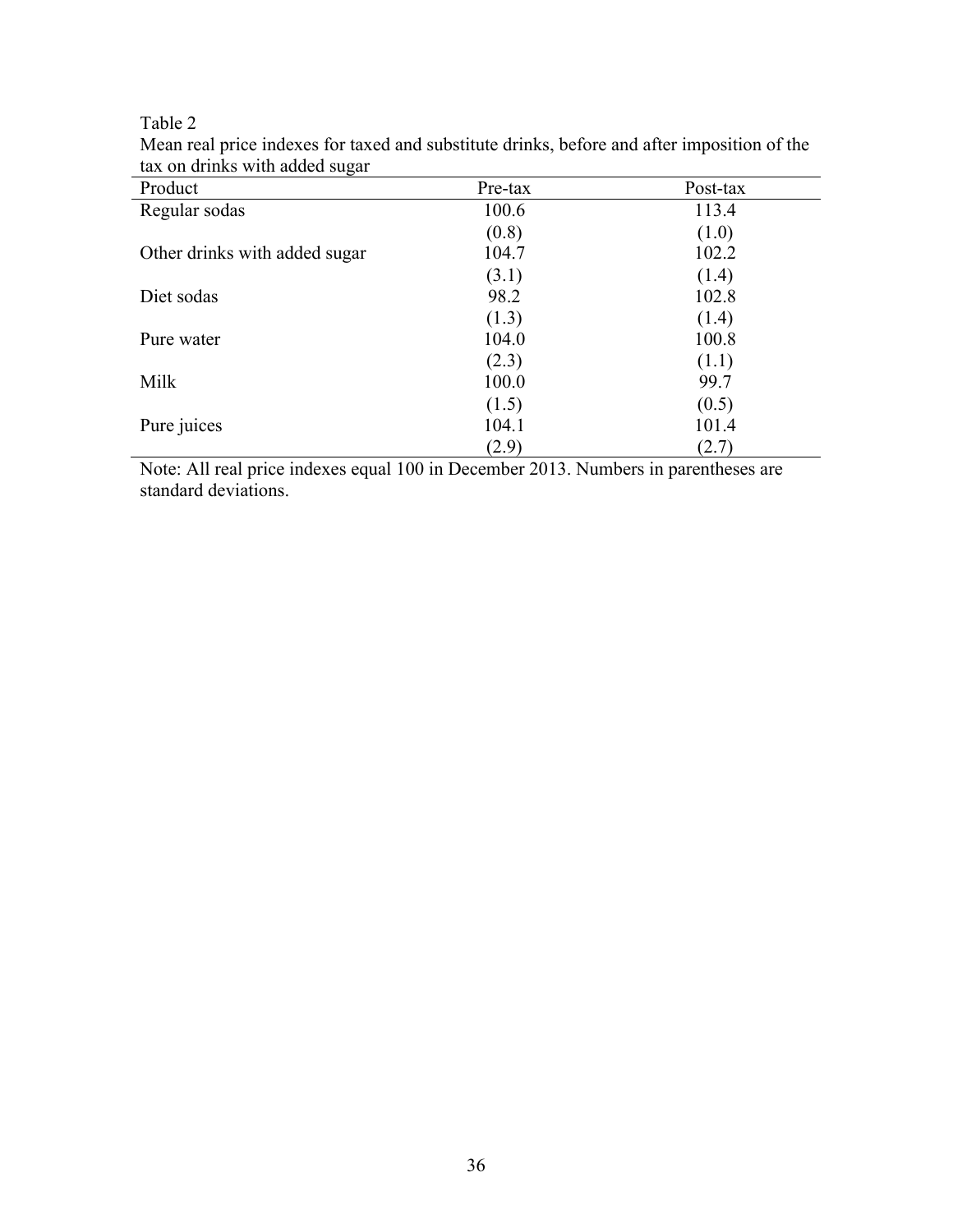Table 2

| Product                       | Pre-tax | Post-tax |  |
|-------------------------------|---------|----------|--|
| Regular sodas                 | 100.6   | 113.4    |  |
|                               | (0.8)   | (1.0)    |  |
| Other drinks with added sugar | 104.7   | 102.2    |  |
|                               | (3.1)   | (1.4)    |  |
| Diet sodas                    | 98.2    | 102.8    |  |
|                               | (1.3)   | (1.4)    |  |
| Pure water                    | 104.0   | 100.8    |  |
|                               | (2.3)   | (1.1)    |  |
| Milk                          | 100.0   | 99.7     |  |
|                               | (1.5)   | (0.5)    |  |
| Pure juices                   | 104.1   | 101.4    |  |
|                               | (2.9)   | (2.7)    |  |

Mean real price indexes for taxed and substitute drinks, before and after imposition of the tax on drinks with added sugar

Note: All real price indexes equal 100 in December 2013. Numbers in parentheses are standard deviations.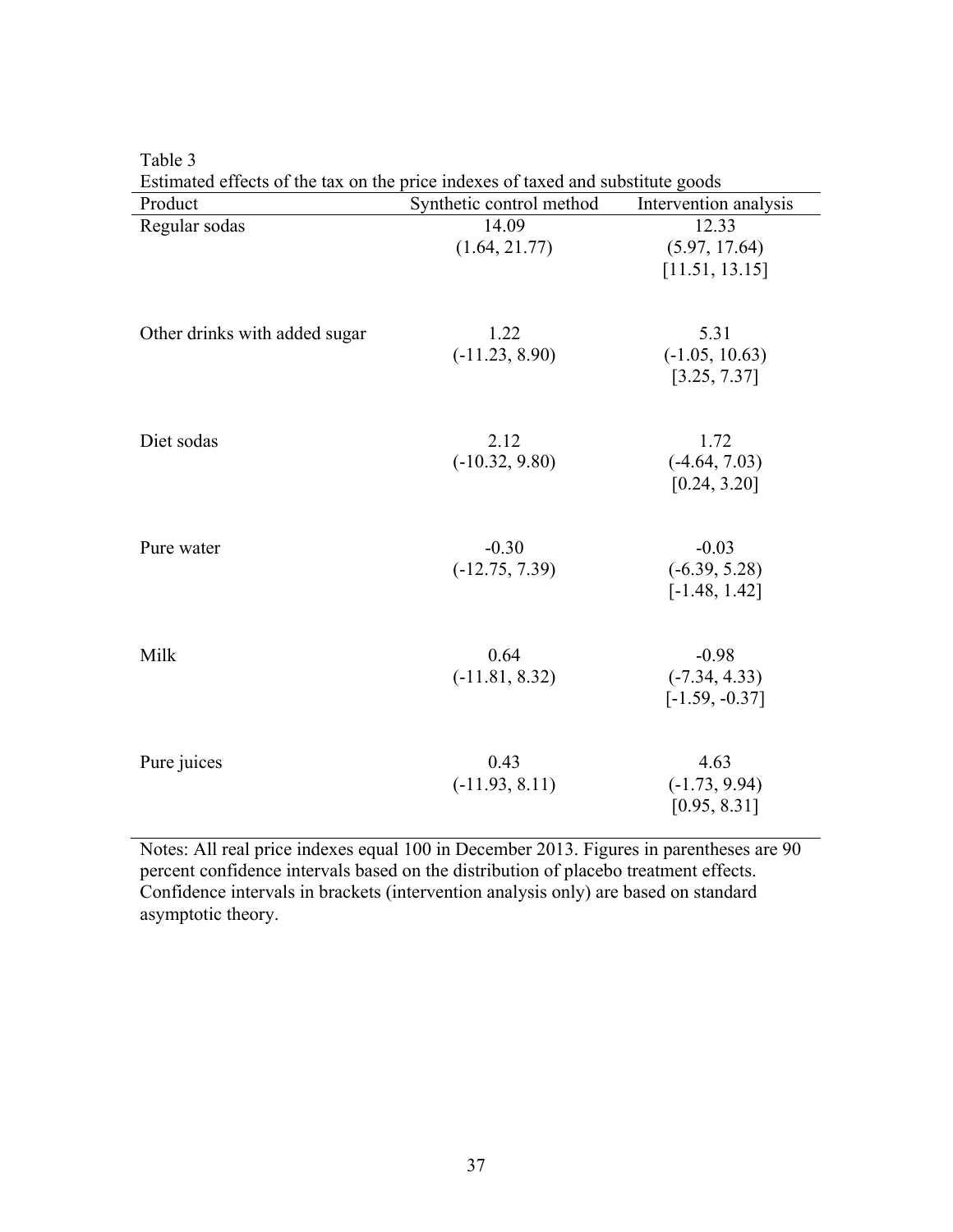| esumated cricels of the tax on the price muckes of taxed and substitute goods<br>Product | Synthetic control method    | Intervention analysis                          |
|------------------------------------------------------------------------------------------|-----------------------------|------------------------------------------------|
| Regular sodas                                                                            | 14.09<br>(1.64, 21.77)      | 12.33<br>(5.97, 17.64)                         |
|                                                                                          |                             | [11.51, 13.15]                                 |
| Other drinks with added sugar                                                            | 1.22<br>$(-11.23, 8.90)$    | 5.31<br>$(-1.05, 10.63)$<br>[3.25, 7.37]       |
| Diet sodas                                                                               | 2.12<br>$(-10.32, 9.80)$    | 1.72<br>$(-4.64, 7.03)$<br>[0.24, 3.20]        |
| Pure water                                                                               | $-0.30$<br>$(-12.75, 7.39)$ | $-0.03$<br>$(-6.39, 5.28)$<br>$[-1.48, 1.42]$  |
| Milk                                                                                     | 0.64<br>$(-11.81, 8.32)$    | $-0.98$<br>$(-7.34, 4.33)$<br>$[-1.59, -0.37]$ |
| Pure juices                                                                              | 0.43<br>$(-11.93, 8.11)$    | 4.63<br>$(-1.73, 9.94)$<br>[0.95, 8.31]        |

Table 3

Estimated effects of the tax on the price indexes of taxed and substitute goods

Notes: All real price indexes equal 100 in December 2013. Figures in parentheses are 90 percent confidence intervals based on the distribution of placebo treatment effects. Confidence intervals in brackets (intervention analysis only) are based on standard asymptotic theory.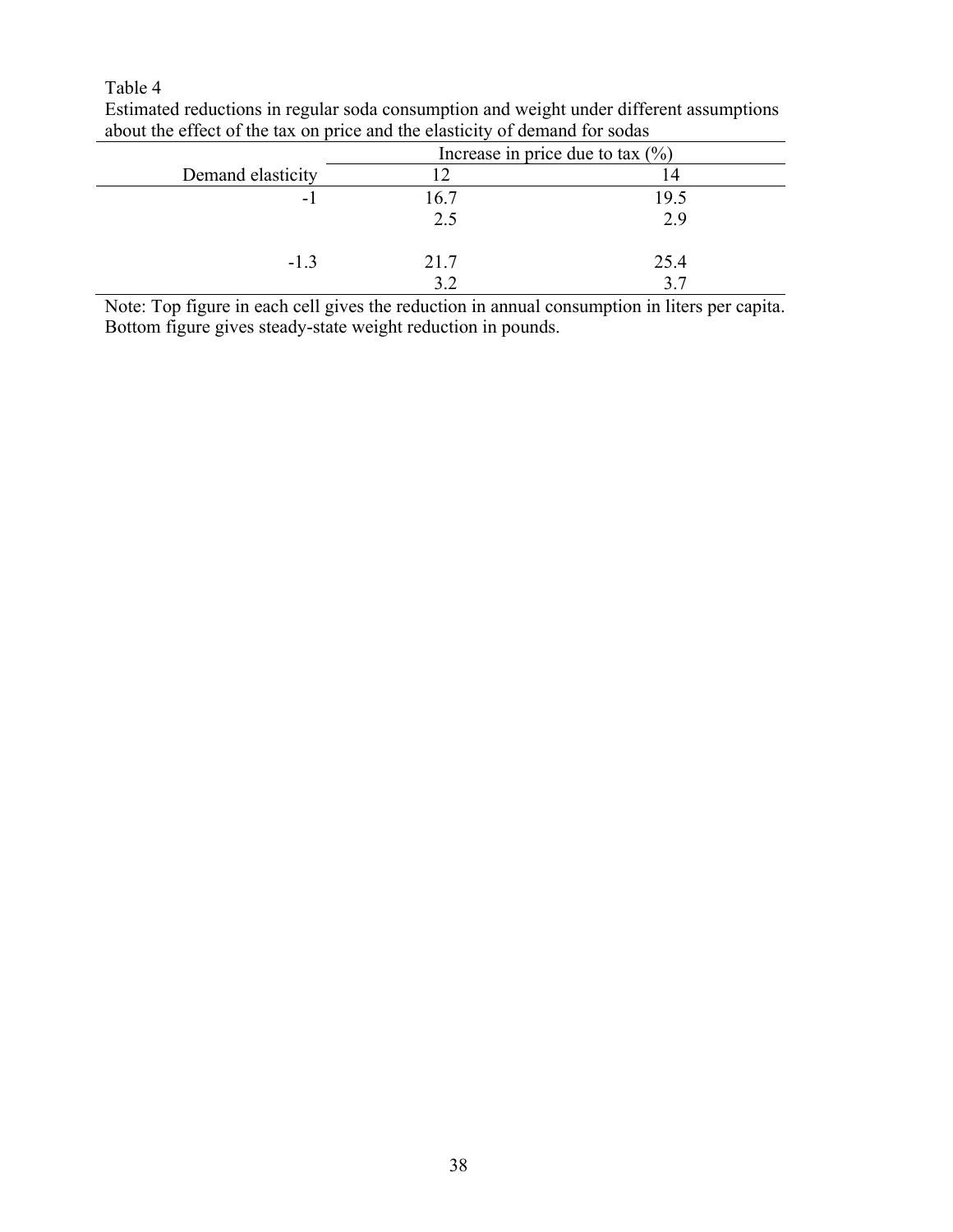# Table 4

|                   | Increase in price due to tax $(\% )$ |      |  |  |
|-------------------|--------------------------------------|------|--|--|
| Demand elasticity |                                      | ι4   |  |  |
| - 1               | 16.7                                 | 19.5 |  |  |
|                   | 2.5                                  | 2.9  |  |  |
| $-1.3$            | 21.7                                 | 25.4 |  |  |
|                   |                                      | 37   |  |  |

Estimated reductions in regular soda consumption and weight under different assumptions about the effect of the tax on price and the elasticity of demand for sodas

Note: Top figure in each cell gives the reduction in annual consumption in liters per capita. Bottom figure gives steady-state weight reduction in pounds.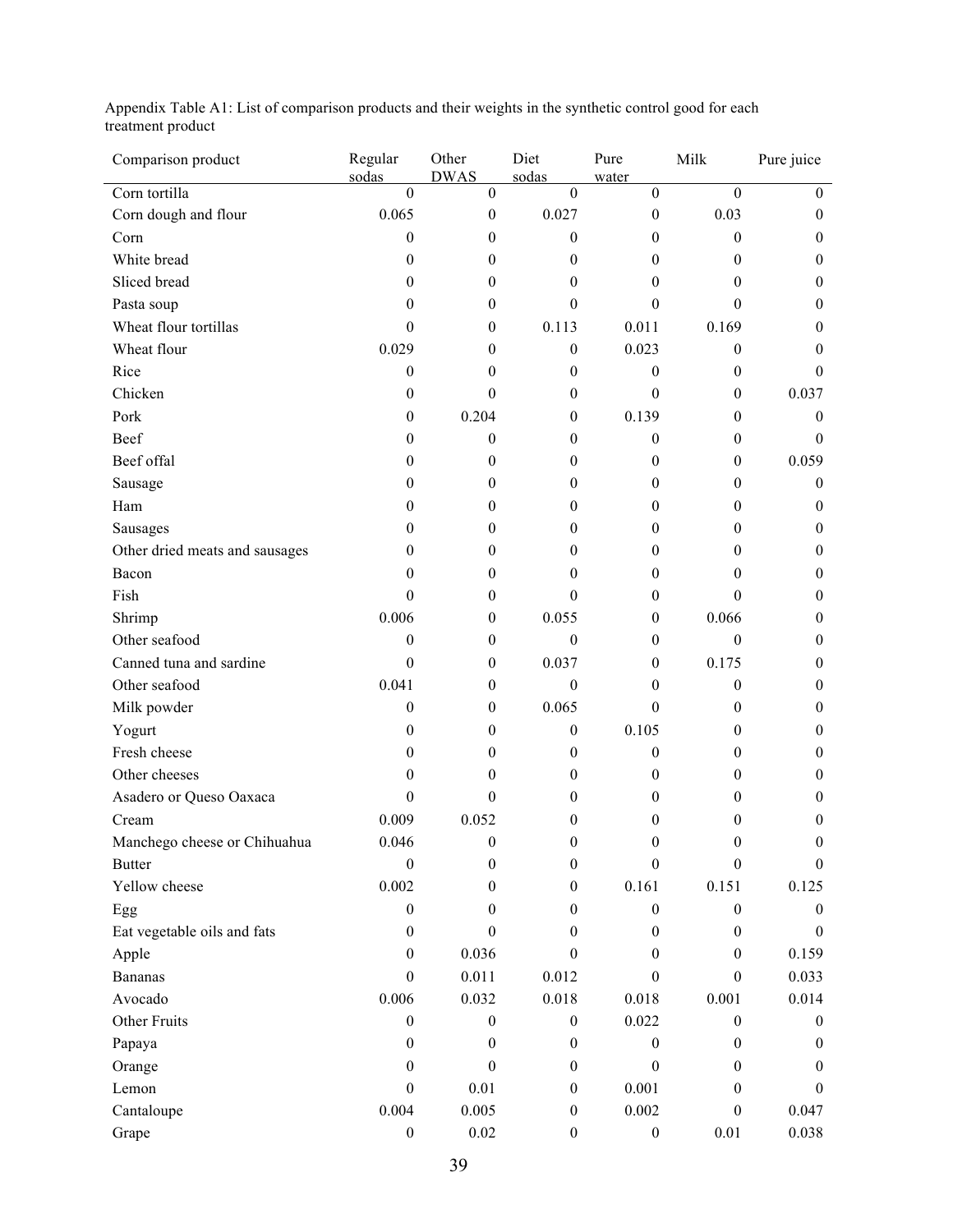Appendix Table A1: List of comparison products and their weights in the synthetic control good for each treatment product

| Comparison product             | Regular<br>sodas | Other<br><b>DWAS</b> | Diet<br>sodas    | Pure<br>water    | Milk             | Pure juice       |
|--------------------------------|------------------|----------------------|------------------|------------------|------------------|------------------|
| Corn tortilla                  | $\overline{0}$   | $\overline{0}$       | $\overline{0}$   | $\boldsymbol{0}$ | $\overline{0}$   | $\Omega$         |
| Corn dough and flour           | 0.065            | $\boldsymbol{0}$     | 0.027            | $\boldsymbol{0}$ | 0.03             | $\mathbf{0}$     |
| Corn                           | $\boldsymbol{0}$ | 0                    | $\boldsymbol{0}$ | 0                | $\theta$         | 0                |
| White bread                    | $\boldsymbol{0}$ | 0                    | 0                | 0                | $\theta$         | $\mathbf{0}$     |
| Sliced bread                   | $\mathbf{0}$     | $\mathbf{0}$         | 0                | 0                | $\mathbf{0}$     | $\mathbf{0}$     |
| Pasta soup                     | $\mathbf{0}$     | $\mathbf{0}$         | $\boldsymbol{0}$ | 0                | $\theta$         | $\mathbf{0}$     |
| Wheat flour tortillas          | $\boldsymbol{0}$ | $\mathbf{0}$         | 0.113            | 0.011            | 0.169            | 0                |
| Wheat flour                    | 0.029            | 0                    | $\boldsymbol{0}$ | 0.023            | $\boldsymbol{0}$ | 0                |
| Rice                           | $\boldsymbol{0}$ | 0                    | 0                | $\boldsymbol{0}$ | $\mathbf{0}$     | $\Omega$         |
| Chicken                        | $\mathbf{0}$     | $\theta$             | $\boldsymbol{0}$ | $\mathbf{0}$     | $\mathbf{0}$     | 0.037            |
| Pork                           | $\boldsymbol{0}$ | 0.204                | $\boldsymbol{0}$ | 0.139            | $\theta$         | $\mathbf{0}$     |
| Beef                           | $\overline{0}$   | $\mathbf{0}$         | $\boldsymbol{0}$ | $\boldsymbol{0}$ | $\mathbf{0}$     | 0                |
| Beef offal                     | 0                | 0                    | 0                | 0                | $\mathbf{0}$     | 0.059            |
| Sausage                        | 0                | 0                    | 0                | 0                | $\theta$         | $\boldsymbol{0}$ |
| Ham                            | $\mathbf{0}$     | $\mathbf{0}$         | $\boldsymbol{0}$ | 0                | $\theta$         | 0                |
| Sausages                       | 0                | 0                    | 0                | 0                | $\theta$         | $\mathbf{0}$     |
| Other dried meats and sausages | 0                | 0                    | 0                | 0                | 0                | $\mathbf{0}$     |
| Bacon                          | $\mathbf{0}$     | 0                    | 0                | 0                | $\theta$         | 0                |
| Fish                           | $\theta$         | 0                    | $\boldsymbol{0}$ | 0                | $\Omega$         | $\mathbf{0}$     |
| Shrimp                         | 0.006            | $\boldsymbol{0}$     | 0.055            | $\mathbf{0}$     | 0.066            | 0                |
| Other seafood                  | $\boldsymbol{0}$ | $\mathbf{0}$         | $\boldsymbol{0}$ | $\mathbf{0}$     | $\boldsymbol{0}$ | $\mathbf{0}$     |
| Canned tuna and sardine        | $\boldsymbol{0}$ | 0                    | 0.037            | 0                | 0.175            | $\mathbf{0}$     |
| Other seafood                  | 0.041            | 0                    | 0                | 0                | $\mathbf{0}$     | 0                |
| Milk powder                    | $\boldsymbol{0}$ | $\mathbf{0}$         | 0.065            | $\boldsymbol{0}$ | $\theta$         | $\mathbf{0}$     |
| Yogurt                         | $\mathbf{0}$     | $\mathbf{0}$         | $\boldsymbol{0}$ | 0.105            | 0                | $\mathbf{0}$     |
| Fresh cheese                   | 0                | 0                    | 0                | $\boldsymbol{0}$ | $\theta$         | $\mathbf{0}$     |
| Other cheeses                  | $\mathbf{0}$     | 0                    | 0                | 0                | 0                | 0                |
| Asadero or Queso Oaxaca        | 0                | 0                    | 0                | 0                | 0                | 0                |
| Cream                          | 0.009            | 0.052                | 0                | 0                | $\theta$         | 0                |
| Manchego cheese or Chihuahua   | 0.046            | $\boldsymbol{0}$     | 0                | $\theta$         | $\theta$         | $\theta$         |
| <b>Butter</b>                  | $\boldsymbol{0}$ | $\boldsymbol{0}$     | $\boldsymbol{0}$ | $\boldsymbol{0}$ | $\boldsymbol{0}$ | $\boldsymbol{0}$ |
| Yellow cheese                  | 0.002            | $\mathbf{0}$         | $\boldsymbol{0}$ | 0.161            | 0.151            | 0.125            |
| Egg                            | $\boldsymbol{0}$ | $\mathbf{0}$         | $\boldsymbol{0}$ | $\boldsymbol{0}$ | $\boldsymbol{0}$ | $\mathbf{0}$     |
| Eat vegetable oils and fats    | $\boldsymbol{0}$ | $\boldsymbol{0}$     | $\boldsymbol{0}$ | $\boldsymbol{0}$ | $\boldsymbol{0}$ | $\mathbf{0}$     |
| Apple                          | $\overline{0}$   | 0.036                | $\boldsymbol{0}$ | $\boldsymbol{0}$ | $\boldsymbol{0}$ | 0.159            |
| <b>Bananas</b>                 | $\boldsymbol{0}$ | 0.011                | 0.012            | $\boldsymbol{0}$ | $\mathbf{0}$     | 0.033            |
| Avocado                        | 0.006            | 0.032                | 0.018            | 0.018            | 0.001            | 0.014            |
| <b>Other Fruits</b>            | $\boldsymbol{0}$ | $\boldsymbol{0}$     | $\boldsymbol{0}$ | 0.022            | $\boldsymbol{0}$ | 0                |
| Papaya                         | $\boldsymbol{0}$ | $\boldsymbol{0}$     | $\boldsymbol{0}$ | $\boldsymbol{0}$ | $\mathbf{0}$     | 0                |
| Orange                         | $\overline{0}$   | $\boldsymbol{0}$     | $\boldsymbol{0}$ | $\boldsymbol{0}$ | $\mathbf{0}$     | 0                |
| Lemon                          | $\boldsymbol{0}$ | 0.01                 | $\boldsymbol{0}$ | 0.001            | $\boldsymbol{0}$ | $\Omega$         |
| Cantaloupe                     | 0.004            | 0.005                | $\boldsymbol{0}$ | 0.002            | $\boldsymbol{0}$ | 0.047            |
| Grape                          | $\boldsymbol{0}$ | $0.02\,$             | $\boldsymbol{0}$ | $\boldsymbol{0}$ | 0.01             | 0.038            |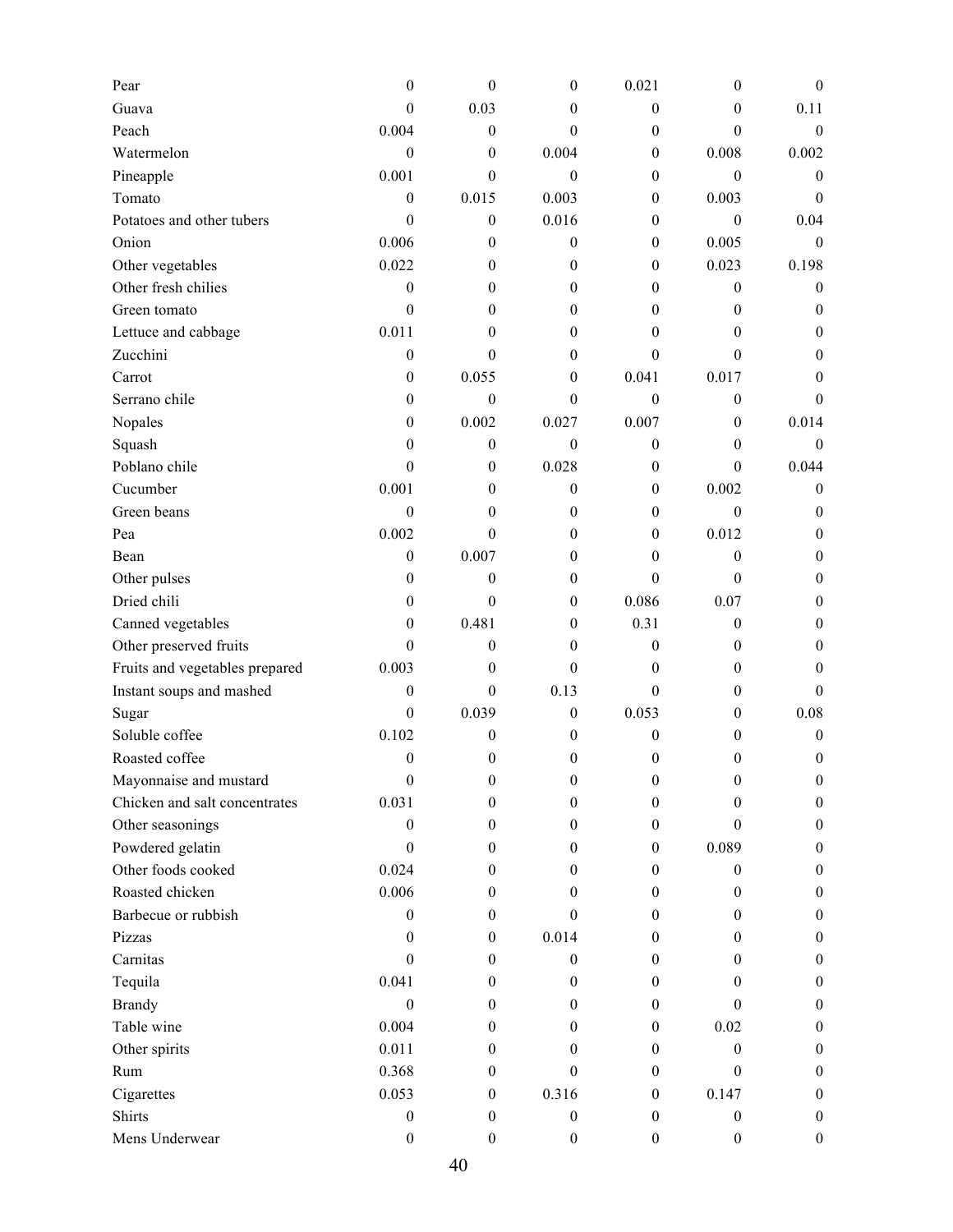| Pear                           | 0                | $\boldsymbol{0}$ | 0                | 0.021            | $\theta$         | $\mathbf{0}$     |
|--------------------------------|------------------|------------------|------------------|------------------|------------------|------------------|
| Guava                          | 0                | 0.03             | 0                | $\boldsymbol{0}$ | $\mathbf{0}$     | 0.11             |
| Peach                          | 0.004            | $\boldsymbol{0}$ | $\overline{0}$   | 0                | $\theta$         | $\boldsymbol{0}$ |
| Watermelon                     | $\boldsymbol{0}$ | $\boldsymbol{0}$ | 0.004            | 0                | 0.008            | 0.002            |
| Pineapple                      | 0.001            | $\theta$         | $\mathbf{0}$     | 0                | $\boldsymbol{0}$ | $\theta$         |
| Tomato                         | $\mathbf{0}$     | 0.015            | 0.003            | $\mathbf{0}$     | 0.003            | $\mathbf{0}$     |
| Potatoes and other tubers      | $\boldsymbol{0}$ | $\boldsymbol{0}$ | 0.016            | 0                | $\boldsymbol{0}$ | 0.04             |
| Onion                          | 0.006            | $\boldsymbol{0}$ | 0                | 0                | 0.005            | $\boldsymbol{0}$ |
| Other vegetables               | 0.022            | $\theta$         | 0                | 0                | 0.023            | 0.198            |
| Other fresh chilies            | $\boldsymbol{0}$ | $\mathbf{0}$     | 0                | 0                | $\boldsymbol{0}$ | $\theta$         |
| Green tomato                   | $\mathbf{0}$     | $\theta$         | 0                | 0                | $\theta$         | $\boldsymbol{0}$ |
| Lettuce and cabbage            | 0.011            | $\theta$         | 0                | $\theta$         | $\mathbf{0}$     | $\theta$         |
| Zucchini                       | $\boldsymbol{0}$ | $\boldsymbol{0}$ | $\overline{0}$   | $\boldsymbol{0}$ | $\theta$         | $\boldsymbol{0}$ |
| Carrot                         | $\boldsymbol{0}$ | 0.055            | $\overline{0}$   | 0.041            | 0.017            | 0                |
| Serrano chile                  | $\mathbf{0}$     | $\boldsymbol{0}$ | $\boldsymbol{0}$ | $\boldsymbol{0}$ | $\boldsymbol{0}$ | $\theta$         |
| Nopales                        | 0                | 0.002            | 0.027            | 0.007            | $\mathbf{0}$     | 0.014            |
| Squash                         | 0                | $\boldsymbol{0}$ | $\boldsymbol{0}$ | $\boldsymbol{0}$ | $\mathbf{0}$     | $\theta$         |
| Poblano chile                  | $\boldsymbol{0}$ | $\boldsymbol{0}$ | 0.028            | 0                | $\theta$         | 0.044            |
| Cucumber                       | 0.001            | $\theta$         | 0                | 0                | 0.002            | $\boldsymbol{0}$ |
| Green beans                    | $\boldsymbol{0}$ | $\boldsymbol{0}$ | 0                | $\boldsymbol{0}$ | $\boldsymbol{0}$ | $\theta$         |
| Pea                            | 0.002            | $\theta$         | 0                | 0                | 0.012            | 0                |
| Bean                           | $\boldsymbol{0}$ | 0.007            | 0                | 0                | $\boldsymbol{0}$ | $\boldsymbol{0}$ |
| Other pulses                   | $\boldsymbol{0}$ | $\boldsymbol{0}$ | 0                | $\boldsymbol{0}$ | $\boldsymbol{0}$ | $\boldsymbol{0}$ |
| Dried chili                    | 0                | $\theta$         | $\boldsymbol{0}$ | 0.086            | 0.07             | $\theta$         |
| Canned vegetables              | $\boldsymbol{0}$ | 0.481            | $\boldsymbol{0}$ | 0.31             | $\boldsymbol{0}$ | $\theta$         |
| Other preserved fruits         | $\theta$         | $\theta$         | 0                | 0                | $\mathbf{0}$     | 0                |
| Fruits and vegetables prepared | 0.003            | $\theta$         | 0                | $\mathbf{0}$     | $\mathbf{0}$     | $\theta$         |
| Instant soups and mashed       | $\boldsymbol{0}$ | $\boldsymbol{0}$ | 0.13             | 0                | $\boldsymbol{0}$ | $\theta$         |
| Sugar                          | $\boldsymbol{0}$ | 0.039            | $\boldsymbol{0}$ | 0.053            | $\mathbf{0}$     | 0.08             |
| Soluble coffee                 | 0.102            | $\boldsymbol{0}$ | $\boldsymbol{0}$ | $\boldsymbol{0}$ | $\theta$         | $\boldsymbol{0}$ |
| Roasted coffee                 | $\boldsymbol{0}$ | $\boldsymbol{0}$ | $\boldsymbol{0}$ | $\boldsymbol{0}$ | 0                | $\boldsymbol{0}$ |
| Mayonnaise and mustard         | $\boldsymbol{0}$ | $\boldsymbol{0}$ | 0                | 0                | $\boldsymbol{0}$ | $\boldsymbol{0}$ |
| Chicken and salt concentrates  | 0.031            | $\boldsymbol{0}$ | 0                | 0                | $\mathbf{0}$     | $\boldsymbol{0}$ |
| Other seasonings               | $\boldsymbol{0}$ | $\mathbf{0}$     | 0                | $\Omega$         | $\theta$         | $\mathbf{0}$     |
| Powdered gelatin               | $\boldsymbol{0}$ | $\boldsymbol{0}$ | 0                | $\mathbf{0}$     | 0.089            | $\boldsymbol{0}$ |
| Other foods cooked             | 0.024            | $\mathbf{0}$     | 0                | $\mathbf{0}$     | $\mathbf{0}$     | $\boldsymbol{0}$ |
| Roasted chicken                | 0.006            | $\mathbf{0}$     | 0                | $\mathbf{0}$     | $\mathbf{0}$     | $\boldsymbol{0}$ |
| Barbecue or rubbish            | $\mathbf{0}$     | $\boldsymbol{0}$ | $\boldsymbol{0}$ | $\boldsymbol{0}$ | $\mathbf{0}$     | $\boldsymbol{0}$ |
| Pizzas                         | $\theta$         | $\mathbf{0}$     | 0.014            | 0                | $\theta$         | $\mathbf{0}$     |
| Carnitas                       | $\theta$         | $\boldsymbol{0}$ | $\boldsymbol{0}$ | $\mathbf{0}$     | $\mathbf{0}$     | $\boldsymbol{0}$ |
| Tequila                        | 0.041            | $\mathbf{0}$     | 0                | $\mathbf{0}$     | $\mathbf{0}$     | $\boldsymbol{0}$ |
| <b>Brandy</b>                  | $\boldsymbol{0}$ | $\mathbf{0}$     | $\boldsymbol{0}$ | $\mathbf{0}$     | $\theta$         | $\boldsymbol{0}$ |
| Table wine                     | 0.004            | $\boldsymbol{0}$ | 0                | $\mathbf{0}$     | 0.02             | $\boldsymbol{0}$ |
| Other spirits                  | 0.011            | $\mathbf{0}$     | 0                | $\Omega$         | $\boldsymbol{0}$ | $\mathbf{0}$     |
| Rum                            | 0.368            | $\boldsymbol{0}$ | $\theta$         | $\Omega$         | $\theta$         | $\boldsymbol{0}$ |
| Cigarettes                     | 0.053            | $\boldsymbol{0}$ | 0.316            | $\mathbf{0}$     | 0.147            | $\boldsymbol{0}$ |
| <b>Shirts</b>                  | $\boldsymbol{0}$ | $\boldsymbol{0}$ | $\boldsymbol{0}$ | $\mathbf{0}$     | $\boldsymbol{0}$ | $\boldsymbol{0}$ |
| Mens Underwear                 | $\boldsymbol{0}$ | $\boldsymbol{0}$ | $\boldsymbol{0}$ | $\boldsymbol{0}$ | $\boldsymbol{0}$ | $\boldsymbol{0}$ |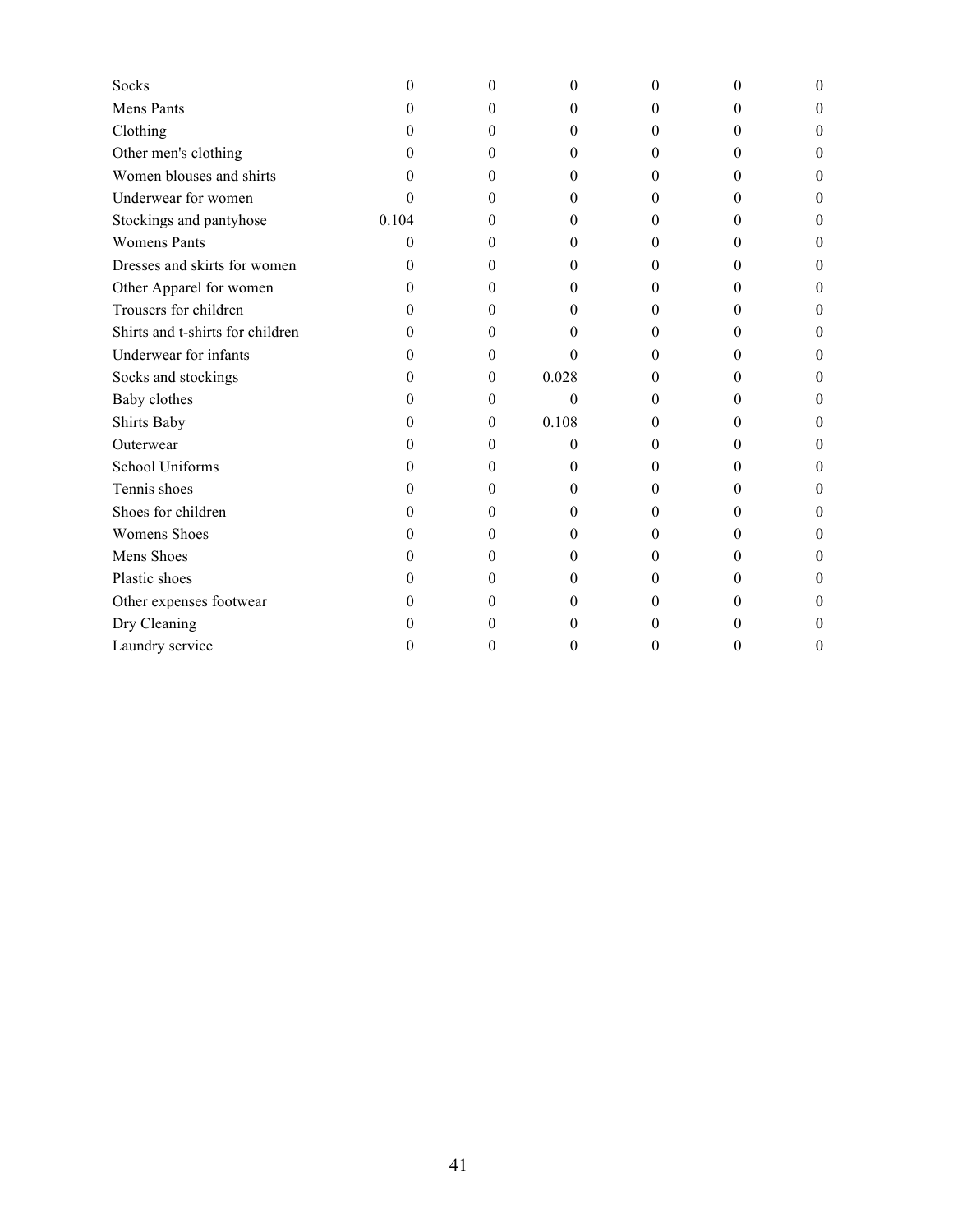| Socks                            | 0        | 0              | 0        | $\theta$ | 0        | $\theta$ |
|----------------------------------|----------|----------------|----------|----------|----------|----------|
| Mens Pants                       | $\Omega$ | 0              | $\Omega$ | $\Omega$ | $^{(1)}$ | $\Omega$ |
| Clothing                         | 0        | 0              | $\theta$ | $\theta$ | $^{(1)}$ | $\theta$ |
| Other men's clothing             | $\Omega$ | 0              | $\theta$ | 0        | 0        | $\theta$ |
| Women blouses and shirts         | $\Omega$ | 0              | $\theta$ | $\theta$ | 0        | $\theta$ |
| Underwear for women              | $\Omega$ | 0              | $\theta$ | $\theta$ | 0        | $\theta$ |
| Stockings and pantyhose          | 0.104    | 0              | 0        | 0        | 0        | $\theta$ |
| <b>Womens Pants</b>              | 0        | 0              | $\theta$ | 0        | 0        | $\theta$ |
| Dresses and skirts for women     | $\Omega$ | 0              | $\theta$ | 0        | 0        | 0        |
| Other Apparel for women          | $\Omega$ | 0              | $\theta$ | $\theta$ | 0        | $\Omega$ |
| Trousers for children            | $\Omega$ | 0              | 0        | 0        | 0        | $\theta$ |
| Shirts and t-shirts for children | $\Omega$ | 0              | 0        | $\Omega$ | 0        | 0        |
| Underwear for infants            | $\Omega$ | 0              | 0        | $\theta$ | 0        | $\theta$ |
| Socks and stockings              | $\Omega$ | $\mathbf{0}$   | 0.028    | 0        | 0        | $\theta$ |
| Baby clothes                     | $\Omega$ | 0              | $\theta$ | $\theta$ | $^{(1)}$ | $\Omega$ |
| Shirts Baby                      | $^{(1)}$ | $\overline{0}$ | 0.108    | $\theta$ | $^{(1)}$ | $\theta$ |
| Outerwear                        | $\Omega$ | $\overline{0}$ | $\theta$ | $\theta$ | 0        | $\theta$ |
| School Uniforms                  | $\Omega$ | 0              | $\theta$ | $\theta$ | 0        | $\theta$ |
| Tennis shoes                     | $\Omega$ | 0              | $\theta$ | $\Omega$ | $^{(1)}$ | $\theta$ |
| Shoes for children               | $\Omega$ | 0              | $\theta$ | 0        | 0        | $\theta$ |
| <b>Womens Shoes</b>              | $^{(1)}$ | 0              | 0        | 0        | 0        | $\theta$ |
| Mens Shoes                       | $_{0}$   | 0              | 0        | $\theta$ | 0        | $\Omega$ |
| Plastic shoes                    | 0        | 0              | 0        | 0        | 0        | $\theta$ |
| Other expenses footwear          | $\Omega$ | 0              | 0        | 0        | 0        | 0        |
| Dry Cleaning                     | $^{(1)}$ | 0              | $\theta$ | $\theta$ | 0        | 0        |
| Laundry service                  | $\Omega$ | 0              | $\theta$ | 0        | 0        | 0        |